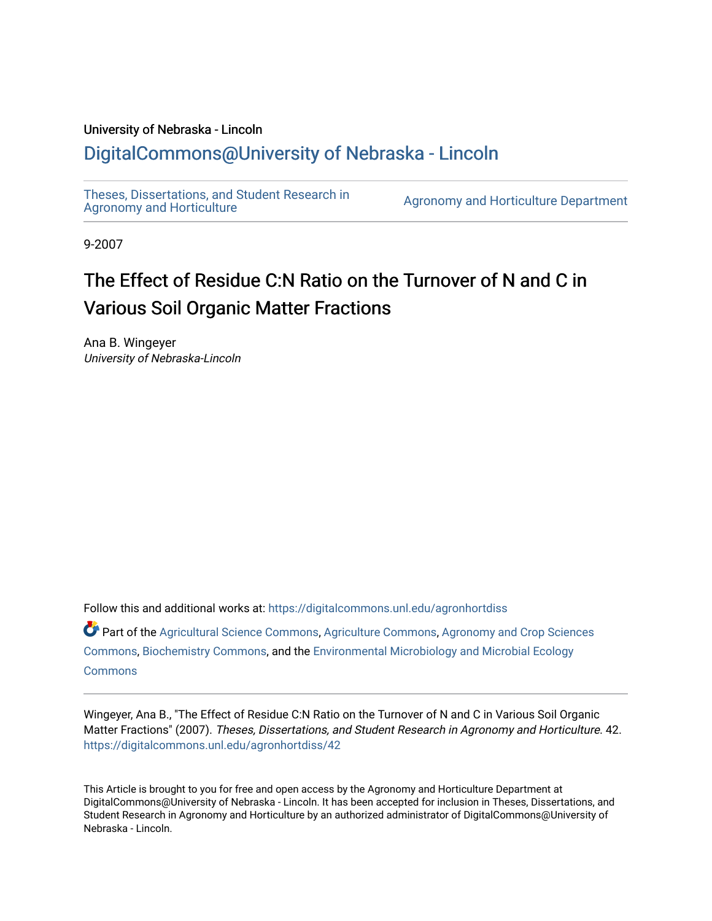## University of Nebraska - Lincoln [DigitalCommons@University of Nebraska - Lincoln](https://digitalcommons.unl.edu/)

[Theses, Dissertations, and Student Research in](https://digitalcommons.unl.edu/agronhortdiss) 

[Agronomy and Horticulture](https://digitalcommons.unl.edu/agronhortdiss) Department

9-2007

# The Effect of Residue C:N Ratio on the Turnover of N and C in Various Soil Organic Matter Fractions

Ana B. Wingeyer University of Nebraska-Lincoln

Follow this and additional works at: [https://digitalcommons.unl.edu/agronhortdiss](https://digitalcommons.unl.edu/agronhortdiss?utm_source=digitalcommons.unl.edu%2Fagronhortdiss%2F42&utm_medium=PDF&utm_campaign=PDFCoverPages) 

Part of the [Agricultural Science Commons](http://network.bepress.com/hgg/discipline/1063?utm_source=digitalcommons.unl.edu%2Fagronhortdiss%2F42&utm_medium=PDF&utm_campaign=PDFCoverPages), [Agriculture Commons,](http://network.bepress.com/hgg/discipline/1076?utm_source=digitalcommons.unl.edu%2Fagronhortdiss%2F42&utm_medium=PDF&utm_campaign=PDFCoverPages) [Agronomy and Crop Sciences](http://network.bepress.com/hgg/discipline/103?utm_source=digitalcommons.unl.edu%2Fagronhortdiss%2F42&utm_medium=PDF&utm_campaign=PDFCoverPages) [Commons](http://network.bepress.com/hgg/discipline/103?utm_source=digitalcommons.unl.edu%2Fagronhortdiss%2F42&utm_medium=PDF&utm_campaign=PDFCoverPages), [Biochemistry Commons](http://network.bepress.com/hgg/discipline/2?utm_source=digitalcommons.unl.edu%2Fagronhortdiss%2F42&utm_medium=PDF&utm_campaign=PDFCoverPages), and the [Environmental Microbiology and Microbial Ecology](http://network.bepress.com/hgg/discipline/50?utm_source=digitalcommons.unl.edu%2Fagronhortdiss%2F42&utm_medium=PDF&utm_campaign=PDFCoverPages) **[Commons](http://network.bepress.com/hgg/discipline/50?utm_source=digitalcommons.unl.edu%2Fagronhortdiss%2F42&utm_medium=PDF&utm_campaign=PDFCoverPages)** 

Wingeyer, Ana B., "The Effect of Residue C:N Ratio on the Turnover of N and C in Various Soil Organic Matter Fractions" (2007). Theses, Dissertations, and Student Research in Agronomy and Horticulture. 42. [https://digitalcommons.unl.edu/agronhortdiss/42](https://digitalcommons.unl.edu/agronhortdiss/42?utm_source=digitalcommons.unl.edu%2Fagronhortdiss%2F42&utm_medium=PDF&utm_campaign=PDFCoverPages)

This Article is brought to you for free and open access by the Agronomy and Horticulture Department at DigitalCommons@University of Nebraska - Lincoln. It has been accepted for inclusion in Theses, Dissertations, and Student Research in Agronomy and Horticulture by an authorized administrator of DigitalCommons@University of Nebraska - Lincoln.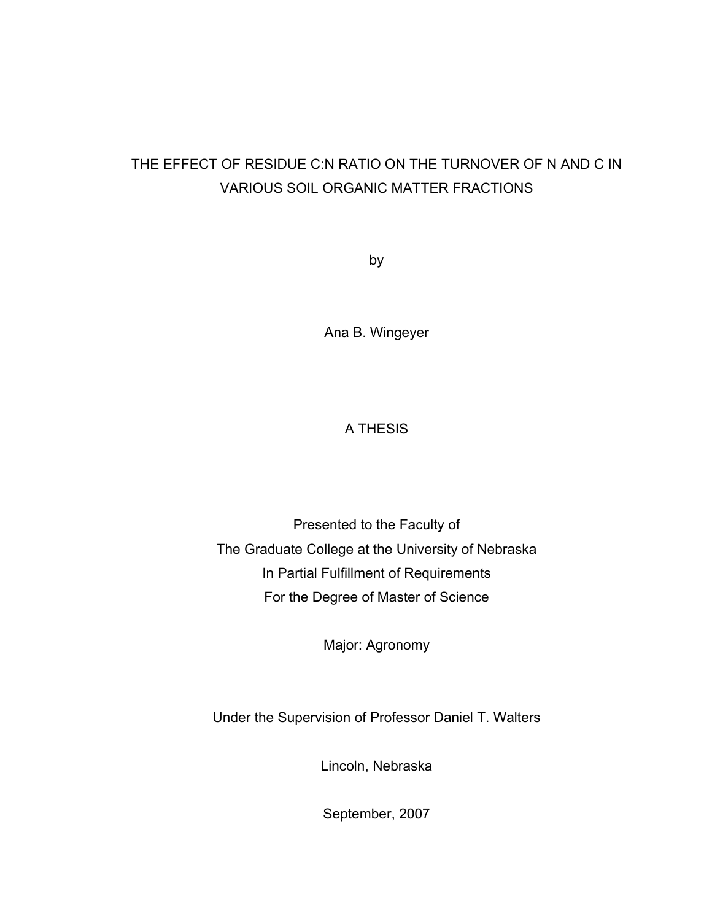## THE EFFECT OF RESIDUE C:N RATIO ON THE TURNOVER OF N AND C IN VARIOUS SOIL ORGANIC MATTER FRACTIONS

by

Ana B. Wingeyer

## A THESIS

Presented to the Faculty of The Graduate College at the University of Nebraska In Partial Fulfillment of Requirements For the Degree of Master of Science

Major: Agronomy

Under the Supervision of Professor Daniel T. Walters

Lincoln, Nebraska

September, 2007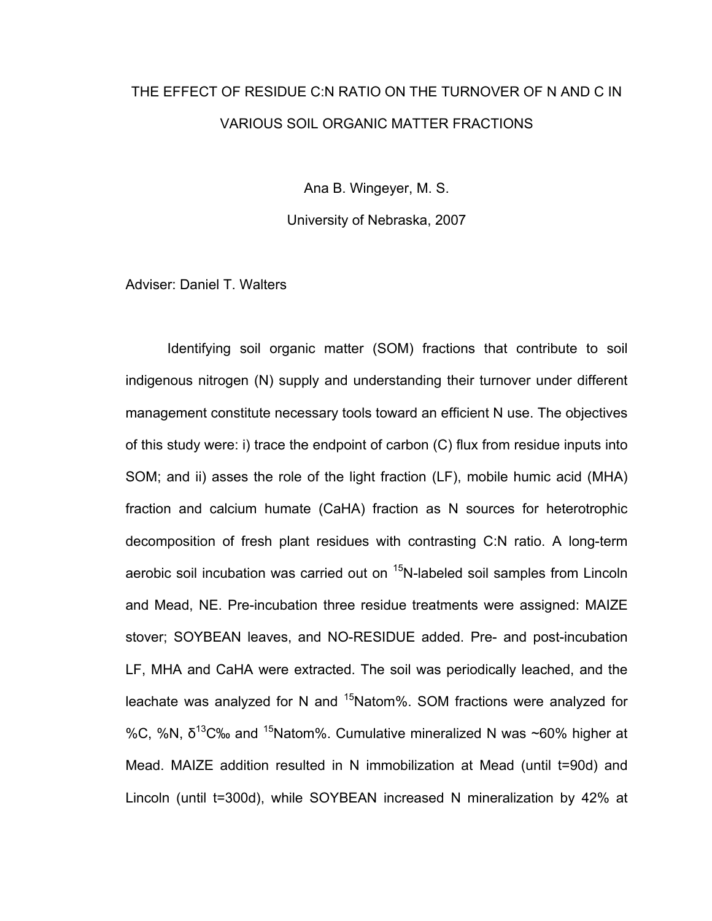# THE EFFECT OF RESIDUE C:N RATIO ON THE TURNOVER OF N AND C IN VARIOUS SOIL ORGANIC MATTER FRACTIONS

Ana B. Wingeyer, M. S.

University of Nebraska, 2007

Adviser: Daniel T. Walters

Identifying soil organic matter (SOM) fractions that contribute to soil indigenous nitrogen (N) supply and understanding their turnover under different management constitute necessary tools toward an efficient N use. The objectives of this study were: i) trace the endpoint of carbon (C) flux from residue inputs into SOM; and ii) asses the role of the light fraction (LF), mobile humic acid (MHA) fraction and calcium humate (CaHA) fraction as N sources for heterotrophic decomposition of fresh plant residues with contrasting C:N ratio. A long-term aerobic soil incubation was carried out on <sup>15</sup>N-labeled soil samples from Lincoln and Mead, NE. Pre-incubation three residue treatments were assigned: MAIZE stover; SOYBEAN leaves, and NO-RESIDUE added. Pre- and post-incubation LF, MHA and CaHA were extracted. The soil was periodically leached, and the leachate was analyzed for N and  $15$ Natom%. SOM fractions were analyzed for %C, %N,  $\delta^{13}$ C% and <sup>15</sup>Natom%. Cumulative mineralized N was ~60% higher at Mead. MAIZE addition resulted in N immobilization at Mead (until t=90d) and Lincoln (until t=300d), while SOYBEAN increased N mineralization by 42% at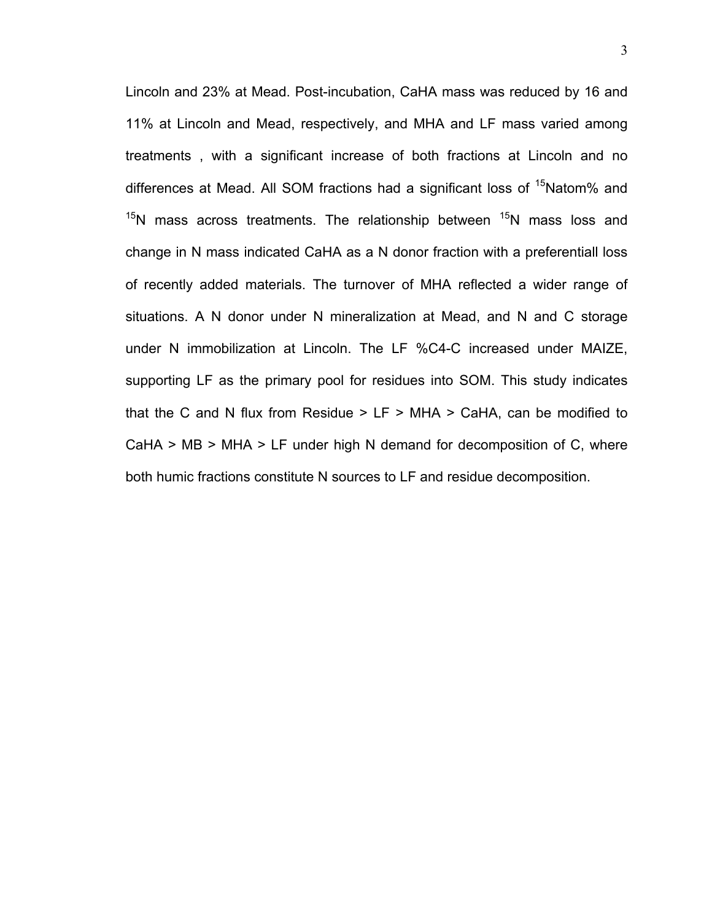Lincoln and 23% at Mead. Post-incubation, CaHA mass was reduced by 16 and 11% at Lincoln and Mead, respectively, and MHA and LF mass varied among treatments , with a significant increase of both fractions at Lincoln and no differences at Mead. All SOM fractions had a significant loss of <sup>15</sup>Natom% and  $15$ N mass across treatments. The relationship between  $15$ N mass loss and change in N mass indicated CaHA as a N donor fraction with a preferentiall loss of recently added materials. The turnover of MHA reflected a wider range of situations. A N donor under N mineralization at Mead, and N and C storage under N immobilization at Lincoln. The LF %C4-C increased under MAIZE, supporting LF as the primary pool for residues into SOM. This study indicates that the C and N flux from Residue  $>$  LF  $>$  MHA  $>$  CaHA, can be modified to CaHA  $>$  MB  $>$  MHA  $>$  LF under high N demand for decomposition of C, where both humic fractions constitute N sources to LF and residue decomposition.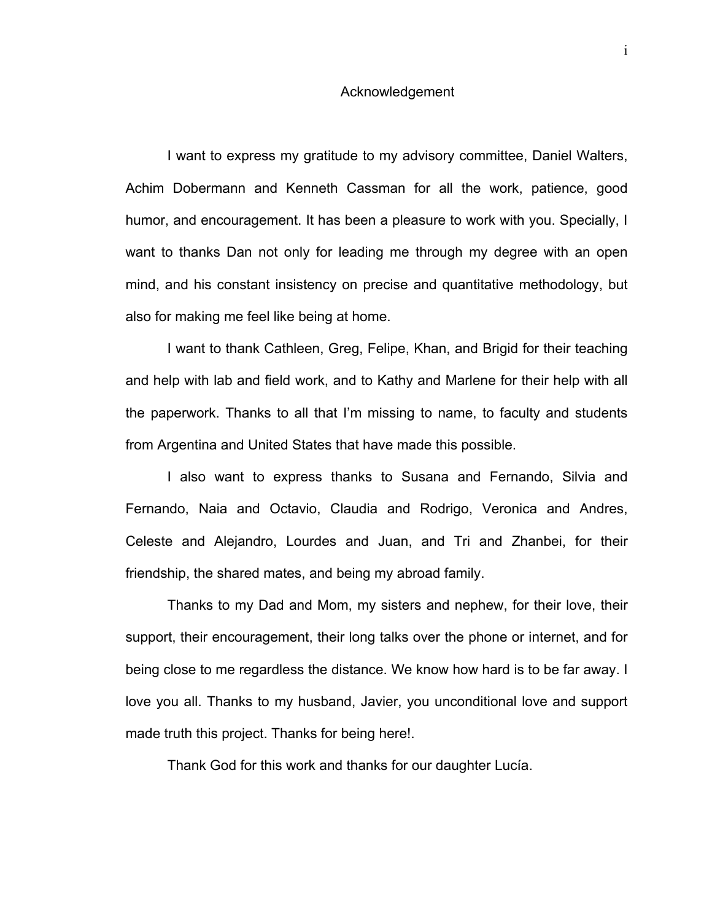#### Acknowledgement

I want to express my gratitude to my advisory committee, Daniel Walters, Achim Dobermann and Kenneth Cassman for all the work, patience, good humor, and encouragement. It has been a pleasure to work with you. Specially, I want to thanks Dan not only for leading me through my degree with an open mind, and his constant insistency on precise and quantitative methodology, but also for making me feel like being at home.

I want to thank Cathleen, Greg, Felipe, Khan, and Brigid for their teaching and help with lab and field work, and to Kathy and Marlene for their help with all the paperwork. Thanks to all that I'm missing to name, to faculty and students from Argentina and United States that have made this possible.

I also want to express thanks to Susana and Fernando, Silvia and Fernando, Naia and Octavio, Claudia and Rodrigo, Veronica and Andres, Celeste and Alejandro, Lourdes and Juan, and Tri and Zhanbei, for their friendship, the shared mates, and being my abroad family.

Thanks to my Dad and Mom, my sisters and nephew, for their love, their support, their encouragement, their long talks over the phone or internet, and for being close to me regardless the distance. We know how hard is to be far away. I love you all. Thanks to my husband, Javier, you unconditional love and support made truth this project. Thanks for being here!.

Thank God for this work and thanks for our daughter Lucía.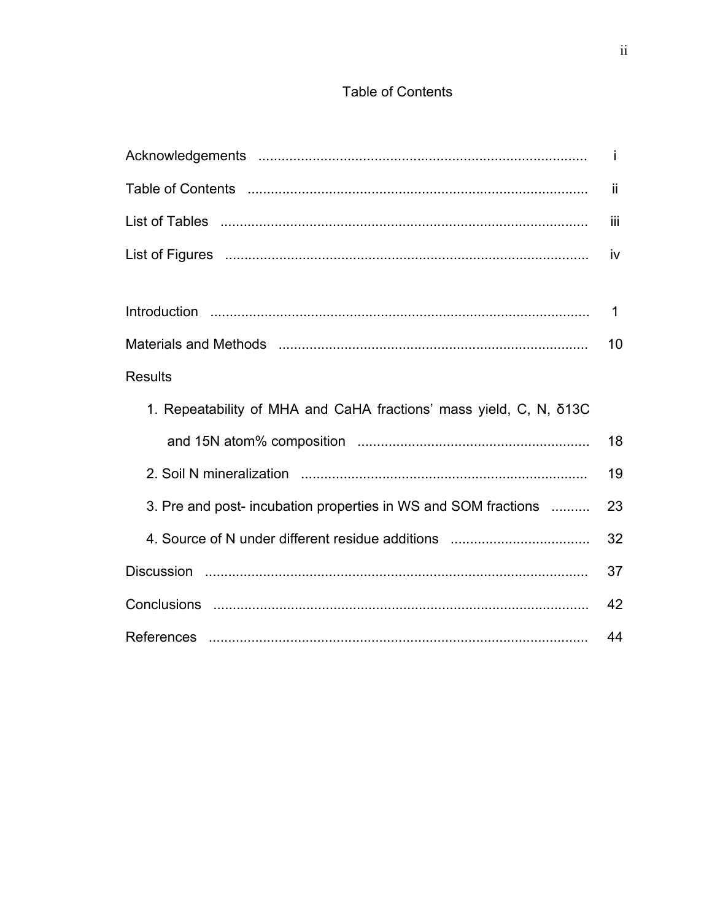## **Table of Contents**

|                                                                    | j.          |
|--------------------------------------------------------------------|-------------|
|                                                                    | -ji         |
|                                                                    | Ϊij         |
|                                                                    | iv          |
|                                                                    |             |
|                                                                    | $\mathbf 1$ |
|                                                                    | 10          |
| <b>Results</b>                                                     |             |
| 1. Repeatability of MHA and CaHA fractions' mass yield, C, N, δ13C |             |
|                                                                    | 18          |
|                                                                    | 19          |
| 3. Pre and post- incubation properties in WS and SOM fractions     | 23          |
|                                                                    | 32          |
|                                                                    | 37          |
|                                                                    | 42          |
|                                                                    | 44          |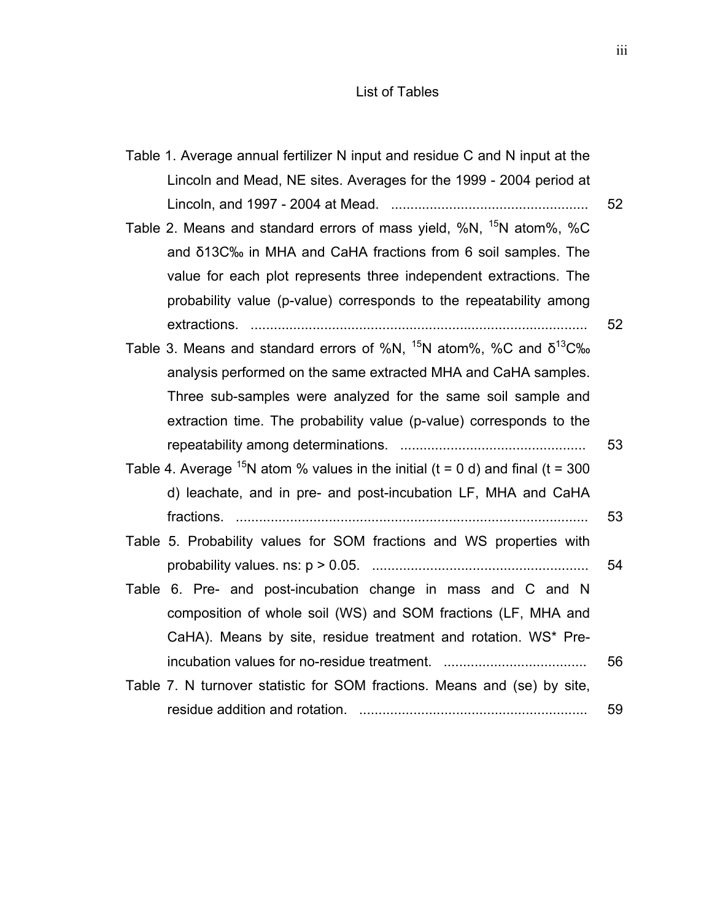## List of Tables

| Table 1. Average annual fertilizer N input and residue C and N input at the        |    |
|------------------------------------------------------------------------------------|----|
| Lincoln and Mead, NE sites. Averages for the 1999 - 2004 period at                 |    |
|                                                                                    | 52 |
| Table 2. Means and standard errors of mass yield, %N, <sup>15</sup> N atom%, %C    |    |
| and δ13C‰ in MHA and CaHA fractions from 6 soil samples. The                       |    |
| value for each plot represents three independent extractions. The                  |    |
| probability value (p-value) corresponds to the repeatability among                 |    |
|                                                                                    | 52 |
| Table 3. Means and standard errors of %N, $^{15}$ N atom%, %C and $\delta^{13}$ C‰ |    |
| analysis performed on the same extracted MHA and CaHA samples.                     |    |
| Three sub-samples were analyzed for the same soil sample and                       |    |
| extraction time. The probability value (p-value) corresponds to the                |    |
|                                                                                    | 53 |
| Table 4. Average $15N$ atom % values in the initial (t = 0 d) and final (t = 300   |    |
| d) leachate, and in pre- and post-incubation LF, MHA and CaHA                      |    |
|                                                                                    | 53 |
| Table 5. Probability values for SOM fractions and WS properties with               |    |
|                                                                                    | 54 |
| Table 6. Pre- and post-incubation change in mass and C and N                       |    |
| composition of whole soil (WS) and SOM fractions (LF, MHA and                      |    |
| CaHA). Means by site, residue treatment and rotation. WS* Pre-                     |    |
|                                                                                    | 56 |
| Table 7. N turnover statistic for SOM fractions. Means and (se) by site,           |    |
|                                                                                    | 59 |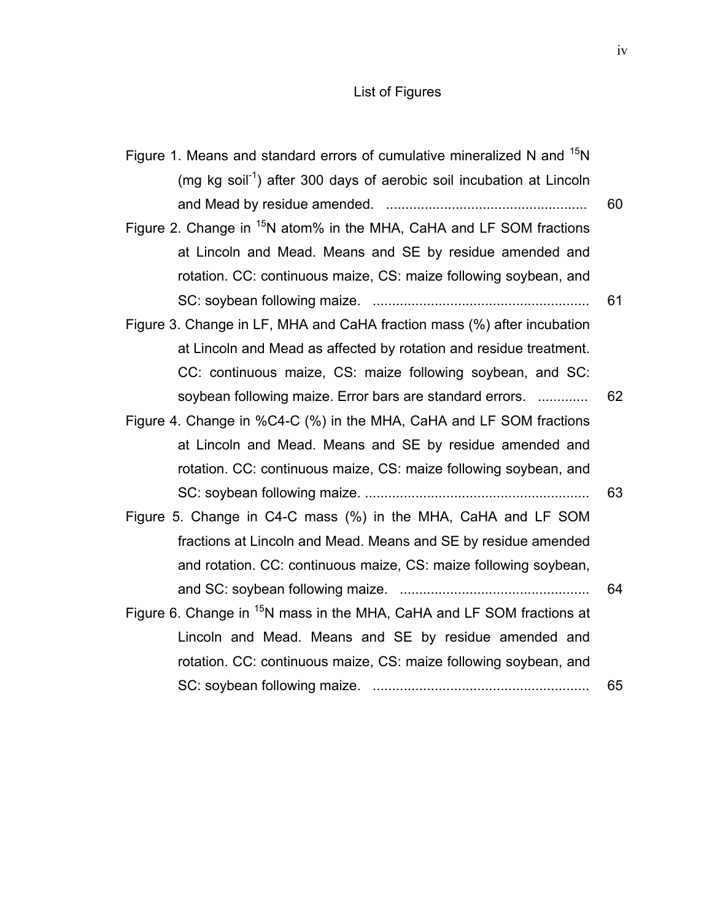## List of Figures

| Figure 1. Means and standard errors of cumulative mineralized N and <sup>15</sup> N |    |
|-------------------------------------------------------------------------------------|----|
| (mg kg soil <sup>-1</sup> ) after 300 days of aerobic soil incubation at Lincoln    |    |
|                                                                                     | 60 |
| Figure 2. Change in <sup>15</sup> N atom% in the MHA, CaHA and LF SOM fractions     |    |
| at Lincoln and Mead. Means and SE by residue amended and                            |    |
| rotation. CC: continuous maize, CS: maize following soybean, and                    |    |
|                                                                                     | 61 |
| Figure 3. Change in LF, MHA and CaHA fraction mass (%) after incubation             |    |
| at Lincoln and Mead as affected by rotation and residue treatment.                  |    |
| CC: continuous maize, CS: maize following soybean, and SC:                          |    |
| soybean following maize. Error bars are standard errors.                            | 62 |
| Figure 4. Change in %C4-C (%) in the MHA, CaHA and LF SOM fractions                 |    |
| at Lincoln and Mead. Means and SE by residue amended and                            |    |
| rotation. CC: continuous maize, CS: maize following soybean, and                    |    |
|                                                                                     | 63 |
| Figure 5. Change in C4-C mass (%) in the MHA, CaHA and LF SOM                       |    |
| fractions at Lincoln and Mead. Means and SE by residue amended                      |    |
| and rotation. CC: continuous maize, CS: maize following soybean,                    |    |
|                                                                                     | 64 |
| Figure 6. Change in <sup>15</sup> N mass in the MHA, CaHA and LF SOM fractions at   |    |
| Lincoln and Mead. Means and SE by residue amended and                               |    |
| rotation. CC: continuous maize, CS: maize following soybean, and                    |    |
|                                                                                     | 65 |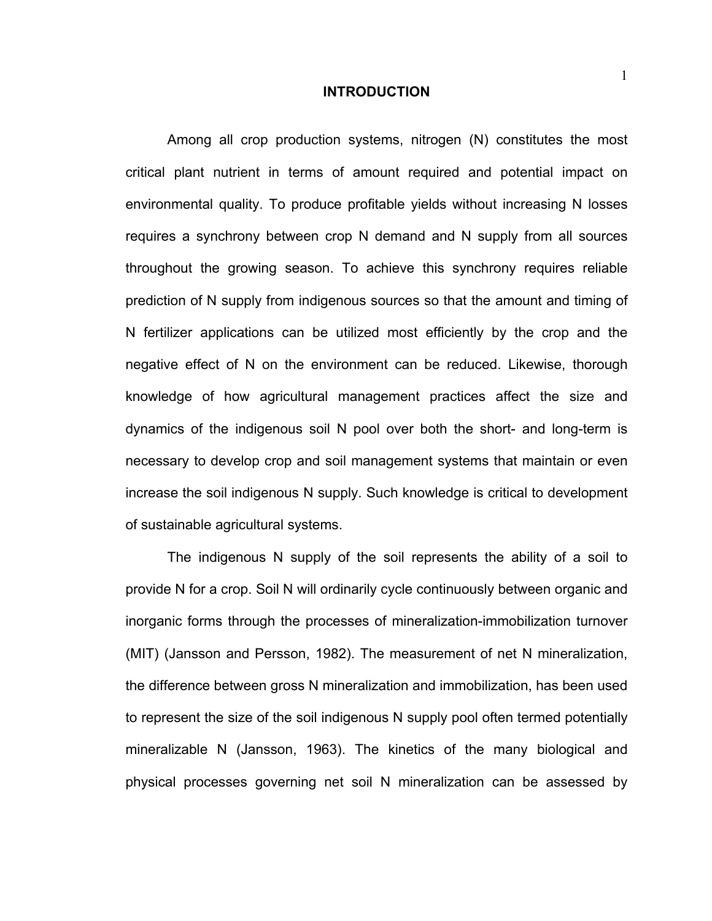#### **INTRODUCTION**

Among all crop production systems, nitrogen (N) constitutes the most critical plant nutrient in terms of amount required and potential impact on environmental quality. To produce profitable yields without increasing N losses requires a synchrony between crop N demand and N supply from all sources throughout the growing season. To achieve this synchrony requires reliable prediction of N supply from indigenous sources so that the amount and timing of N fertilizer applications can be utilized most efficiently by the crop and the negative effect of N on the environment can be reduced. Likewise, thorough knowledge of how agricultural management practices affect the size and dynamics of the indigenous soil N pool over both the short- and long-term is necessary to develop crop and soil management systems that maintain or even increase the soil indigenous N supply. Such knowledge is critical to development of sustainable agricultural systems.

The indigenous N supply of the soil represents the ability of a soil to provide N for a crop. Soil N will ordinarily cycle continuously between organic and inorganic forms through the processes of mineralization-immobilization turnover (MIT) (Jansson and Persson, 1982). The measurement of net N mineralization, the difference between gross N mineralization and immobilization, has been used to represent the size of the soil indigenous N supply pool often termed potentially mineralizable N (Jansson, 1963). The kinetics of the many biological and physical processes governing net soil N mineralization can be assessed by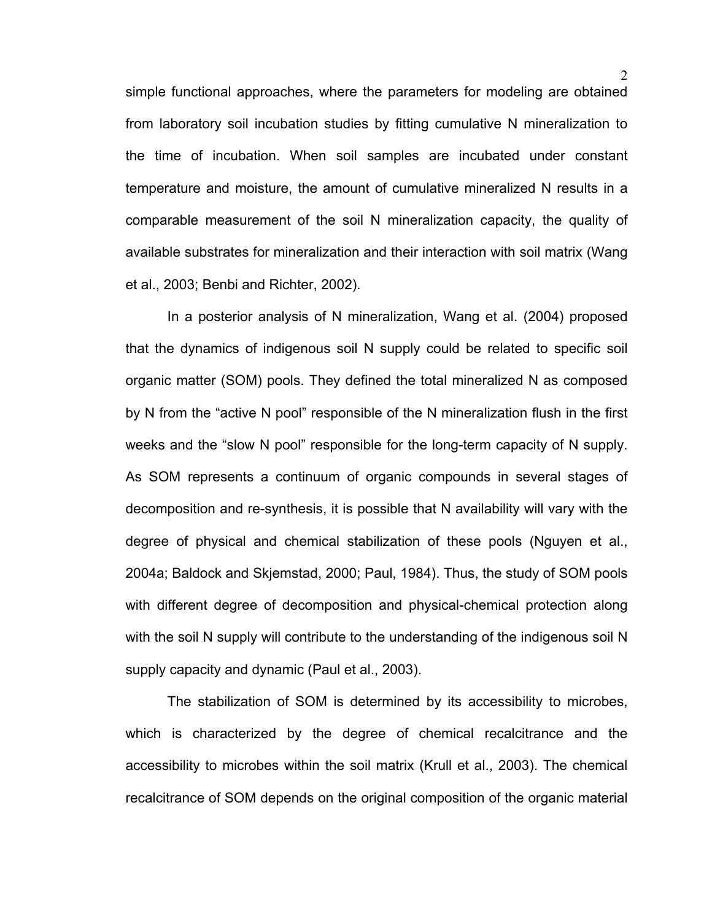simple functional approaches, where the parameters for modeling are obtained from laboratory soil incubation studies by fitting cumulative N mineralization to the time of incubation. When soil samples are incubated under constant temperature and moisture, the amount of cumulative mineralized N results in a comparable measurement of the soil N mineralization capacity, the quality of available substrates for mineralization and their interaction with soil matrix (Wang et al., 2003; Benbi and Richter, 2002).

In a posterior analysis of N mineralization, Wang et al. (2004) proposed that the dynamics of indigenous soil N supply could be related to specific soil organic matter (SOM) pools. They defined the total mineralized N as composed by N from the "active N pool" responsible of the N mineralization flush in the first weeks and the "slow N pool" responsible for the long-term capacity of N supply. As SOM represents a continuum of organic compounds in several stages of decomposition and re-synthesis, it is possible that N availability will vary with the degree of physical and chemical stabilization of these pools (Nguyen et al., 2004a; Baldock and Skjemstad, 2000; Paul, 1984). Thus, the study of SOM pools with different degree of decomposition and physical-chemical protection along with the soil N supply will contribute to the understanding of the indigenous soil N supply capacity and dynamic (Paul et al., 2003).

The stabilization of SOM is determined by its accessibility to microbes, which is characterized by the degree of chemical recalcitrance and the accessibility to microbes within the soil matrix (Krull et al., 2003). The chemical recalcitrance of SOM depends on the original composition of the organic material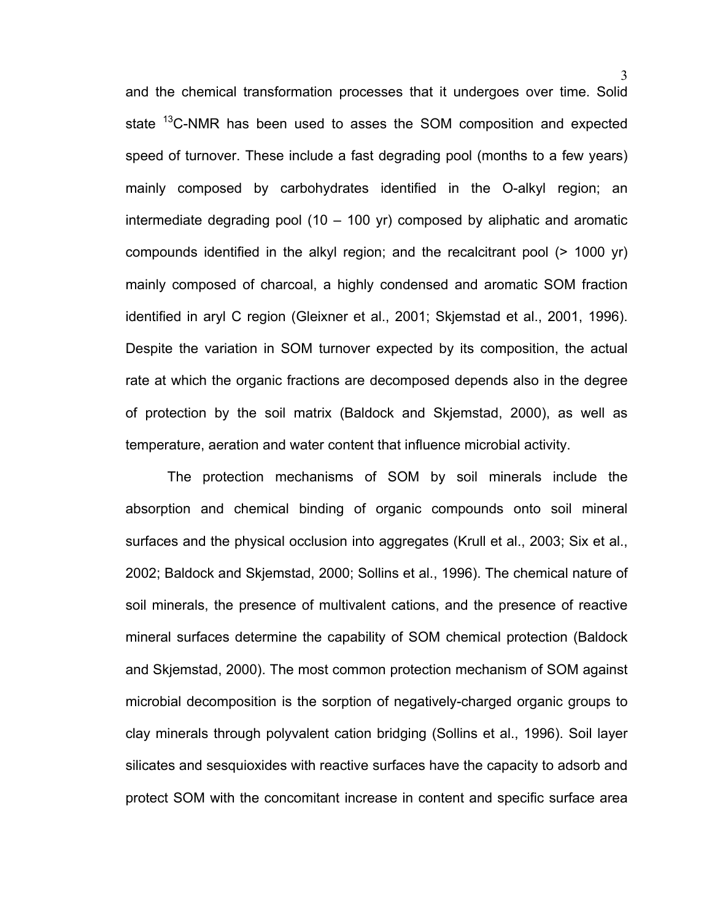and the chemical transformation processes that it undergoes over time. Solid state <sup>13</sup>C-NMR has been used to asses the SOM composition and expected speed of turnover. These include a fast degrading pool (months to a few years) mainly composed by carbohydrates identified in the O-alkyl region; an intermediate degrading pool (10 – 100 yr) composed by aliphatic and aromatic compounds identified in the alkyl region; and the recalcitrant pool (> 1000 yr) mainly composed of charcoal, a highly condensed and aromatic SOM fraction identified in aryl C region (Gleixner et al., 2001; Skjemstad et al., 2001, 1996). Despite the variation in SOM turnover expected by its composition, the actual rate at which the organic fractions are decomposed depends also in the degree of protection by the soil matrix (Baldock and Skjemstad, 2000), as well as temperature, aeration and water content that influence microbial activity.

The protection mechanisms of SOM by soil minerals include the absorption and chemical binding of organic compounds onto soil mineral surfaces and the physical occlusion into aggregates (Krull et al., 2003; Six et al., 2002; Baldock and Skjemstad, 2000; Sollins et al., 1996). The chemical nature of soil minerals, the presence of multivalent cations, and the presence of reactive mineral surfaces determine the capability of SOM chemical protection (Baldock and Skjemstad, 2000). The most common protection mechanism of SOM against microbial decomposition is the sorption of negatively-charged organic groups to clay minerals through polyvalent cation bridging (Sollins et al., 1996). Soil layer silicates and sesquioxides with reactive surfaces have the capacity to adsorb and protect SOM with the concomitant increase in content and specific surface area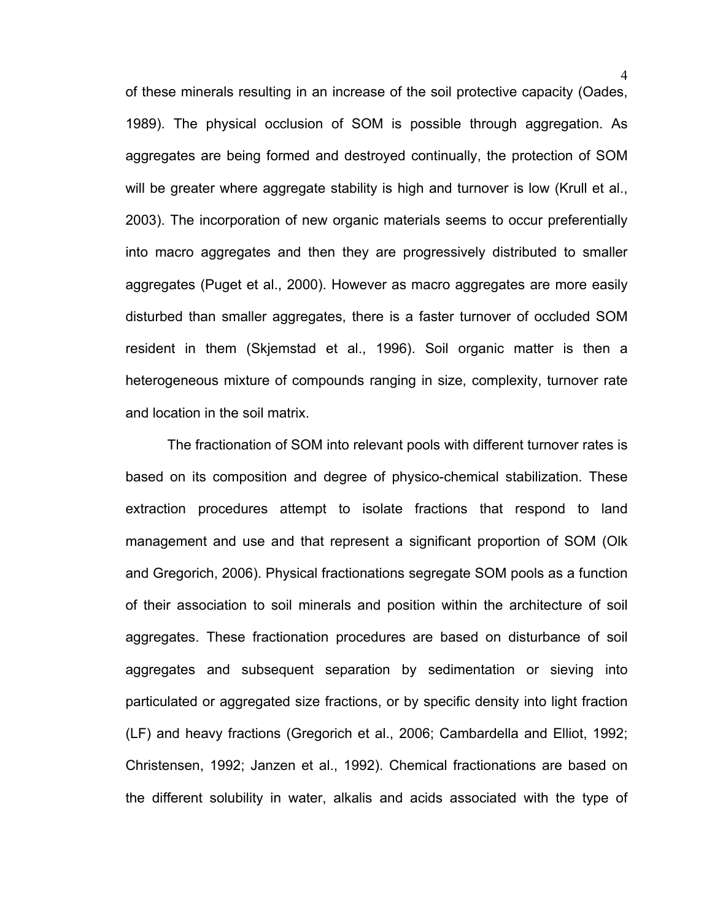of these minerals resulting in an increase of the soil protective capacity (Oades, 1989). The physical occlusion of SOM is possible through aggregation. As aggregates are being formed and destroyed continually, the protection of SOM will be greater where aggregate stability is high and turnover is low (Krull et al., 2003). The incorporation of new organic materials seems to occur preferentially into macro aggregates and then they are progressively distributed to smaller aggregates (Puget et al., 2000). However as macro aggregates are more easily disturbed than smaller aggregates, there is a faster turnover of occluded SOM resident in them (Skjemstad et al., 1996). Soil organic matter is then a heterogeneous mixture of compounds ranging in size, complexity, turnover rate and location in the soil matrix.

The fractionation of SOM into relevant pools with different turnover rates is based on its composition and degree of physico-chemical stabilization. These extraction procedures attempt to isolate fractions that respond to land management and use and that represent a significant proportion of SOM (Olk and Gregorich, 2006). Physical fractionations segregate SOM pools as a function of their association to soil minerals and position within the architecture of soil aggregates. These fractionation procedures are based on disturbance of soil aggregates and subsequent separation by sedimentation or sieving into particulated or aggregated size fractions, or by specific density into light fraction (LF) and heavy fractions (Gregorich et al., 2006; Cambardella and Elliot, 1992; Christensen, 1992; Janzen et al., 1992). Chemical fractionations are based on the different solubility in water, alkalis and acids associated with the type of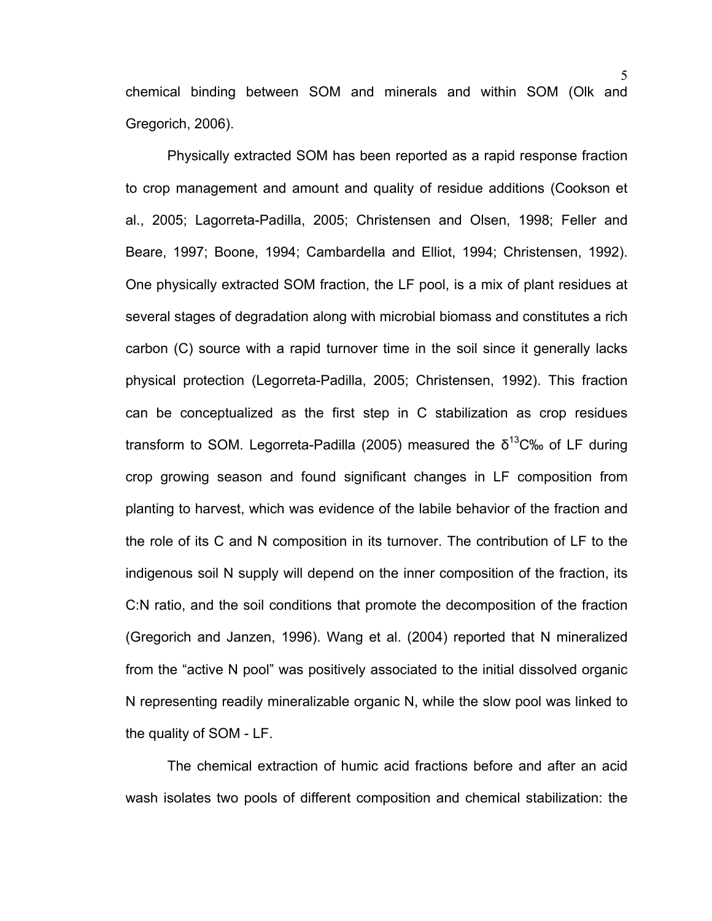chemical binding between SOM and minerals and within SOM (Olk and Gregorich, 2006).

Physically extracted SOM has been reported as a rapid response fraction to crop management and amount and quality of residue additions (Cookson et al., 2005; Lagorreta-Padilla, 2005; Christensen and Olsen, 1998; Feller and Beare, 1997; Boone, 1994; Cambardella and Elliot, 1994; Christensen, 1992). One physically extracted SOM fraction, the LF pool, is a mix of plant residues at several stages of degradation along with microbial biomass and constitutes a rich carbon (C) source with a rapid turnover time in the soil since it generally lacks physical protection (Legorreta-Padilla, 2005; Christensen, 1992). This fraction can be conceptualized as the first step in C stabilization as crop residues transform to SOM. Legorreta-Padilla (2005) measured the  $\delta^{13}$ C‰ of LF during crop growing season and found significant changes in LF composition from planting to harvest, which was evidence of the labile behavior of the fraction and the role of its C and N composition in its turnover. The contribution of LF to the indigenous soil N supply will depend on the inner composition of the fraction, its C:N ratio, and the soil conditions that promote the decomposition of the fraction (Gregorich and Janzen, 1996). Wang et al. (2004) reported that N mineralized from the "active N pool" was positively associated to the initial dissolved organic N representing readily mineralizable organic N, while the slow pool was linked to the quality of SOM - LF.

The chemical extraction of humic acid fractions before and after an acid wash isolates two pools of different composition and chemical stabilization: the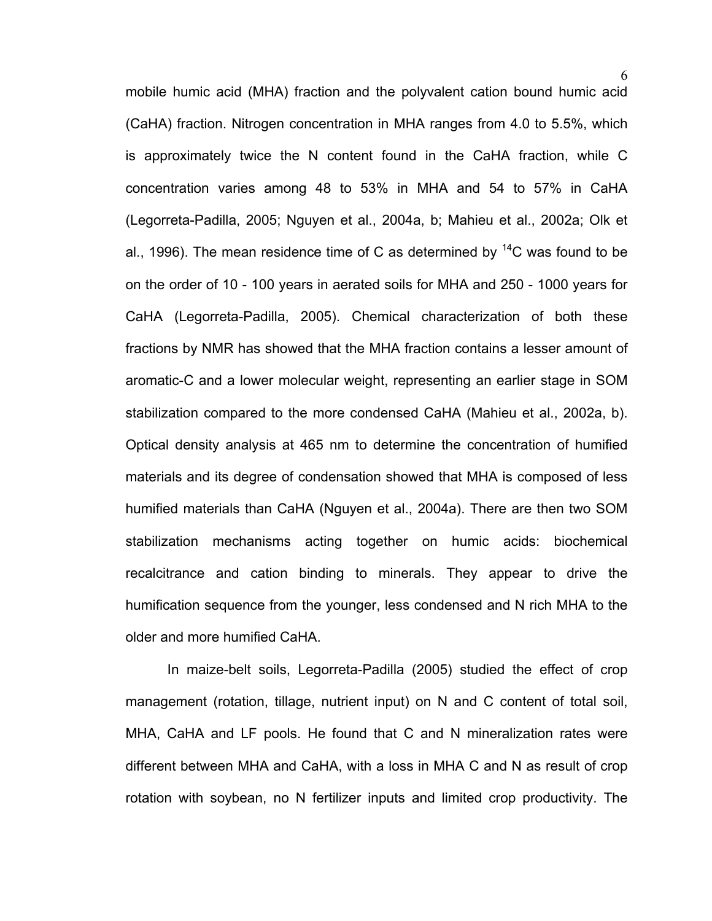mobile humic acid (MHA) fraction and the polyvalent cation bound humic acid (CaHA) fraction. Nitrogen concentration in MHA ranges from 4.0 to 5.5%, which is approximately twice the N content found in the CaHA fraction, while C concentration varies among 48 to 53% in MHA and 54 to 57% in CaHA (Legorreta-Padilla, 2005; Nguyen et al., 2004a, b; Mahieu et al., 2002a; Olk et al., 1996). The mean residence time of C as determined by  ${}^{14}$ C was found to be on the order of 10 - 100 years in aerated soils for MHA and 250 - 1000 years for CaHA (Legorreta-Padilla, 2005). Chemical characterization of both these fractions by NMR has showed that the MHA fraction contains a lesser amount of aromatic-C and a lower molecular weight, representing an earlier stage in SOM stabilization compared to the more condensed CaHA (Mahieu et al., 2002a, b). Optical density analysis at 465 nm to determine the concentration of humified materials and its degree of condensation showed that MHA is composed of less humified materials than CaHA (Nguyen et al., 2004a). There are then two SOM stabilization mechanisms acting together on humic acids: biochemical recalcitrance and cation binding to minerals. They appear to drive the humification sequence from the younger, less condensed and N rich MHA to the older and more humified CaHA.

In maize-belt soils, Legorreta-Padilla (2005) studied the effect of crop management (rotation, tillage, nutrient input) on N and C content of total soil, MHA, CaHA and LF pools. He found that C and N mineralization rates were different between MHA and CaHA, with a loss in MHA C and N as result of crop rotation with soybean, no N fertilizer inputs and limited crop productivity. The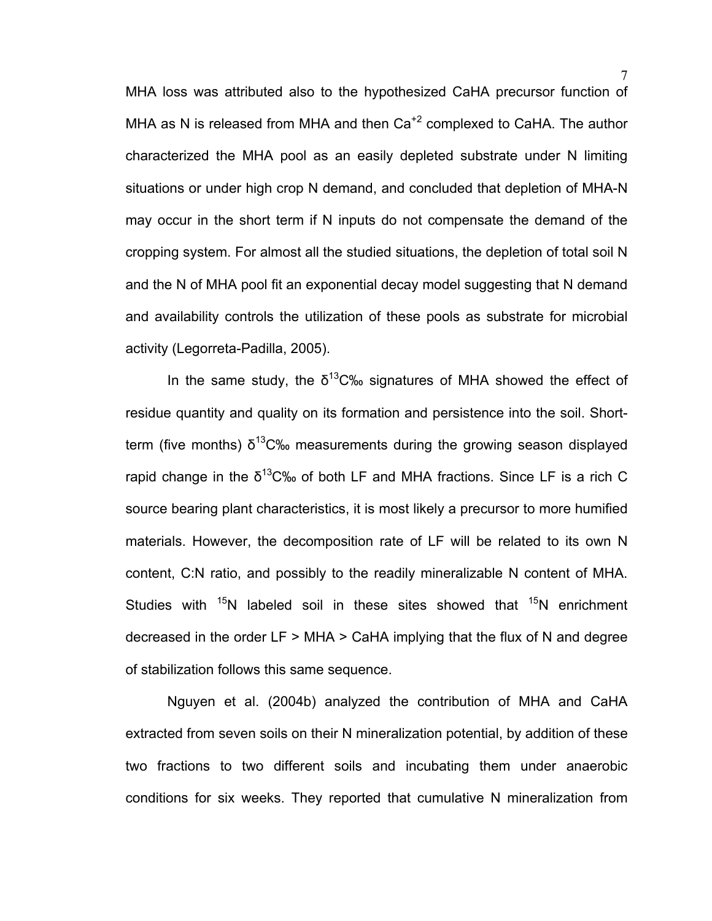MHA loss was attributed also to the hypothesized CaHA precursor function of MHA as N is released from MHA and then  $Ca^{+2}$  complexed to CaHA. The author characterized the MHA pool as an easily depleted substrate under N limiting situations or under high crop N demand, and concluded that depletion of MHA-N may occur in the short term if N inputs do not compensate the demand of the cropping system. For almost all the studied situations, the depletion of total soil N and the N of MHA pool fit an exponential decay model suggesting that N demand and availability controls the utilization of these pools as substrate for microbial activity (Legorreta-Padilla, 2005).

In the same study, the  $\delta^{13}$ C‰ signatures of MHA showed the effect of residue quantity and quality on its formation and persistence into the soil. Shortterm (five months)  $\delta^{13}$ C‰ measurements during the growing season displayed rapid change in the  $\delta^{13}$ C‰ of both LF and MHA fractions. Since LF is a rich C source bearing plant characteristics, it is most likely a precursor to more humified materials. However, the decomposition rate of LF will be related to its own N content, C:N ratio, and possibly to the readily mineralizable N content of MHA. Studies with  $15N$  labeled soil in these sites showed that  $15N$  enrichment decreased in the order LF > MHA > CaHA implying that the flux of N and degree of stabilization follows this same sequence.

Nguyen et al. (2004b) analyzed the contribution of MHA and CaHA extracted from seven soils on their N mineralization potential, by addition of these two fractions to two different soils and incubating them under anaerobic conditions for six weeks. They reported that cumulative N mineralization from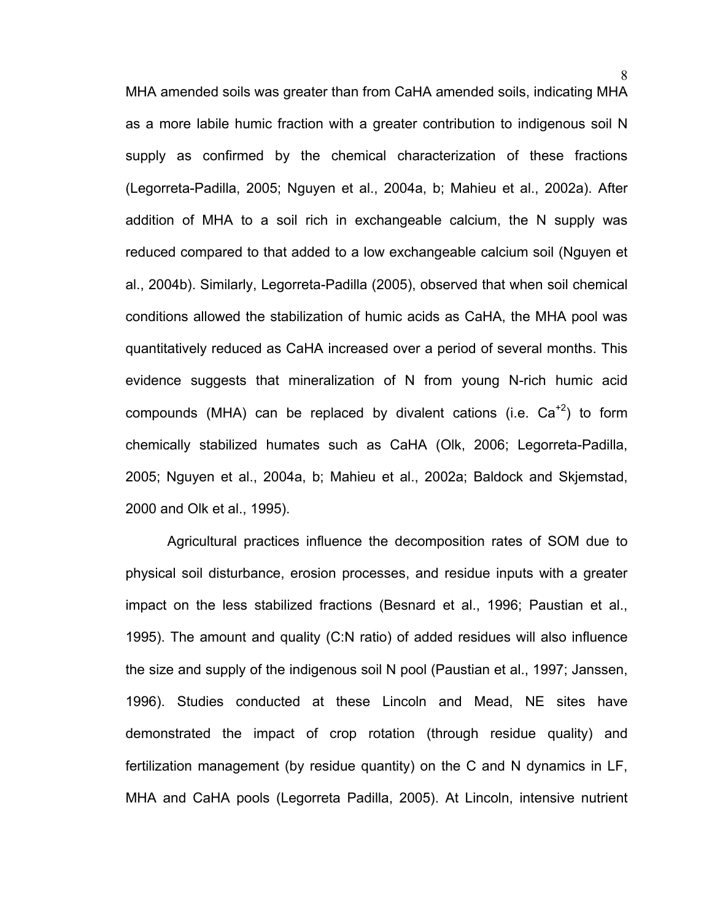MHA amended soils was greater than from CaHA amended soils, indicating MHA as a more labile humic fraction with a greater contribution to indigenous soil N supply as confirmed by the chemical characterization of these fractions (Legorreta-Padilla, 2005; Nguyen et al., 2004a, b; Mahieu et al., 2002a). After addition of MHA to a soil rich in exchangeable calcium, the N supply was reduced compared to that added to a low exchangeable calcium soil (Nguyen et al., 2004b). Similarly, Legorreta-Padilla (2005), observed that when soil chemical conditions allowed the stabilization of humic acids as CaHA, the MHA pool was quantitatively reduced as CaHA increased over a period of several months. This evidence suggests that mineralization of N from young N-rich humic acid compounds (MHA) can be replaced by divalent cations (i.e.  $Ca^{+2}$ ) to form chemically stabilized humates such as CaHA (Olk, 2006; Legorreta-Padilla, 2005; Nguyen et al., 2004a, b; Mahieu et al., 2002a; Baldock and Skjemstad, 2000 and Olk et al., 1995).

Agricultural practices influence the decomposition rates of SOM due to physical soil disturbance, erosion processes, and residue inputs with a greater impact on the less stabilized fractions (Besnard et al., 1996; Paustian et al., 1995). The amount and quality (C:N ratio) of added residues will also influence the size and supply of the indigenous soil N pool (Paustian et al., 1997; Janssen, 1996). Studies conducted at these Lincoln and Mead, NE sites have demonstrated the impact of crop rotation (through residue quality) and fertilization management (by residue quantity) on the C and N dynamics in LF, MHA and CaHA pools (Legorreta Padilla, 2005). At Lincoln, intensive nutrient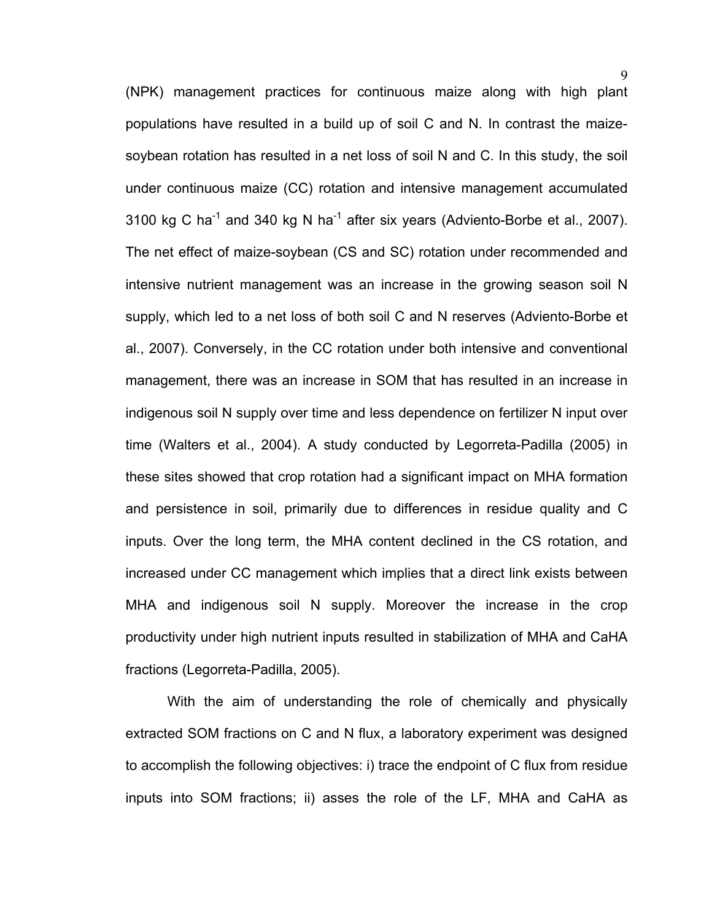(NPK) management practices for continuous maize along with high plant populations have resulted in a build up of soil C and N. In contrast the maizesoybean rotation has resulted in a net loss of soil N and C. In this study, the soil under continuous maize (CC) rotation and intensive management accumulated 3100 kg C ha<sup>-1</sup> and 340 kg N ha<sup>-1</sup> after six years (Adviento-Borbe et al., 2007). The net effect of maize-soybean (CS and SC) rotation under recommended and intensive nutrient management was an increase in the growing season soil N supply, which led to a net loss of both soil C and N reserves (Adviento-Borbe et al., 2007). Conversely, in the CC rotation under both intensive and conventional management, there was an increase in SOM that has resulted in an increase in indigenous soil N supply over time and less dependence on fertilizer N input over time (Walters et al., 2004). A study conducted by Legorreta-Padilla (2005) in these sites showed that crop rotation had a significant impact on MHA formation and persistence in soil, primarily due to differences in residue quality and C inputs. Over the long term, the MHA content declined in the CS rotation, and increased under CC management which implies that a direct link exists between MHA and indigenous soil N supply. Moreover the increase in the crop productivity under high nutrient inputs resulted in stabilization of MHA and CaHA fractions (Legorreta-Padilla, 2005).

With the aim of understanding the role of chemically and physically extracted SOM fractions on C and N flux, a laboratory experiment was designed to accomplish the following objectives: i) trace the endpoint of C flux from residue inputs into SOM fractions; ii) asses the role of the LF, MHA and CaHA as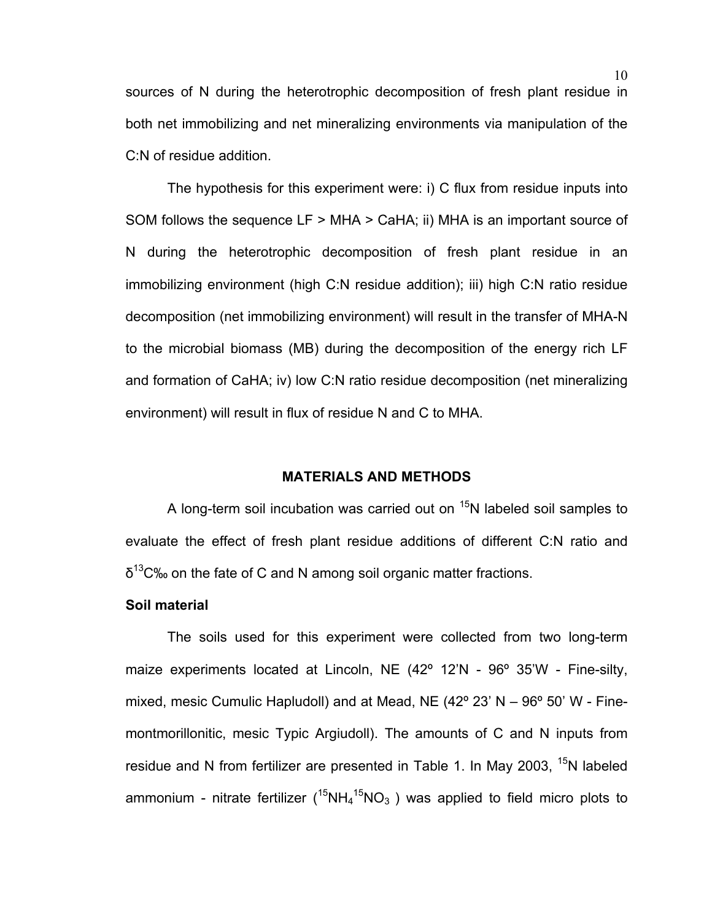sources of N during the heterotrophic decomposition of fresh plant residue in both net immobilizing and net mineralizing environments via manipulation of the C:N of residue addition.

The hypothesis for this experiment were: i) C flux from residue inputs into SOM follows the sequence LF > MHA > CaHA; ii) MHA is an important source of N during the heterotrophic decomposition of fresh plant residue in an immobilizing environment (high C:N residue addition); iii) high C:N ratio residue decomposition (net immobilizing environment) will result in the transfer of MHA-N to the microbial biomass (MB) during the decomposition of the energy rich LF and formation of CaHA; iv) low C:N ratio residue decomposition (net mineralizing environment) will result in flux of residue N and C to MHA.

#### **MATERIALS AND METHODS**

A long-term soil incubation was carried out on  $15N$  labeled soil samples to evaluate the effect of fresh plant residue additions of different C:N ratio and  $\delta^{13}$ C‰ on the fate of C and N among soil organic matter fractions.

#### **Soil material**

The soils used for this experiment were collected from two long-term maize experiments located at Lincoln, NE (42° 12'N - 96° 35'W - Fine-silty, mixed, mesic Cumulic Hapludoll) and at Mead, NE (42º 23' N – 96º 50' W - Finemontmorillonitic, mesic Typic Argiudoll). The amounts of C and N inputs from residue and N from fertilizer are presented in Table 1. In May 2003,  $15N$  labeled ammonium - nitrate fertilizer ( ${}^{15}$ NH<sub>4</sub> ${}^{15}$ NO<sub>3</sub>) was applied to field micro plots to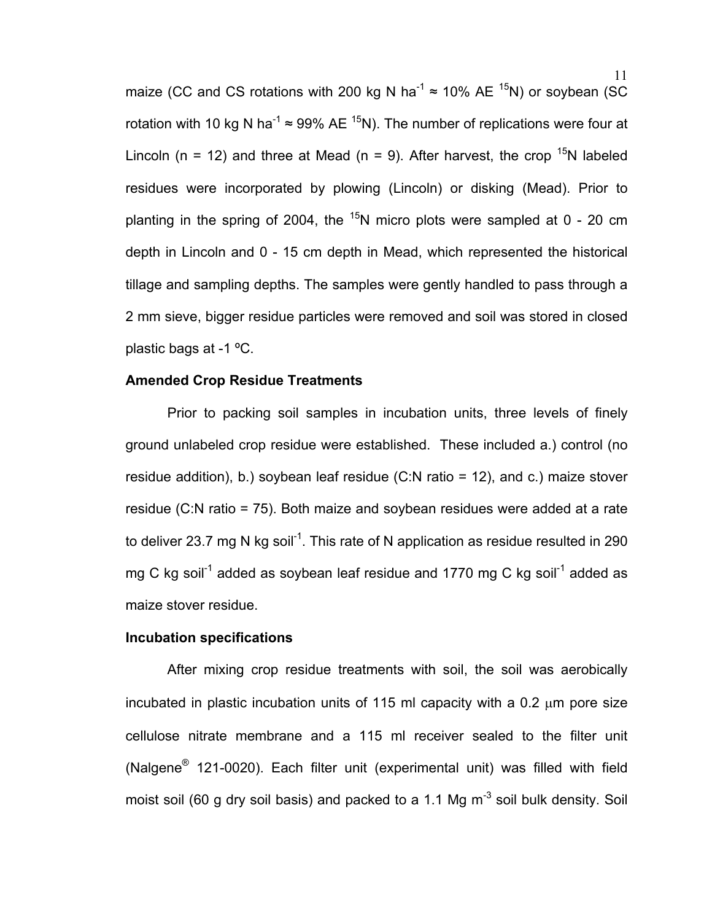maize (CC and CS rotations with 200 kg N ha<sup>-1</sup>  $\approx$  10% AE <sup>15</sup>N) or soybean (SC rotation with 10 kg N ha<sup>-1</sup>  $\approx$  99% AE <sup>15</sup>N). The number of replications were four at Lincoln (n = 12) and three at Mead (n = 9). After harvest, the crop  $^{15}N$  labeled residues were incorporated by plowing (Lincoln) or disking (Mead). Prior to planting in the spring of 2004, the  $15$ N micro plots were sampled at 0 - 20 cm depth in Lincoln and 0 - 15 cm depth in Mead, which represented the historical tillage and sampling depths. The samples were gently handled to pass through a 2 mm sieve, bigger residue particles were removed and soil was stored in closed plastic bags at -1 ºC.

#### **Amended Crop Residue Treatments**

Prior to packing soil samples in incubation units, three levels of finely ground unlabeled crop residue were established. These included a.) control (no residue addition), b.) soybean leaf residue (C:N ratio = 12), and c.) maize stover residue (C:N ratio = 75). Both maize and soybean residues were added at a rate to deliver 23.7 mg N kg soil<sup>-1</sup>. This rate of N application as residue resulted in 290 mg C kg soil<sup>-1</sup> added as soybean leaf residue and 1770 mg C kg soil<sup>-1</sup> added as maize stover residue.

#### **Incubation specifications**

After mixing crop residue treatments with soil, the soil was aerobically incubated in plastic incubation units of 115 ml capacity with a 0.2 μm pore size cellulose nitrate membrane and a 115 ml receiver sealed to the filter unit (Nalgene® 121-0020). Each filter unit (experimental unit) was filled with field moist soil (60 g dry soil basis) and packed to a 1.1 Mg  $m^{-3}$  soil bulk density. Soil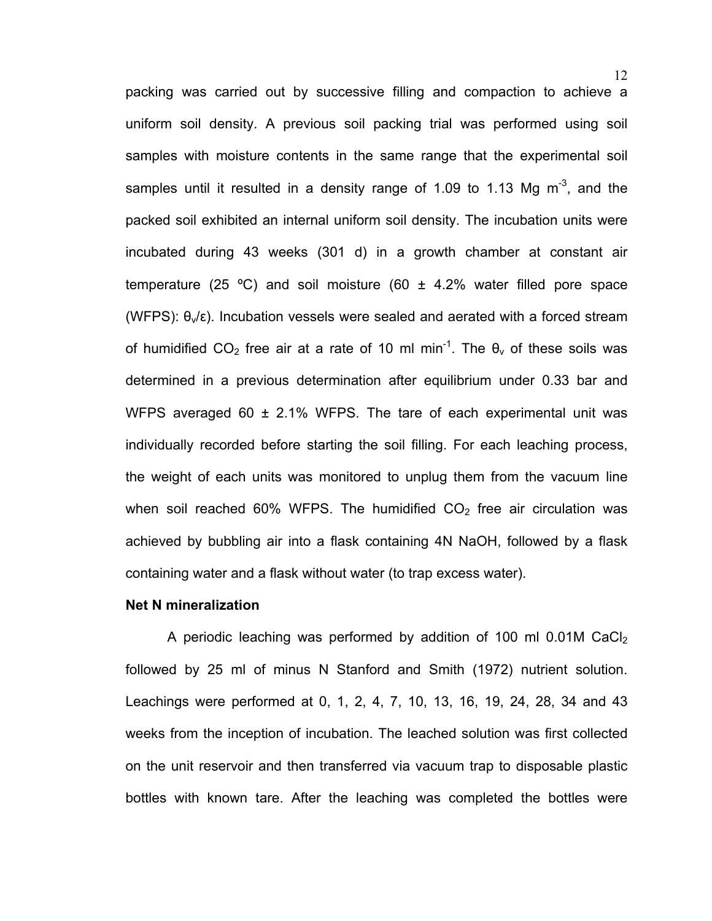packing was carried out by successive filling and compaction to achieve a uniform soil density. A previous soil packing trial was performed using soil samples with moisture contents in the same range that the experimental soil samples until it resulted in a density range of 1.09 to 1.13 Mg  $m<sup>-3</sup>$ , and the packed soil exhibited an internal uniform soil density. The incubation units were incubated during 43 weeks (301 d) in a growth chamber at constant air temperature (25 °C) and soil moisture (60  $\pm$  4.2% water filled pore space (WFPS):  $\theta_y/\epsilon$ ). Incubation vessels were sealed and aerated with a forced stream of humidified CO<sub>2</sub> free air at a rate of 10 ml min<sup>-1</sup>. The  $\theta_v$  of these soils was determined in a previous determination after equilibrium under 0.33 bar and WFPS averaged 60  $\pm$  2.1% WFPS. The tare of each experimental unit was individually recorded before starting the soil filling. For each leaching process, the weight of each units was monitored to unplug them from the vacuum line when soil reached 60% WFPS. The humidified  $CO<sub>2</sub>$  free air circulation was achieved by bubbling air into a flask containing 4N NaOH, followed by a flask containing water and a flask without water (to trap excess water).

#### **Net N mineralization**

A periodic leaching was performed by addition of 100 ml  $0.01M$  CaCl<sub>2</sub> followed by 25 ml of minus N Stanford and Smith (1972) nutrient solution. Leachings were performed at 0, 1, 2, 4, 7, 10, 13, 16, 19, 24, 28, 34 and 43 weeks from the inception of incubation. The leached solution was first collected on the unit reservoir and then transferred via vacuum trap to disposable plastic bottles with known tare. After the leaching was completed the bottles were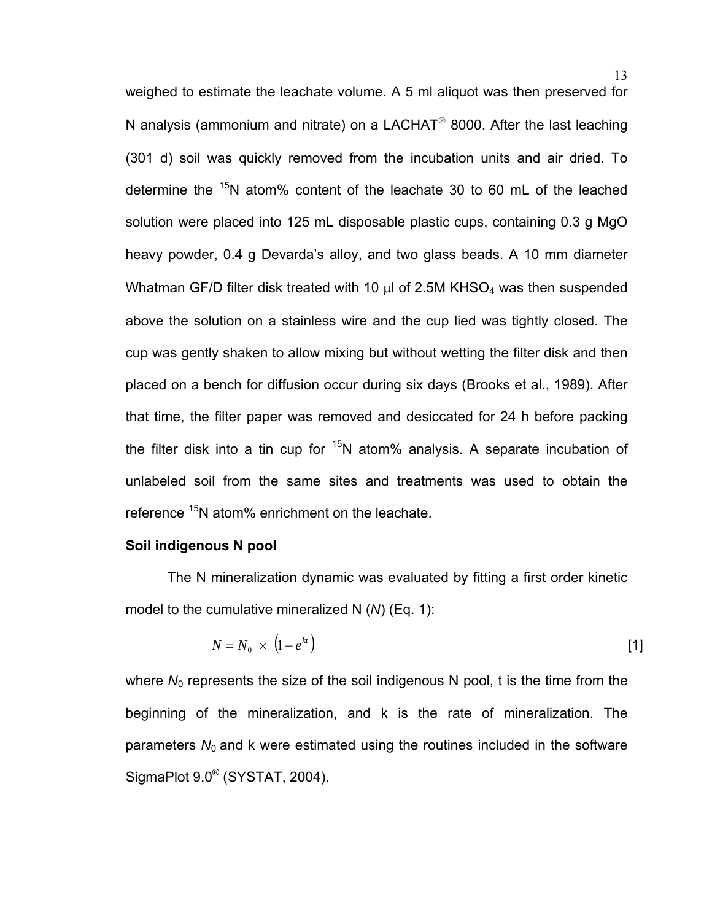weighed to estimate the leachate volume. A 5 ml aliquot was then preserved for N analysis (ammonium and nitrate) on a LACHAT<sup>®</sup> 8000. After the last leaching (301 d) soil was quickly removed from the incubation units and air dried. To determine the  $15N$  atom% content of the leachate 30 to 60 mL of the leached solution were placed into 125 mL disposable plastic cups, containing 0.3 g MgO heavy powder, 0.4 g Devarda's alloy, and two glass beads. A 10 mm diameter Whatman GF/D filter disk treated with 10  $\mu$ l of 2.5M KHSO<sub>4</sub> was then suspended above the solution on a stainless wire and the cup lied was tightly closed. The cup was gently shaken to allow mixing but without wetting the filter disk and then placed on a bench for diffusion occur during six days (Brooks et al., 1989). After that time, the filter paper was removed and desiccated for 24 h before packing the filter disk into a tin cup for  $15N$  atom% analysis. A separate incubation of unlabeled soil from the same sites and treatments was used to obtain the reference <sup>15</sup>N atom% enrichment on the leachate.

#### **Soil indigenous N pool**

The N mineralization dynamic was evaluated by fitting a first order kinetic model to the cumulative mineralized N (*N*) (Eq. 1):

$$
N = N_0 \times (1 - e^{kt})
$$
 [1]

where  $N_0$  represents the size of the soil indigenous N pool, t is the time from the beginning of the mineralization, and k is the rate of mineralization. The parameters  $N_0$  and k were estimated using the routines included in the software SigmaPlot 9.0® (SYSTAT, 2004).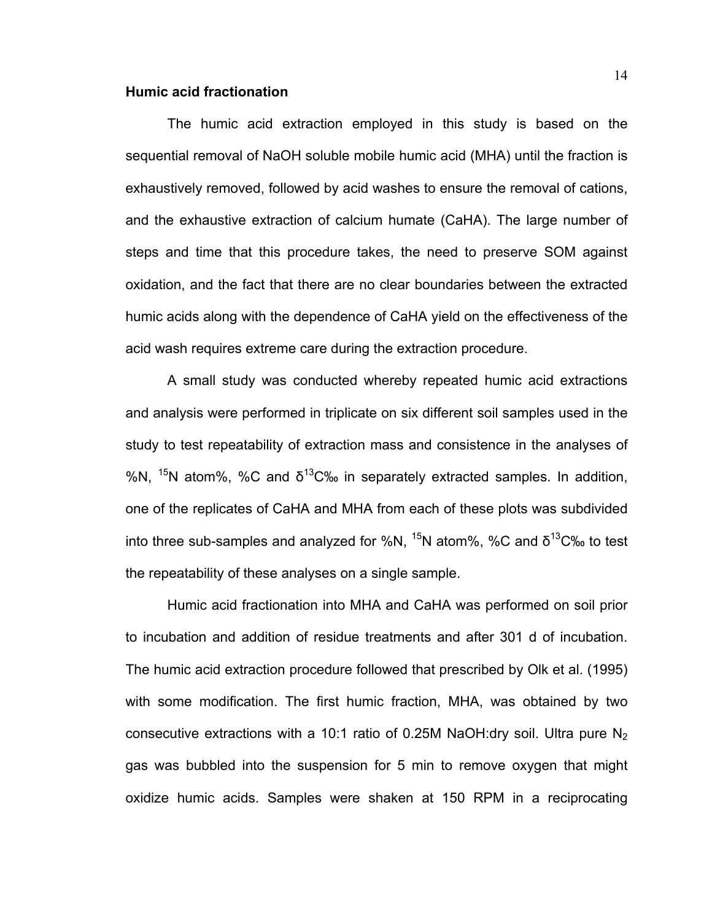#### **Humic acid fractionation**

The humic acid extraction employed in this study is based on the sequential removal of NaOH soluble mobile humic acid (MHA) until the fraction is exhaustively removed, followed by acid washes to ensure the removal of cations, and the exhaustive extraction of calcium humate (CaHA). The large number of steps and time that this procedure takes, the need to preserve SOM against oxidation, and the fact that there are no clear boundaries between the extracted humic acids along with the dependence of CaHA yield on the effectiveness of the acid wash requires extreme care during the extraction procedure.

A small study was conducted whereby repeated humic acid extractions and analysis were performed in triplicate on six different soil samples used in the study to test repeatability of extraction mass and consistence in the analyses of %N,  $15N$  atom%, %C and  $\delta^{13}C\%$  in separately extracted samples. In addition, one of the replicates of CaHA and MHA from each of these plots was subdivided into three sub-samples and analyzed for %N,  $^{15}N$  atom%, %C and  $\delta^{13}C$ % to test the repeatability of these analyses on a single sample.

Humic acid fractionation into MHA and CaHA was performed on soil prior to incubation and addition of residue treatments and after 301 d of incubation. The humic acid extraction procedure followed that prescribed by Olk et al. (1995) with some modification. The first humic fraction, MHA, was obtained by two consecutive extractions with a 10:1 ratio of 0.25M NaOH:dry soil. Ultra pure  $N_2$ gas was bubbled into the suspension for 5 min to remove oxygen that might oxidize humic acids. Samples were shaken at 150 RPM in a reciprocating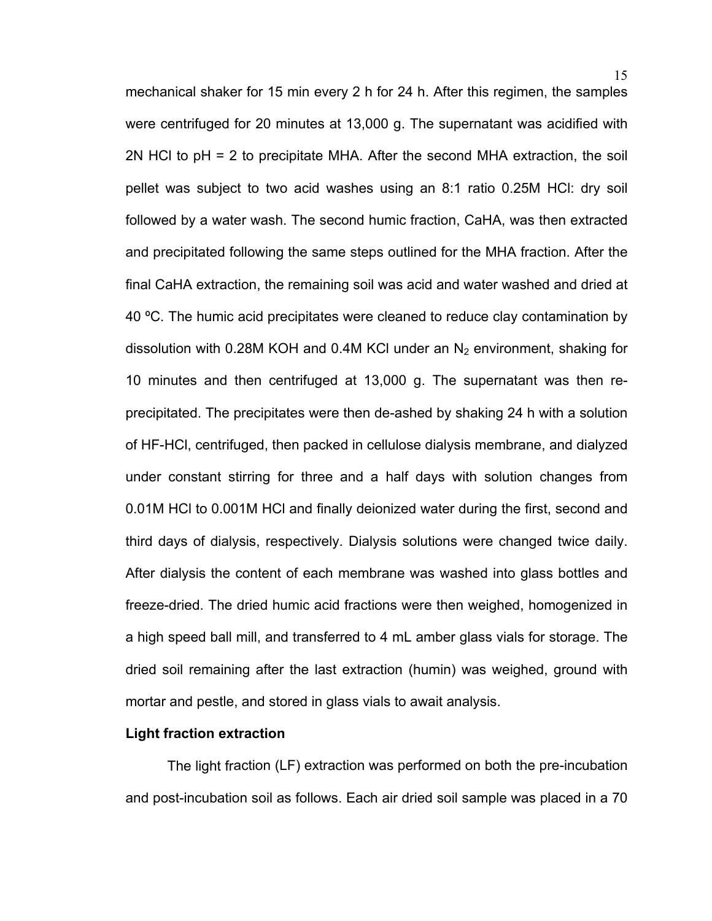mechanical shaker for 15 min every 2 h for 24 h. After this regimen, the samples were centrifuged for 20 minutes at 13,000 g. The supernatant was acidified with 2N HCl to pH = 2 to precipitate MHA. After the second MHA extraction, the soil pellet was subject to two acid washes using an 8:1 ratio 0.25M HCl: dry soil followed by a water wash. The second humic fraction, CaHA, was then extracted and precipitated following the same steps outlined for the MHA fraction. After the final CaHA extraction, the remaining soil was acid and water washed and dried at 40 ºC. The humic acid precipitates were cleaned to reduce clay contamination by dissolution with 0.28M KOH and 0.4M KCI under an  $N_2$  environment, shaking for 10 minutes and then centrifuged at 13,000 g. The supernatant was then reprecipitated. The precipitates were then de-ashed by shaking 24 h with a solution of HF-HCl, centrifuged, then packed in cellulose dialysis membrane, and dialyzed under constant stirring for three and a half days with solution changes from 0.01M HCl to 0.001M HCl and finally deionized water during the first, second and third days of dialysis, respectively. Dialysis solutions were changed twice daily. After dialysis the content of each membrane was washed into glass bottles and freeze-dried. The dried humic acid fractions were then weighed, homogenized in a high speed ball mill, and transferred to 4 mL amber glass vials for storage. The dried soil remaining after the last extraction (humin) was weighed, ground with mortar and pestle, and stored in glass vials to await analysis.

#### **Light fraction extraction**

The light fraction (LF) extraction was performed on both the pre-incubation and post-incubation soil as follows. Each air dried soil sample was placed in a 70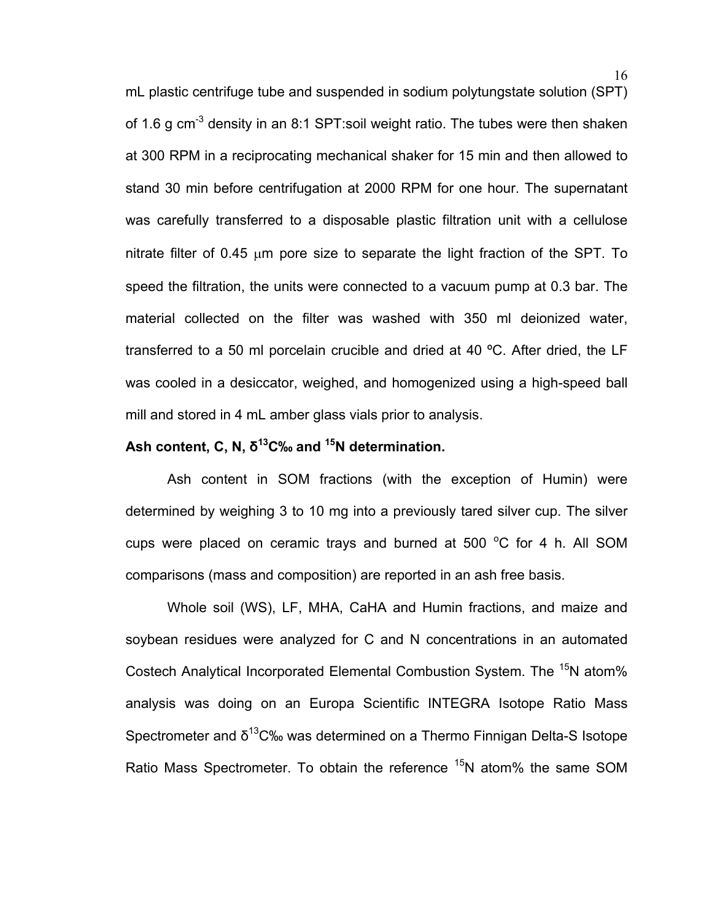mL plastic centrifuge tube and suspended in sodium polytungstate solution (SPT) of 1.6 g cm<sup>-3</sup> density in an 8:1 SPT:soil weight ratio. The tubes were then shaken at 300 RPM in a reciprocating mechanical shaker for 15 min and then allowed to stand 30 min before centrifugation at 2000 RPM for one hour. The supernatant was carefully transferred to a disposable plastic filtration unit with a cellulose nitrate filter of 0.45  $\mu$ m pore size to separate the light fraction of the SPT. To speed the filtration, the units were connected to a vacuum pump at 0.3 bar. The material collected on the filter was washed with 350 ml deionized water, transferred to a 50 ml porcelain crucible and dried at 40 ºC. After dried, the LF was cooled in a desiccator, weighed, and homogenized using a high-speed ball mill and stored in 4 mL amber glass vials prior to analysis.

### **Ash content, C, N, δ13C‰ and 15N determination.**

Ash content in SOM fractions (with the exception of Humin) were determined by weighing 3 to 10 mg into a previously tared silver cup. The silver cups were placed on ceramic trays and burned at 500  $^{\circ}$ C for 4 h. All SOM comparisons (mass and composition) are reported in an ash free basis.

Whole soil (WS), LF, MHA, CaHA and Humin fractions, and maize and soybean residues were analyzed for C and N concentrations in an automated Costech Analytical Incorporated Elemental Combustion System. The <sup>15</sup>N atom% analysis was doing on an Europa Scientific INTEGRA Isotope Ratio Mass Spectrometer and δ<sup>13</sup>C‰ was determined on a Thermo Finnigan Delta-S Isotope Ratio Mass Spectrometer. To obtain the reference <sup>15</sup>N atom% the same SOM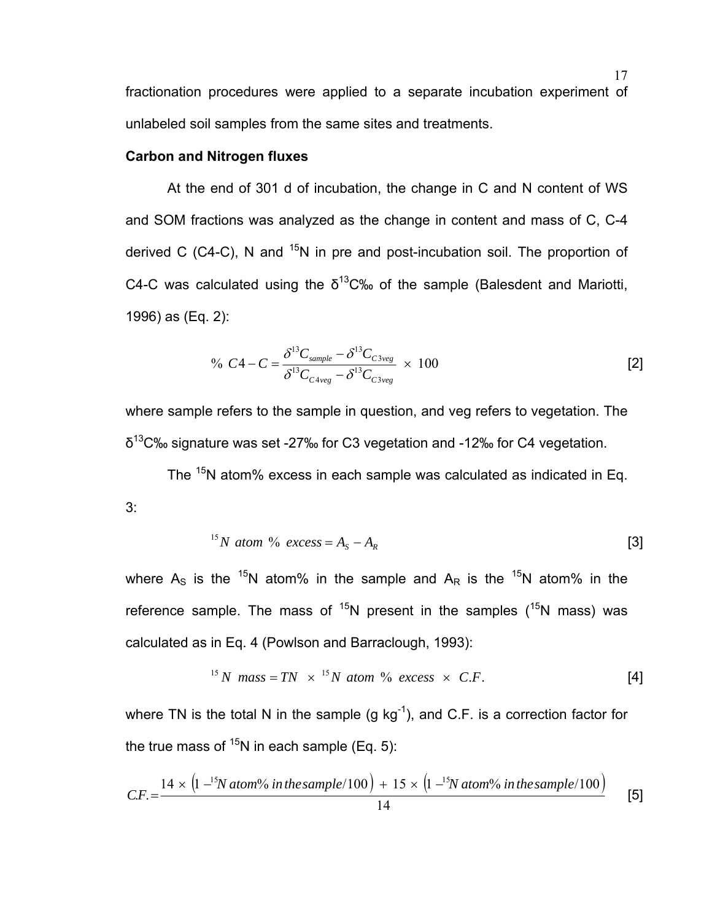fractionation procedures were applied to a separate incubation experiment of unlabeled soil samples from the same sites and treatments.

#### **Carbon and Nitrogen fluxes**

At the end of 301 d of incubation, the change in C and N content of WS and SOM fractions was analyzed as the change in content and mass of C, C-4 derived C (C4-C), N and  $15N$  in pre and post-incubation soil. The proportion of C4-C was calculated using the  $\delta^{13}$ C‰ of the sample (Balesdent and Mariotti, 1996) as (Eq. 2):

$$
\% \ C4 - C = \frac{\delta^{13}C_{sample} - \delta^{13}C_{C3veg}}{\delta^{13}C_{C4veg} - \delta^{13}C_{C3veg}} \times 100
$$
 [2]

where sample refers to the sample in question, and veg refers to vegetation. The  $\delta^{13}$ C‰ signature was set -27‰ for C3 vegetation and -12‰ for C4 vegetation.

The <sup>15</sup>N atom% excess in each sample was calculated as indicated in Eq. 3:

<sup>15</sup>N atom % excess = 
$$
A_s - A_R
$$
 [3]

where  $A_S$  is the <sup>15</sup>N atom% in the sample and  $A_R$  is the <sup>15</sup>N atom% in the reference sample. The mass of  $^{15}N$  present in the samples  $(^{15}N$  mass) was calculated as in Eq. 4 (Powlson and Barraclough, 1993):

$$
^{15}N \text{ mass} = TN \times ^{15}N \text{ atom } \% \text{ excess} \times C.F. \tag{4}
$$

where TN is the total N in the sample  $(g \ kg^{-1})$ , and C.F. is a correction factor for the true mass of  $15N$  in each sample (Eq. 5):

$$
CF. = \frac{14 \times (1)^{-15} \text{N atom\% in the sample} / 100 + 15 \times (1)^{-15} \text{N atom\% in the sample} / 100}{14}
$$
 [5]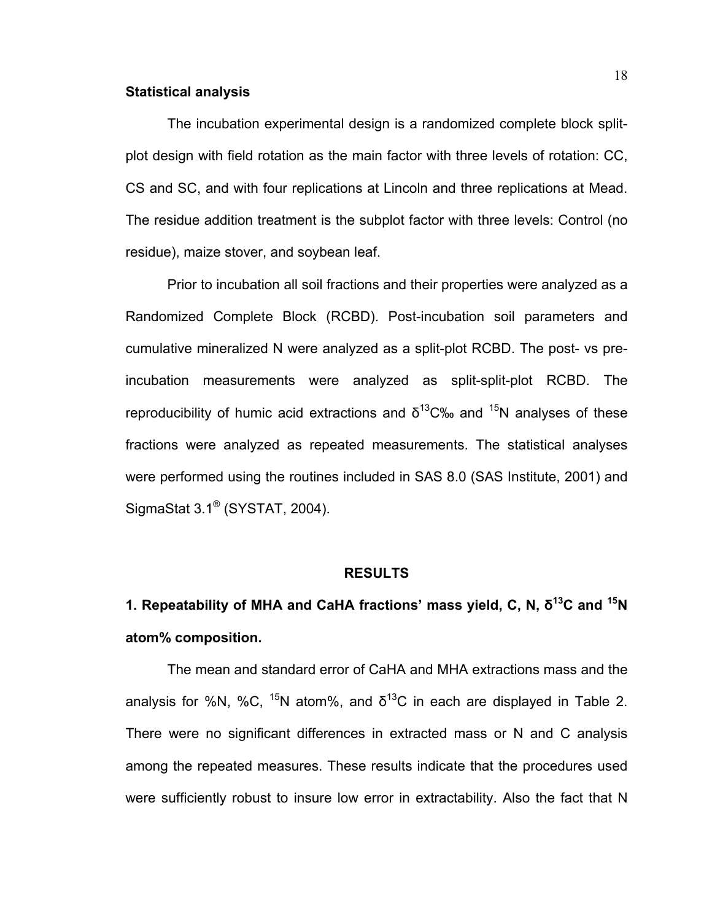#### **Statistical analysis**

The incubation experimental design is a randomized complete block splitplot design with field rotation as the main factor with three levels of rotation: CC, CS and SC, and with four replications at Lincoln and three replications at Mead. The residue addition treatment is the subplot factor with three levels: Control (no residue), maize stover, and soybean leaf.

Prior to incubation all soil fractions and their properties were analyzed as a Randomized Complete Block (RCBD). Post-incubation soil parameters and cumulative mineralized N were analyzed as a split-plot RCBD. The post- vs preincubation measurements were analyzed as split-split-plot RCBD. The reproducibility of humic acid extractions and  $\delta^{13}$ C‰ and  $^{15}N$  analyses of these fractions were analyzed as repeated measurements. The statistical analyses were performed using the routines included in SAS 8.0 (SAS Institute, 2001) and SigmaStat 3.1® (SYSTAT, 2004).

#### **RESULTS**

# **1. Repeatability of MHA and CaHA fractions' mass yield, C, N, δ13C and 15N atom% composition.**

The mean and standard error of CaHA and MHA extractions mass and the analysis for %N, %C, <sup>15</sup>N atom%, and  $\delta^{13}$ C in each are displayed in Table 2. There were no significant differences in extracted mass or N and C analysis among the repeated measures. These results indicate that the procedures used were sufficiently robust to insure low error in extractability. Also the fact that N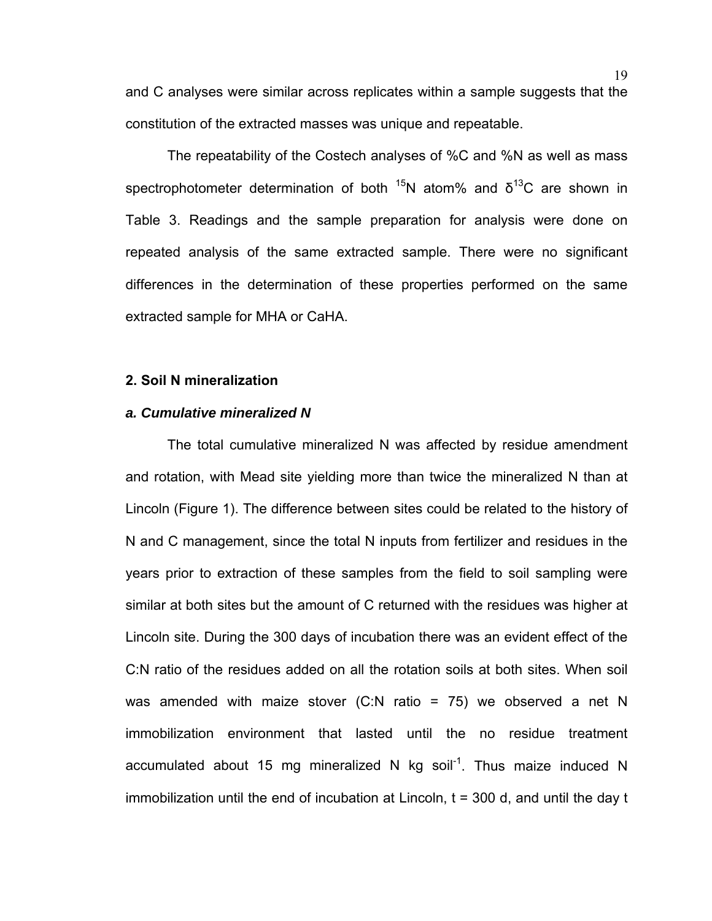and C analyses were similar across replicates within a sample suggests that the constitution of the extracted masses was unique and repeatable.

The repeatability of the Costech analyses of %C and %N as well as mass spectrophotometer determination of both  $^{15}N$  atom% and  $\delta^{13}C$  are shown in Table 3. Readings and the sample preparation for analysis were done on repeated analysis of the same extracted sample. There were no significant differences in the determination of these properties performed on the same extracted sample for MHA or CaHA.

#### **2. Soil N mineralization**

#### *a. Cumulative mineralized N*

The total cumulative mineralized N was affected by residue amendment and rotation, with Mead site yielding more than twice the mineralized N than at Lincoln (Figure 1). The difference between sites could be related to the history of N and C management, since the total N inputs from fertilizer and residues in the years prior to extraction of these samples from the field to soil sampling were similar at both sites but the amount of C returned with the residues was higher at Lincoln site. During the 300 days of incubation there was an evident effect of the C:N ratio of the residues added on all the rotation soils at both sites. When soil was amended with maize stover (C:N ratio = 75) we observed a net N immobilization environment that lasted until the no residue treatment accumulated about 15 mg mineralized N kg soil<sup>-1</sup>. Thus maize induced N immobilization until the end of incubation at Lincoln,  $t = 300$  d, and until the day t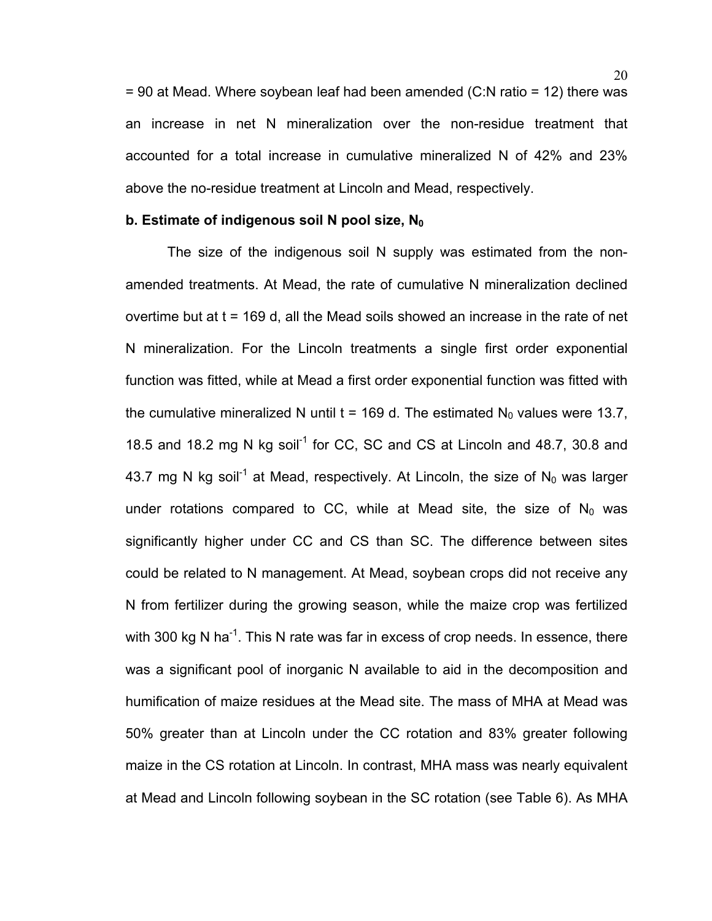= 90 at Mead. Where soybean leaf had been amended (C:N ratio = 12) there was an increase in net N mineralization over the non-residue treatment that accounted for a total increase in cumulative mineralized N of 42% and 23% above the no-residue treatment at Lincoln and Mead, respectively.

#### **b. Estimate of indigenous soil N pool size, N<sub>0</sub>**

The size of the indigenous soil N supply was estimated from the nonamended treatments. At Mead, the rate of cumulative N mineralization declined overtime but at  $t = 169$  d, all the Mead soils showed an increase in the rate of net N mineralization. For the Lincoln treatments a single first order exponential function was fitted, while at Mead a first order exponential function was fitted with the cumulative mineralized N until t = 169 d. The estimated  $N_0$  values were 13.7, 18.5 and 18.2 mg N kg soil<sup>-1</sup> for CC, SC and CS at Lincoln and 48.7, 30.8 and 43.7 mg N kg soil<sup>-1</sup> at Mead, respectively. At Lincoln, the size of N<sub>0</sub> was larger under rotations compared to CC, while at Mead site, the size of  $N_0$  was significantly higher under CC and CS than SC. The difference between sites could be related to N management. At Mead, soybean crops did not receive any N from fertilizer during the growing season, while the maize crop was fertilized with 300 kg N ha<sup>-1</sup>. This N rate was far in excess of crop needs. In essence, there was a significant pool of inorganic N available to aid in the decomposition and humification of maize residues at the Mead site. The mass of MHA at Mead was 50% greater than at Lincoln under the CC rotation and 83% greater following maize in the CS rotation at Lincoln. In contrast, MHA mass was nearly equivalent at Mead and Lincoln following soybean in the SC rotation (see Table 6). As MHA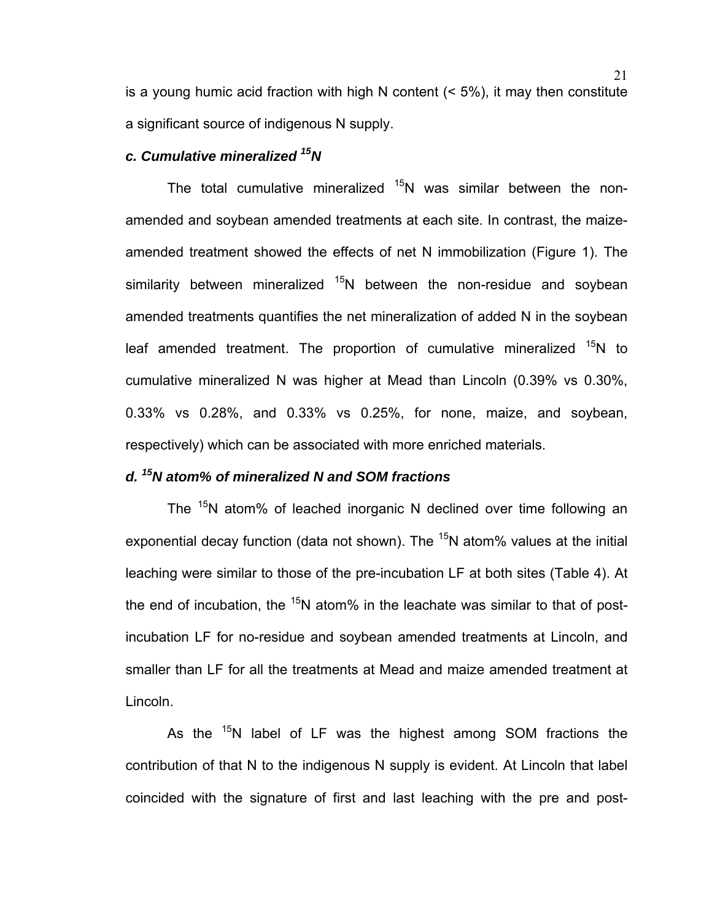is a young humic acid fraction with high N content (< 5%), it may then constitute a significant source of indigenous N supply.

#### *c. Cumulative mineralized 15N*

The total cumulative mineralized  $15N$  was similar between the nonamended and soybean amended treatments at each site. In contrast, the maizeamended treatment showed the effects of net N immobilization (Figure 1). The similarity between mineralized  $15N$  between the non-residue and soybean amended treatments quantifies the net mineralization of added N in the soybean leaf amended treatment. The proportion of cumulative mineralized <sup>15</sup>N to cumulative mineralized N was higher at Mead than Lincoln (0.39% vs 0.30%, 0.33% vs 0.28%, and 0.33% vs 0.25%, for none, maize, and soybean, respectively) which can be associated with more enriched materials.

### *d. 15N atom% of mineralized N and SOM fractions*

The <sup>15</sup>N atom% of leached inorganic N declined over time following an exponential decay function (data not shown). The  $15N$  atom% values at the initial leaching were similar to those of the pre-incubation LF at both sites (Table 4). At the end of incubation, the  $15N$  atom% in the leachate was similar to that of postincubation LF for no-residue and soybean amended treatments at Lincoln, and smaller than LF for all the treatments at Mead and maize amended treatment at Lincoln.

As the <sup>15</sup>N label of LF was the highest among SOM fractions the contribution of that N to the indigenous N supply is evident. At Lincoln that label coincided with the signature of first and last leaching with the pre and post-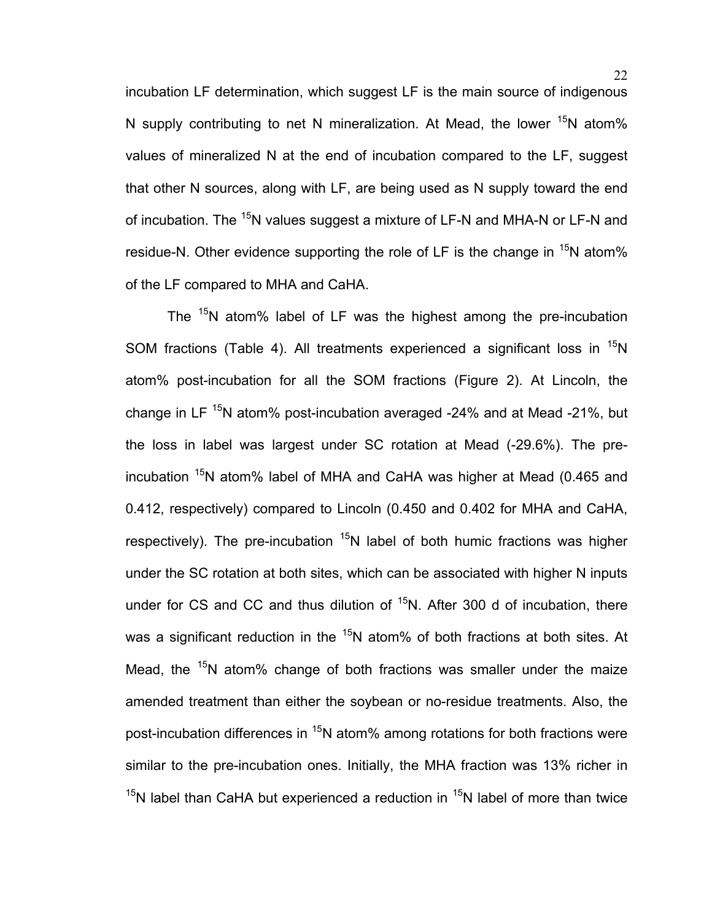incubation LF determination, which suggest LF is the main source of indigenous N supply contributing to net N mineralization. At Mead, the lower  $15N$  atom% values of mineralized N at the end of incubation compared to the LF, suggest that other N sources, along with LF, are being used as N supply toward the end of incubation. The  $15N$  values suggest a mixture of LF-N and MHA-N or LF-N and residue-N. Other evidence supporting the role of LF is the change in <sup>15</sup>N atom% of the LF compared to MHA and CaHA.

The  $15N$  atom% label of LF was the highest among the pre-incubation SOM fractions (Table 4). All treatments experienced a significant loss in  $^{15}N$ atom% post-incubation for all the SOM fractions (Figure 2). At Lincoln, the change in LF  $15N$  atom% post-incubation averaged -24% and at Mead -21%, but the loss in label was largest under SC rotation at Mead (-29.6%). The preincubation <sup>15</sup>N atom% label of MHA and CaHA was higher at Mead (0.465 and 0.412, respectively) compared to Lincoln (0.450 and 0.402 for MHA and CaHA, respectively). The pre-incubation  $15N$  label of both humic fractions was higher under the SC rotation at both sites, which can be associated with higher N inputs under for CS and CC and thus dilution of  $15$ N. After 300 d of incubation, there was a significant reduction in the  $15N$  atom% of both fractions at both sites. At Mead, the  $15N$  atom% change of both fractions was smaller under the maize amended treatment than either the soybean or no-residue treatments. Also, the post-incubation differences in  $15N$  atom% among rotations for both fractions were similar to the pre-incubation ones. Initially, the MHA fraction was 13% richer in  $15$ N label than CaHA but experienced a reduction in  $15$ N label of more than twice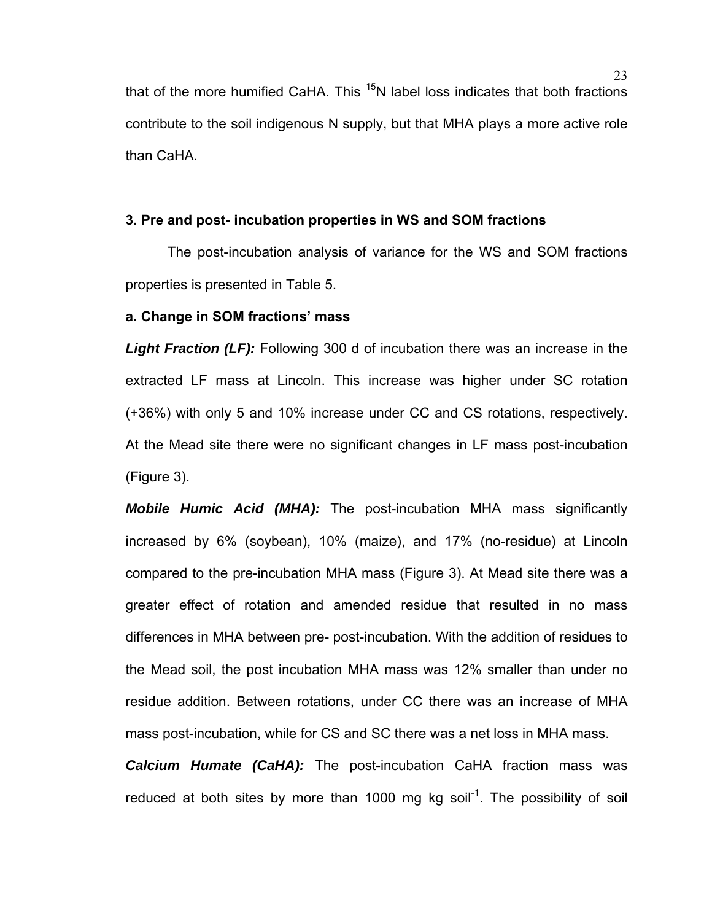that of the more humified CaHA. This  $15$ N label loss indicates that both fractions contribute to the soil indigenous N supply, but that MHA plays a more active role than CaHA.

#### **3. Pre and post- incubation properties in WS and SOM fractions**

The post-incubation analysis of variance for the WS and SOM fractions properties is presented in Table 5.

#### **a. Change in SOM fractions' mass**

*Light Fraction (LF):* Following 300 d of incubation there was an increase in the extracted LF mass at Lincoln. This increase was higher under SC rotation (+36%) with only 5 and 10% increase under CC and CS rotations, respectively. At the Mead site there were no significant changes in LF mass post-incubation (Figure 3).

*Mobile Humic Acid (MHA):* The post-incubation MHA mass significantly increased by 6% (soybean), 10% (maize), and 17% (no-residue) at Lincoln compared to the pre-incubation MHA mass (Figure 3). At Mead site there was a greater effect of rotation and amended residue that resulted in no mass differences in MHA between pre- post-incubation. With the addition of residues to the Mead soil, the post incubation MHA mass was 12% smaller than under no residue addition. Between rotations, under CC there was an increase of MHA mass post-incubation, while for CS and SC there was a net loss in MHA mass.

*Calcium Humate (CaHA):* The post-incubation CaHA fraction mass was reduced at both sites by more than 1000 mg kg soil<sup>-1</sup>. The possibility of soil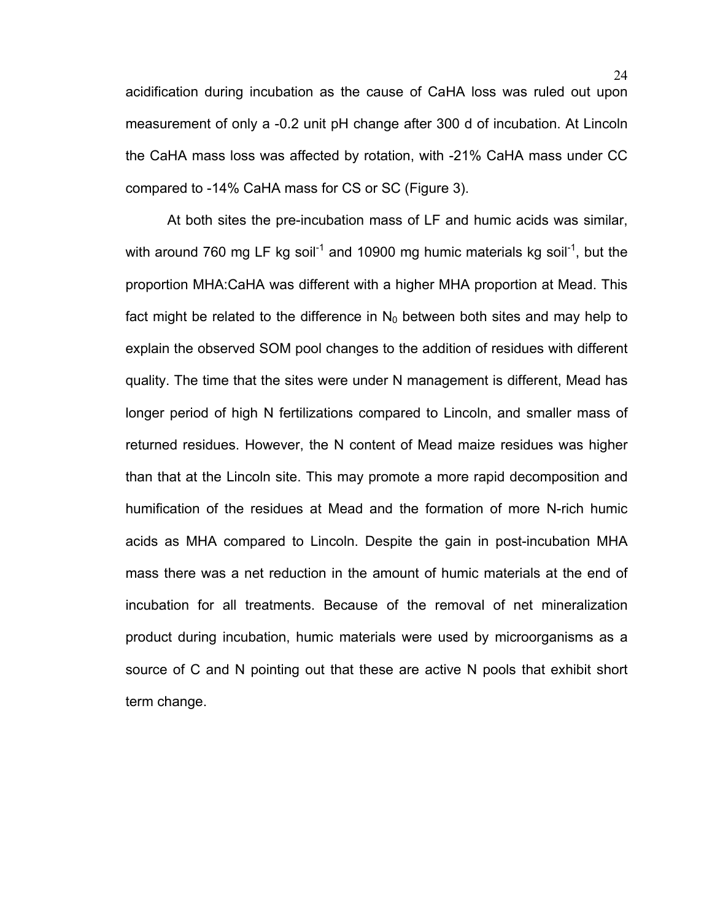acidification during incubation as the cause of CaHA loss was ruled out upon measurement of only a -0.2 unit pH change after 300 d of incubation. At Lincoln the CaHA mass loss was affected by rotation, with -21% CaHA mass under CC compared to -14% CaHA mass for CS or SC (Figure 3).

At both sites the pre-incubation mass of LF and humic acids was similar, with around 760 mg LF kg soil<sup>-1</sup> and 10900 mg humic materials kg soil<sup>-1</sup>, but the proportion MHA:CaHA was different with a higher MHA proportion at Mead. This fact might be related to the difference in  $N_0$  between both sites and may help to explain the observed SOM pool changes to the addition of residues with different quality. The time that the sites were under N management is different, Mead has longer period of high N fertilizations compared to Lincoln, and smaller mass of returned residues. However, the N content of Mead maize residues was higher than that at the Lincoln site. This may promote a more rapid decomposition and humification of the residues at Mead and the formation of more N-rich humic acids as MHA compared to Lincoln. Despite the gain in post-incubation MHA mass there was a net reduction in the amount of humic materials at the end of incubation for all treatments. Because of the removal of net mineralization product during incubation, humic materials were used by microorganisms as a source of C and N pointing out that these are active N pools that exhibit short term change.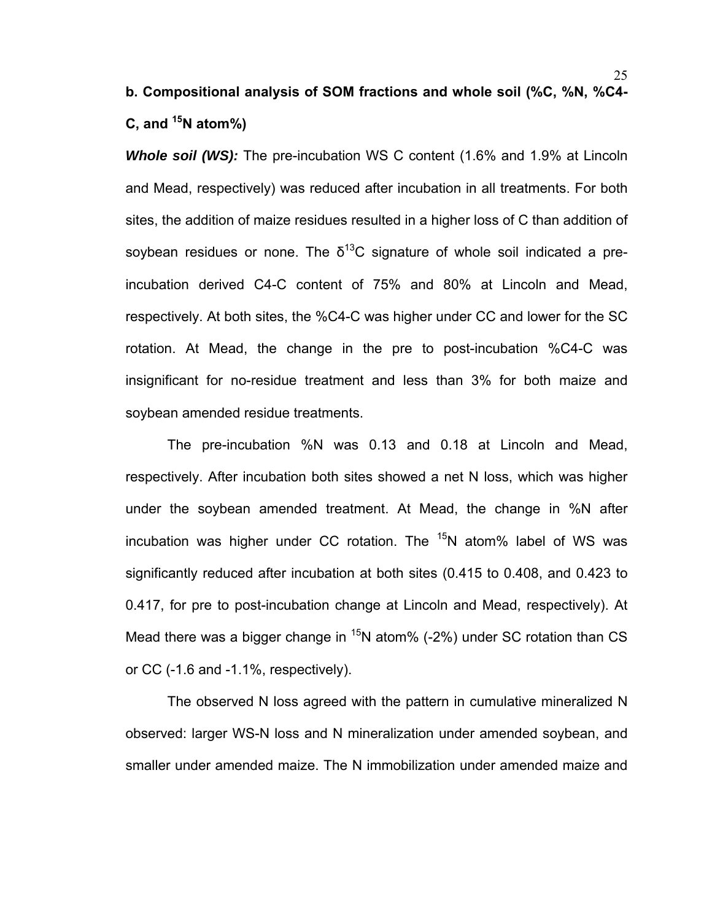# **b. Compositional analysis of SOM fractions and whole soil (%C, %N, %C4- C, and 15N atom%)**

*Whole soil (WS):* The pre-incubation WS C content (1.6% and 1.9% at Lincoln and Mead, respectively) was reduced after incubation in all treatments. For both sites, the addition of maize residues resulted in a higher loss of C than addition of soybean residues or none. The  $\delta^{13}$ C signature of whole soil indicated a preincubation derived C4-C content of 75% and 80% at Lincoln and Mead, respectively. At both sites, the %C4-C was higher under CC and lower for the SC rotation. At Mead, the change in the pre to post-incubation %C4-C was insignificant for no-residue treatment and less than 3% for both maize and soybean amended residue treatments.

The pre-incubation %N was 0.13 and 0.18 at Lincoln and Mead, respectively. After incubation both sites showed a net N loss, which was higher under the soybean amended treatment. At Mead, the change in %N after incubation was higher under CC rotation. The  $15N$  atom% label of WS was significantly reduced after incubation at both sites (0.415 to 0.408, and 0.423 to 0.417, for pre to post-incubation change at Lincoln and Mead, respectively). At Mead there was a bigger change in  $15N$  atom% (-2%) under SC rotation than CS or CC (-1.6 and -1.1%, respectively).

The observed N loss agreed with the pattern in cumulative mineralized N observed: larger WS-N loss and N mineralization under amended soybean, and smaller under amended maize. The N immobilization under amended maize and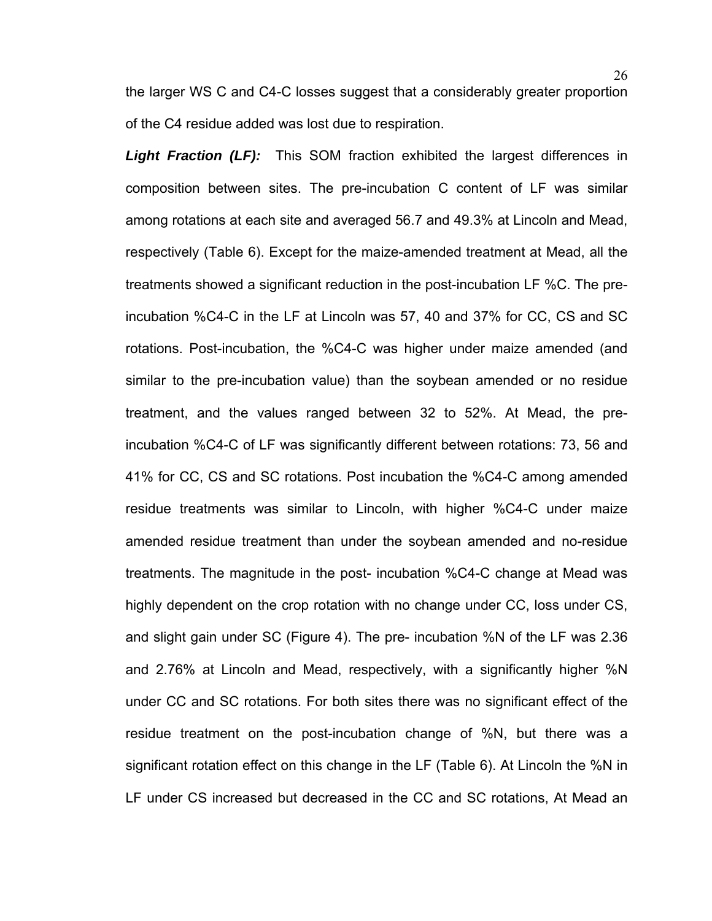the larger WS C and C4-C losses suggest that a considerably greater proportion of the C4 residue added was lost due to respiration.

*Light Fraction (LF):* This SOM fraction exhibited the largest differences in composition between sites. The pre-incubation C content of LF was similar among rotations at each site and averaged 56.7 and 49.3% at Lincoln and Mead, respectively (Table 6). Except for the maize-amended treatment at Mead, all the treatments showed a significant reduction in the post-incubation LF %C. The preincubation %C4-C in the LF at Lincoln was 57, 40 and 37% for CC, CS and SC rotations. Post-incubation, the %C4-C was higher under maize amended (and similar to the pre-incubation value) than the soybean amended or no residue treatment, and the values ranged between 32 to 52%. At Mead, the preincubation %C4-C of LF was significantly different between rotations: 73, 56 and 41% for CC, CS and SC rotations. Post incubation the %C4-C among amended residue treatments was similar to Lincoln, with higher %C4-C under maize amended residue treatment than under the soybean amended and no-residue treatments. The magnitude in the post- incubation %C4-C change at Mead was highly dependent on the crop rotation with no change under CC, loss under CS, and slight gain under SC (Figure 4). The pre- incubation %N of the LF was 2.36 and 2.76% at Lincoln and Mead, respectively, with a significantly higher %N under CC and SC rotations. For both sites there was no significant effect of the residue treatment on the post-incubation change of %N, but there was a significant rotation effect on this change in the LF (Table 6). At Lincoln the %N in LF under CS increased but decreased in the CC and SC rotations, At Mead an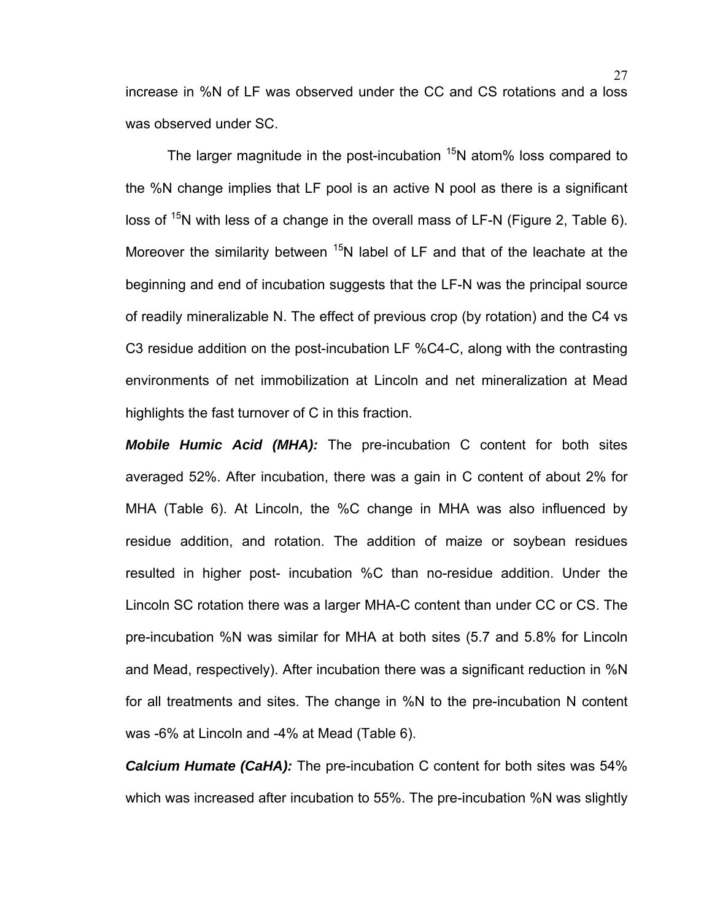increase in %N of LF was observed under the CC and CS rotations and a loss was observed under SC.

The larger magnitude in the post-incubation  $15N$  atom% loss compared to the %N change implies that LF pool is an active N pool as there is a significant loss of  $15N$  with less of a change in the overall mass of LF-N (Figure 2, Table 6). Moreover the similarity between  $15N$  label of LF and that of the leachate at the beginning and end of incubation suggests that the LF-N was the principal source of readily mineralizable N. The effect of previous crop (by rotation) and the C4 vs C3 residue addition on the post-incubation LF %C4-C, along with the contrasting environments of net immobilization at Lincoln and net mineralization at Mead highlights the fast turnover of C in this fraction.

*Mobile Humic Acid (MHA):* The pre-incubation C content for both sites averaged 52%. After incubation, there was a gain in C content of about 2% for MHA (Table 6). At Lincoln, the %C change in MHA was also influenced by residue addition, and rotation. The addition of maize or soybean residues resulted in higher post- incubation %C than no-residue addition. Under the Lincoln SC rotation there was a larger MHA-C content than under CC or CS. The pre-incubation %N was similar for MHA at both sites (5.7 and 5.8% for Lincoln and Mead, respectively). After incubation there was a significant reduction in %N for all treatments and sites. The change in %N to the pre-incubation N content was -6% at Lincoln and -4% at Mead (Table 6).

*Calcium Humate (CaHA):* The pre-incubation C content for both sites was 54% which was increased after incubation to 55%. The pre-incubation %N was slightly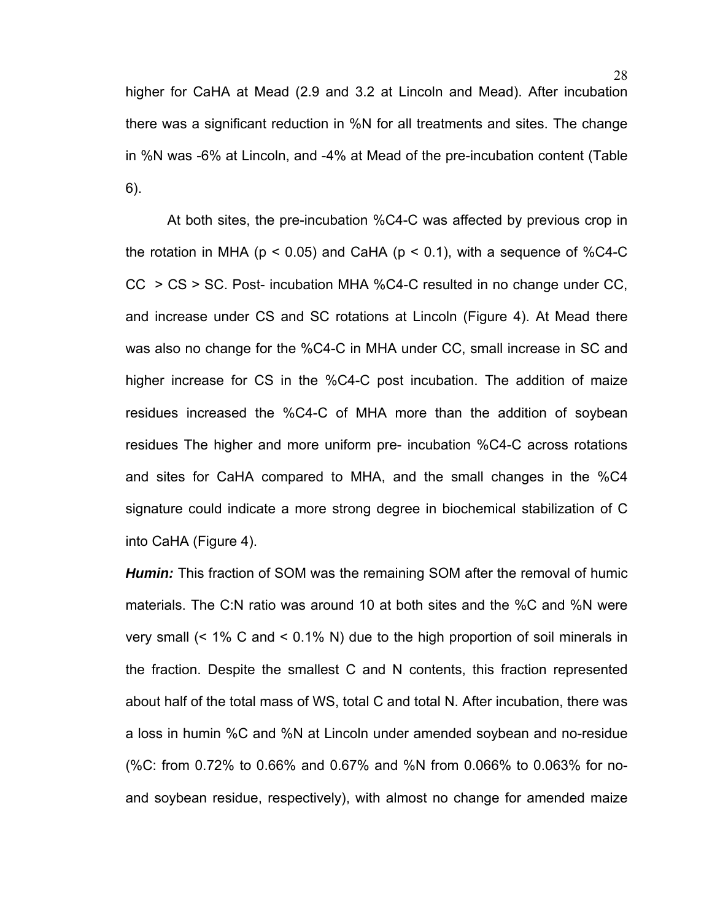higher for CaHA at Mead (2.9 and 3.2 at Lincoln and Mead). After incubation there was a significant reduction in %N for all treatments and sites. The change in %N was -6% at Lincoln, and -4% at Mead of the pre-incubation content (Table 6).

At both sites, the pre-incubation %C4-C was affected by previous crop in the rotation in MHA ( $p < 0.05$ ) and CaHA ( $p < 0.1$ ), with a sequence of %C4-C CC > CS > SC. Post- incubation MHA %C4-C resulted in no change under CC, and increase under CS and SC rotations at Lincoln (Figure 4). At Mead there was also no change for the %C4-C in MHA under CC, small increase in SC and higher increase for CS in the %C4-C post incubation. The addition of maize residues increased the %C4-C of MHA more than the addition of soybean residues The higher and more uniform pre- incubation %C4-C across rotations and sites for CaHA compared to MHA, and the small changes in the %C4 signature could indicate a more strong degree in biochemical stabilization of C into CaHA (Figure 4).

*Humin:* This fraction of SOM was the remaining SOM after the removal of humic materials. The C:N ratio was around 10 at both sites and the %C and %N were very small (< 1% C and < 0.1% N) due to the high proportion of soil minerals in the fraction. Despite the smallest C and N contents, this fraction represented about half of the total mass of WS, total C and total N. After incubation, there was a loss in humin %C and %N at Lincoln under amended soybean and no-residue (%C: from 0.72% to 0.66% and 0.67% and %N from 0.066% to 0.063% for noand soybean residue, respectively), with almost no change for amended maize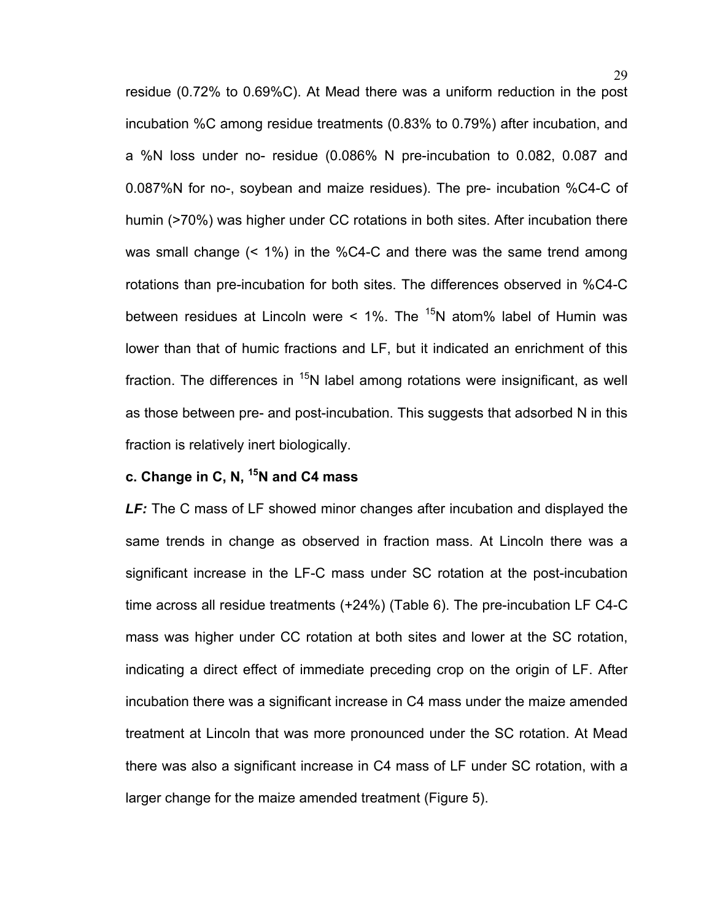residue (0.72% to 0.69%C). At Mead there was a uniform reduction in the post incubation %C among residue treatments (0.83% to 0.79%) after incubation, and a %N loss under no- residue (0.086% N pre-incubation to 0.082, 0.087 and 0.087%N for no-, soybean and maize residues). The pre- incubation %C4-C of humin (>70%) was higher under CC rotations in both sites. After incubation there was small change (< 1%) in the %C4-C and there was the same trend among rotations than pre-incubation for both sites. The differences observed in %C4-C between residues at Lincoln were  $\leq$  1%. The  $^{15}$ N atom% label of Humin was lower than that of humic fractions and LF, but it indicated an enrichment of this fraction. The differences in  $15N$  label among rotations were insignificant, as well as those between pre- and post-incubation. This suggests that adsorbed N in this fraction is relatively inert biologically.

# **c. Change in C, N, 15N and C4 mass**

*LF:* The C mass of LF showed minor changes after incubation and displayed the same trends in change as observed in fraction mass. At Lincoln there was a significant increase in the LF-C mass under SC rotation at the post-incubation time across all residue treatments (+24%) (Table 6). The pre-incubation LF C4-C mass was higher under CC rotation at both sites and lower at the SC rotation, indicating a direct effect of immediate preceding crop on the origin of LF. After incubation there was a significant increase in C4 mass under the maize amended treatment at Lincoln that was more pronounced under the SC rotation. At Mead there was also a significant increase in C4 mass of LF under SC rotation, with a larger change for the maize amended treatment (Figure 5).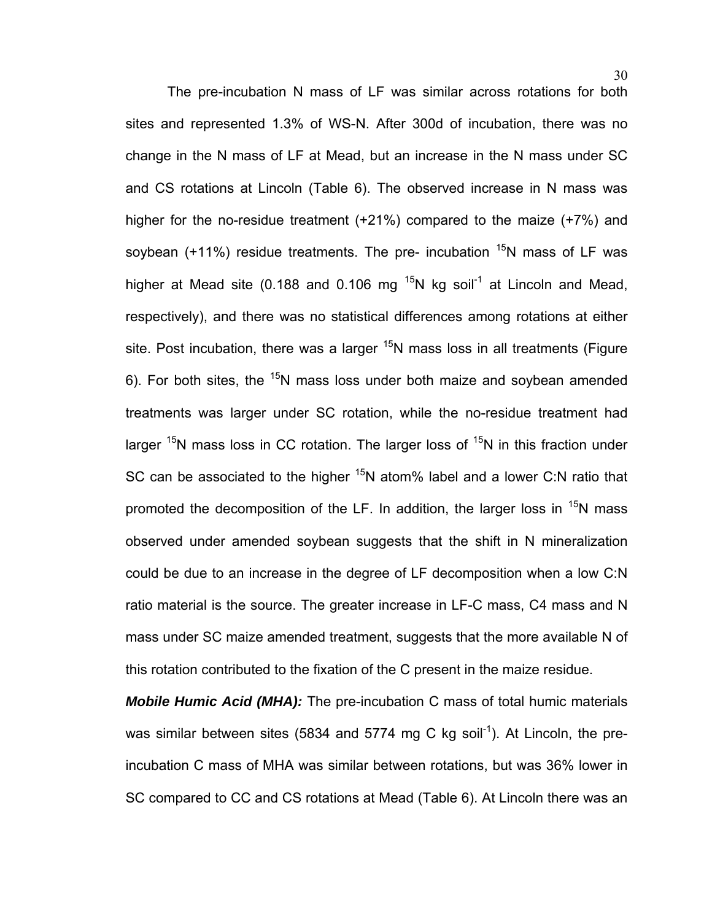The pre-incubation N mass of LF was similar across rotations for both sites and represented 1.3% of WS-N. After 300d of incubation, there was no change in the N mass of LF at Mead, but an increase in the N mass under SC and CS rotations at Lincoln (Table 6). The observed increase in N mass was higher for the no-residue treatment (+21%) compared to the maize (+7%) and soybean  $(+11%)$  residue treatments. The pre- incubation  $^{15}N$  mass of LF was higher at Mead site (0.188 and 0.106 mg  $^{15}N$  kg soil<sup>-1</sup> at Lincoln and Mead, respectively), and there was no statistical differences among rotations at either site. Post incubation, there was a larger  $15N$  mass loss in all treatments (Figure 6). For both sites, the  $15N$  mass loss under both maize and soybean amended treatments was larger under SC rotation, while the no-residue treatment had larger  $15N$  mass loss in CC rotation. The larger loss of  $15N$  in this fraction under SC can be associated to the higher  $15N$  atom% label and a lower C:N ratio that promoted the decomposition of the LF. In addition, the larger loss in  $15N$  mass observed under amended soybean suggests that the shift in N mineralization could be due to an increase in the degree of LF decomposition when a low C:N ratio material is the source. The greater increase in LF-C mass, C4 mass and N mass under SC maize amended treatment, suggests that the more available N of this rotation contributed to the fixation of the C present in the maize residue.

*Mobile Humic Acid (MHA):* The pre-incubation C mass of total humic materials was similar between sites (5834 and 5774 mg C kg soil<sup>-1</sup>). At Lincoln, the preincubation C mass of MHA was similar between rotations, but was 36% lower in SC compared to CC and CS rotations at Mead (Table 6). At Lincoln there was an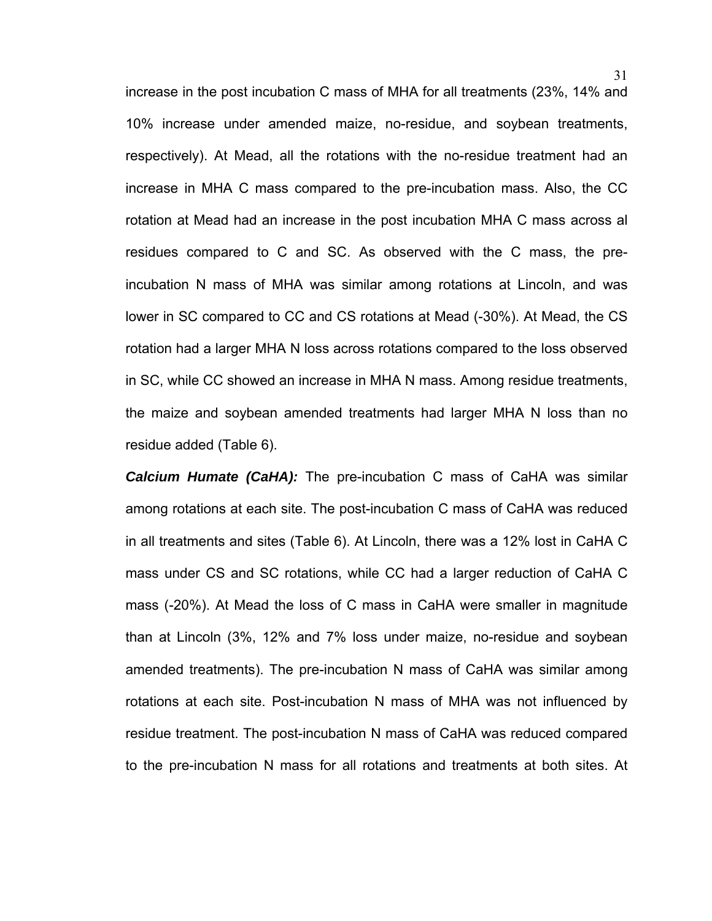increase in the post incubation C mass of MHA for all treatments (23%, 14% and 10% increase under amended maize, no-residue, and soybean treatments, respectively). At Mead, all the rotations with the no-residue treatment had an increase in MHA C mass compared to the pre-incubation mass. Also, the CC rotation at Mead had an increase in the post incubation MHA C mass across al residues compared to C and SC. As observed with the C mass, the preincubation N mass of MHA was similar among rotations at Lincoln, and was lower in SC compared to CC and CS rotations at Mead (-30%). At Mead, the CS rotation had a larger MHA N loss across rotations compared to the loss observed in SC, while CC showed an increase in MHA N mass. Among residue treatments, the maize and soybean amended treatments had larger MHA N loss than no residue added (Table 6).

*Calcium Humate (CaHA):* The pre-incubation C mass of CaHA was similar among rotations at each site. The post-incubation C mass of CaHA was reduced in all treatments and sites (Table 6). At Lincoln, there was a 12% lost in CaHA C mass under CS and SC rotations, while CC had a larger reduction of CaHA C mass (-20%). At Mead the loss of C mass in CaHA were smaller in magnitude than at Lincoln (3%, 12% and 7% loss under maize, no-residue and soybean amended treatments). The pre-incubation N mass of CaHA was similar among rotations at each site. Post-incubation N mass of MHA was not influenced by residue treatment. The post-incubation N mass of CaHA was reduced compared to the pre-incubation N mass for all rotations and treatments at both sites. At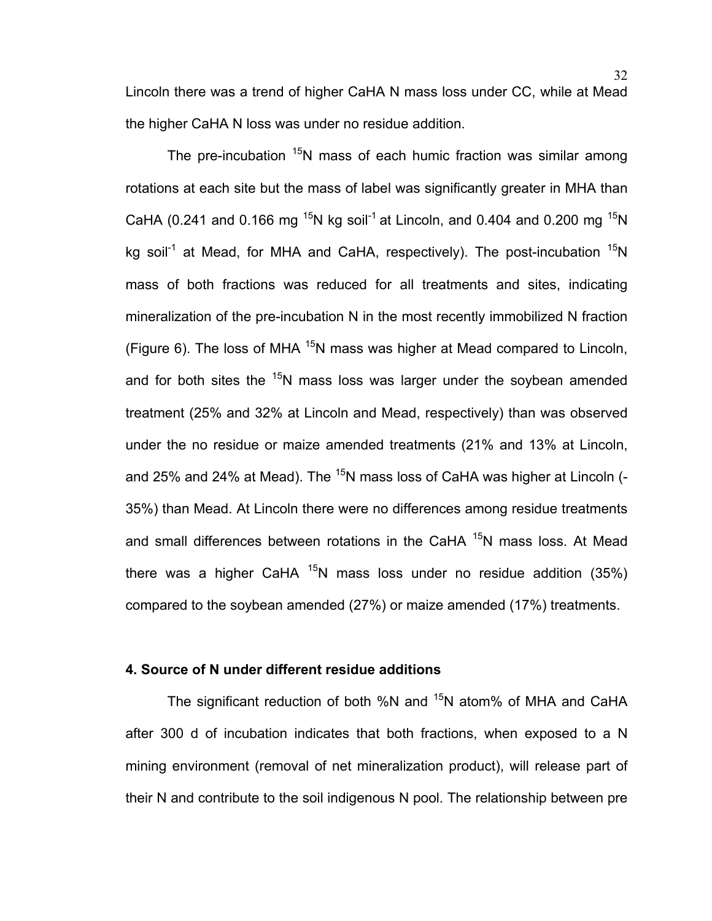Lincoln there was a trend of higher CaHA N mass loss under CC, while at Mead the higher CaHA N loss was under no residue addition.

The pre-incubation  $15N$  mass of each humic fraction was similar among rotations at each site but the mass of label was significantly greater in MHA than CaHA (0.241 and 0.166 mg <sup>15</sup>N kg soil<sup>-1</sup> at Lincoln, and 0.404 and 0.200 mg <sup>15</sup>N kg soil<sup>-1</sup> at Mead, for MHA and CaHA, respectively). The post-incubation  $15N$ mass of both fractions was reduced for all treatments and sites, indicating mineralization of the pre-incubation N in the most recently immobilized N fraction (Figure 6). The loss of MHA  $15N$  mass was higher at Mead compared to Lincoln, and for both sites the  $15N$  mass loss was larger under the soybean amended treatment (25% and 32% at Lincoln and Mead, respectively) than was observed under the no residue or maize amended treatments (21% and 13% at Lincoln, and 25% and 24% at Mead). The  $15N$  mass loss of CaHA was higher at Lincoln (-35%) than Mead. At Lincoln there were no differences among residue treatments and small differences between rotations in the CaHA <sup>15</sup>N mass loss. At Mead there was a higher CaHA  $15N$  mass loss under no residue addition (35%) compared to the soybean amended (27%) or maize amended (17%) treatments.

## **4. Source of N under different residue additions**

The significant reduction of both %N and  $15N$  atom% of MHA and CaHA after 300 d of incubation indicates that both fractions, when exposed to a N mining environment (removal of net mineralization product), will release part of their N and contribute to the soil indigenous N pool. The relationship between pre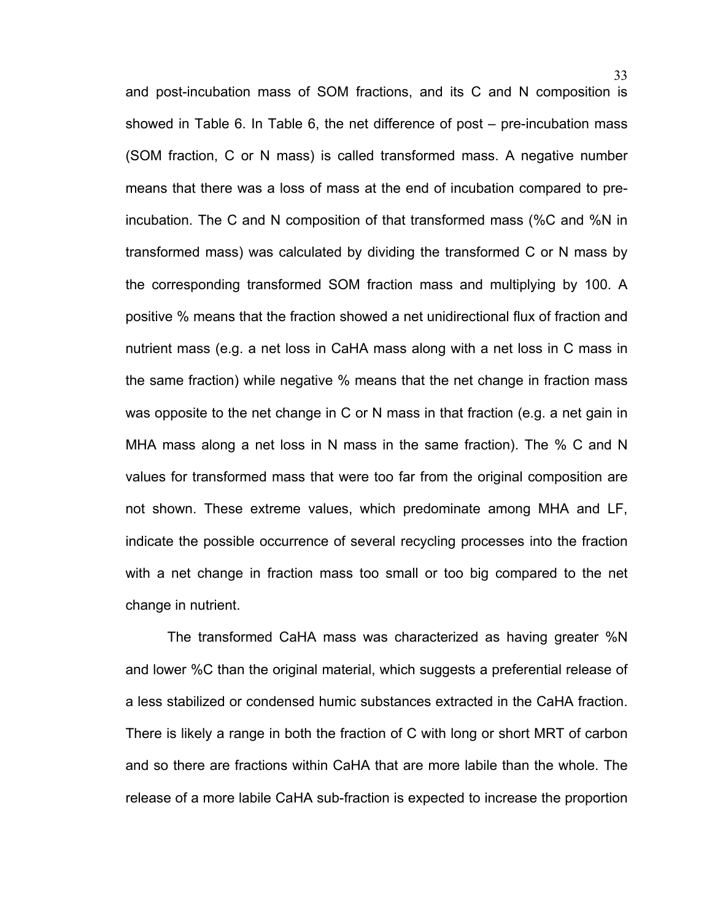and post-incubation mass of SOM fractions, and its C and N composition is showed in Table 6. In Table 6, the net difference of post – pre-incubation mass (SOM fraction, C or N mass) is called transformed mass. A negative number means that there was a loss of mass at the end of incubation compared to preincubation. The C and N composition of that transformed mass (%C and %N in transformed mass) was calculated by dividing the transformed C or N mass by the corresponding transformed SOM fraction mass and multiplying by 100. A positive % means that the fraction showed a net unidirectional flux of fraction and nutrient mass (e.g. a net loss in CaHA mass along with a net loss in C mass in the same fraction) while negative % means that the net change in fraction mass was opposite to the net change in C or N mass in that fraction (e.g. a net gain in MHA mass along a net loss in N mass in the same fraction). The % C and N values for transformed mass that were too far from the original composition are not shown. These extreme values, which predominate among MHA and LF, indicate the possible occurrence of several recycling processes into the fraction with a net change in fraction mass too small or too big compared to the net change in nutrient.

The transformed CaHA mass was characterized as having greater %N and lower %C than the original material, which suggests a preferential release of a less stabilized or condensed humic substances extracted in the CaHA fraction. There is likely a range in both the fraction of C with long or short MRT of carbon and so there are fractions within CaHA that are more labile than the whole. The release of a more labile CaHA sub-fraction is expected to increase the proportion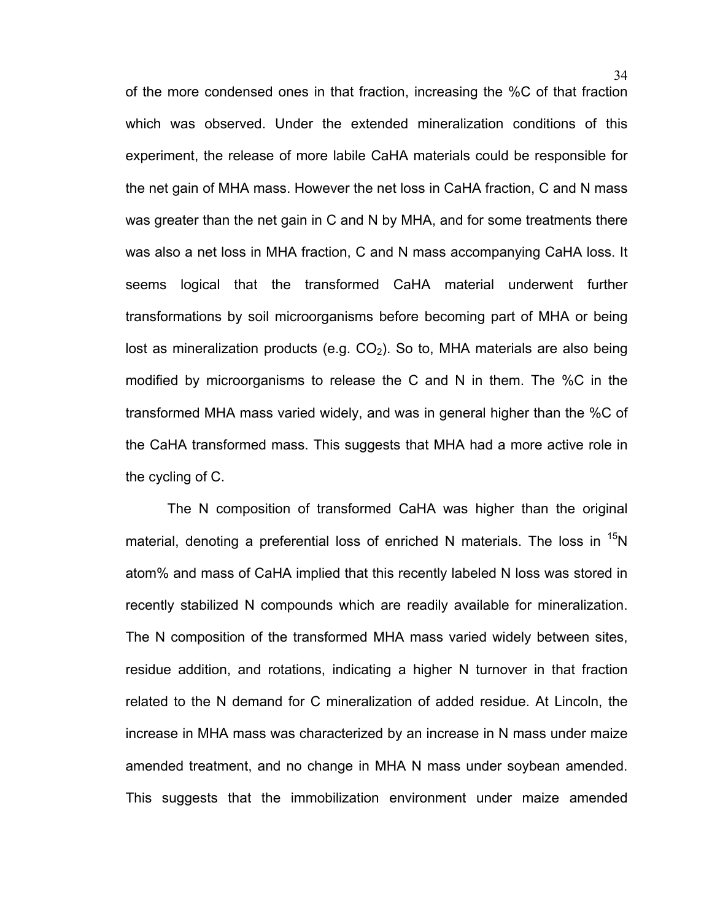of the more condensed ones in that fraction, increasing the %C of that fraction which was observed. Under the extended mineralization conditions of this experiment, the release of more labile CaHA materials could be responsible for the net gain of MHA mass. However the net loss in CaHA fraction, C and N mass was greater than the net gain in C and N by MHA, and for some treatments there was also a net loss in MHA fraction, C and N mass accompanying CaHA loss. It seems logical that the transformed CaHA material underwent further transformations by soil microorganisms before becoming part of MHA or being lost as mineralization products (e.g.  $CO<sub>2</sub>$ ). So to, MHA materials are also being modified by microorganisms to release the C and N in them. The %C in the transformed MHA mass varied widely, and was in general higher than the %C of the CaHA transformed mass. This suggests that MHA had a more active role in the cycling of C.

The N composition of transformed CaHA was higher than the original material, denoting a preferential loss of enriched N materials. The loss in  $15N$ atom% and mass of CaHA implied that this recently labeled N loss was stored in recently stabilized N compounds which are readily available for mineralization. The N composition of the transformed MHA mass varied widely between sites, residue addition, and rotations, indicating a higher N turnover in that fraction related to the N demand for C mineralization of added residue. At Lincoln, the increase in MHA mass was characterized by an increase in N mass under maize amended treatment, and no change in MHA N mass under soybean amended. This suggests that the immobilization environment under maize amended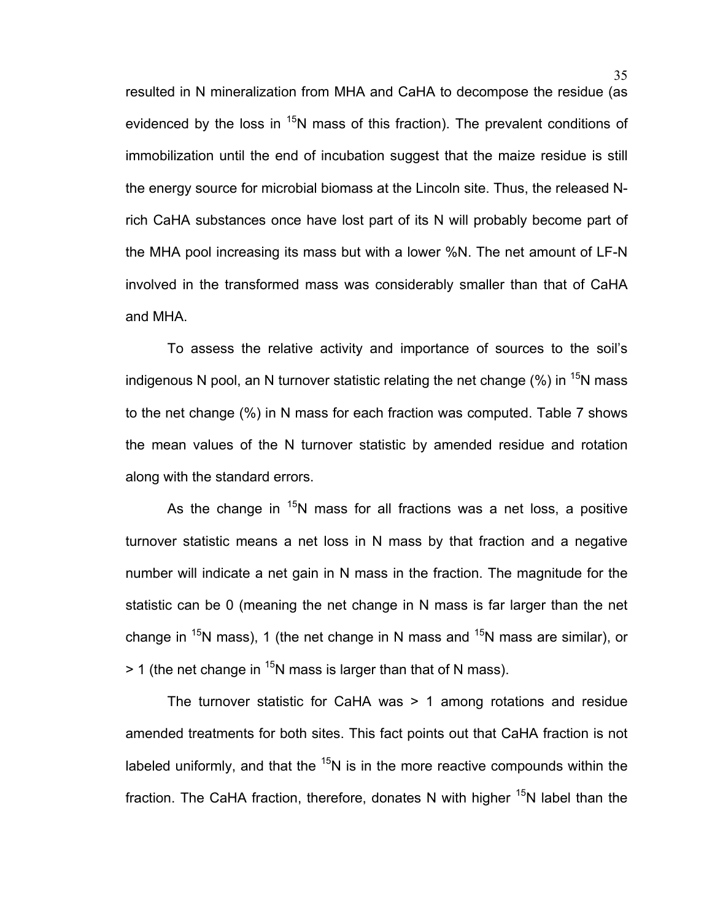resulted in N mineralization from MHA and CaHA to decompose the residue (as evidenced by the loss in  $15N$  mass of this fraction). The prevalent conditions of immobilization until the end of incubation suggest that the maize residue is still the energy source for microbial biomass at the Lincoln site. Thus, the released Nrich CaHA substances once have lost part of its N will probably become part of the MHA pool increasing its mass but with a lower %N. The net amount of LF-N involved in the transformed mass was considerably smaller than that of CaHA and MHA.

To assess the relative activity and importance of sources to the soil's indigenous N pool, an N turnover statistic relating the net change  $\frac{1}{5}N$  mass to the net change (%) in N mass for each fraction was computed. Table 7 shows the mean values of the N turnover statistic by amended residue and rotation along with the standard errors.

As the change in  $15N$  mass for all fractions was a net loss, a positive turnover statistic means a net loss in N mass by that fraction and a negative number will indicate a net gain in N mass in the fraction. The magnitude for the statistic can be 0 (meaning the net change in N mass is far larger than the net change in <sup>15</sup>N mass), 1 (the net change in N mass and <sup>15</sup>N mass are similar), or  $>$  1 (the net change in <sup>15</sup>N mass is larger than that of N mass).

The turnover statistic for CaHA was > 1 among rotations and residue amended treatments for both sites. This fact points out that CaHA fraction is not labeled uniformly, and that the  $15N$  is in the more reactive compounds within the fraction. The CaHA fraction, therefore, donates N with higher  $15N$  label than the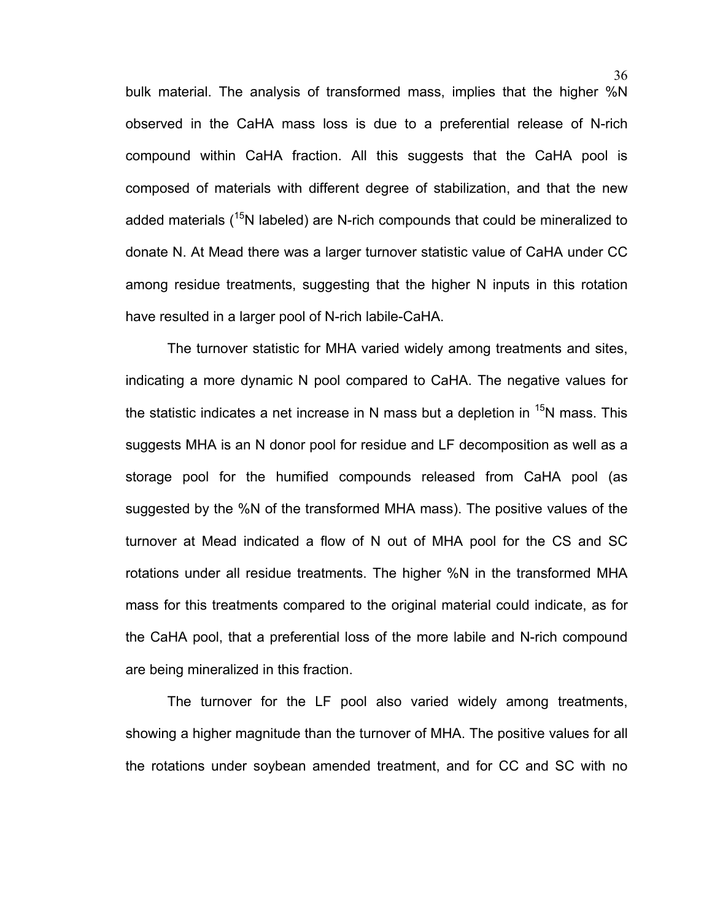bulk material. The analysis of transformed mass, implies that the higher %N observed in the CaHA mass loss is due to a preferential release of N-rich compound within CaHA fraction. All this suggests that the CaHA pool is composed of materials with different degree of stabilization, and that the new added materials ( $15N$  labeled) are N-rich compounds that could be mineralized to donate N. At Mead there was a larger turnover statistic value of CaHA under CC among residue treatments, suggesting that the higher N inputs in this rotation have resulted in a larger pool of N-rich labile-CaHA.

The turnover statistic for MHA varied widely among treatments and sites, indicating a more dynamic N pool compared to CaHA. The negative values for the statistic indicates a net increase in N mass but a depletion in  $15N$  mass. This suggests MHA is an N donor pool for residue and LF decomposition as well as a storage pool for the humified compounds released from CaHA pool (as suggested by the %N of the transformed MHA mass). The positive values of the turnover at Mead indicated a flow of N out of MHA pool for the CS and SC rotations under all residue treatments. The higher %N in the transformed MHA mass for this treatments compared to the original material could indicate, as for the CaHA pool, that a preferential loss of the more labile and N-rich compound are being mineralized in this fraction.

The turnover for the LF pool also varied widely among treatments, showing a higher magnitude than the turnover of MHA. The positive values for all the rotations under soybean amended treatment, and for CC and SC with no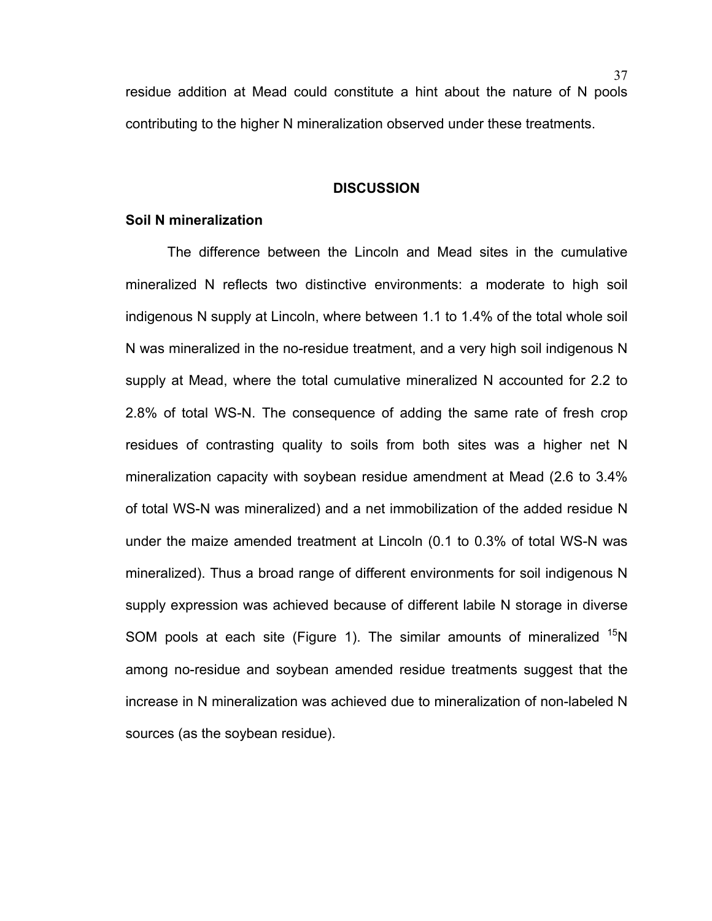residue addition at Mead could constitute a hint about the nature of N pools contributing to the higher N mineralization observed under these treatments.

### **DISCUSSION**

## **Soil N mineralization**

The difference between the Lincoln and Mead sites in the cumulative mineralized N reflects two distinctive environments: a moderate to high soil indigenous N supply at Lincoln, where between 1.1 to 1.4% of the total whole soil N was mineralized in the no-residue treatment, and a very high soil indigenous N supply at Mead, where the total cumulative mineralized N accounted for 2.2 to 2.8% of total WS-N. The consequence of adding the same rate of fresh crop residues of contrasting quality to soils from both sites was a higher net N mineralization capacity with soybean residue amendment at Mead (2.6 to 3.4% of total WS-N was mineralized) and a net immobilization of the added residue N under the maize amended treatment at Lincoln (0.1 to 0.3% of total WS-N was mineralized). Thus a broad range of different environments for soil indigenous N supply expression was achieved because of different labile N storage in diverse SOM pools at each site (Figure 1). The similar amounts of mineralized  $15N$ among no-residue and soybean amended residue treatments suggest that the increase in N mineralization was achieved due to mineralization of non-labeled N sources (as the soybean residue).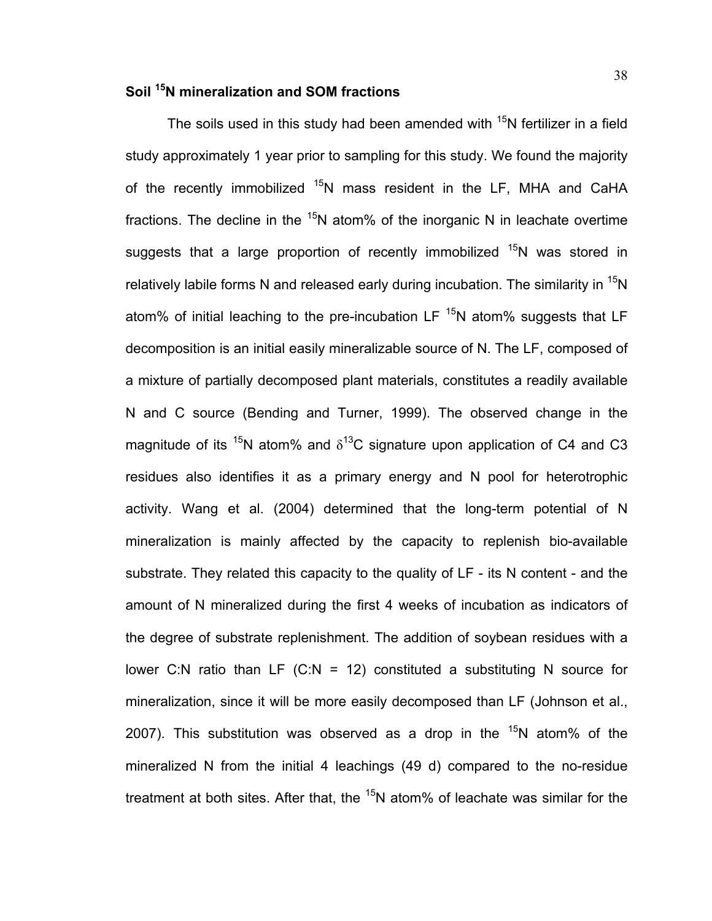# **Soil 15N mineralization and SOM fractions**

The soils used in this study had been amended with  $15N$  fertilizer in a field study approximately 1 year prior to sampling for this study. We found the majority of the recently immobilized <sup>15</sup>N mass resident in the LF, MHA and CaHA fractions. The decline in the  $15N$  atom% of the inorganic N in leachate overtime suggests that a large proportion of recently immobilized  $15N$  was stored in relatively labile forms N and released early during incubation. The similarity in  $^{15}N$ atom% of initial leaching to the pre-incubation LF  $<sup>15</sup>N$  atom% suggests that LF</sup> decomposition is an initial easily mineralizable source of N. The LF, composed of a mixture of partially decomposed plant materials, constitutes a readily available N and C source (Bending and Turner, 1999). The observed change in the magnitude of its  $15N$  atom% and  $\delta^{13}$ C signature upon application of C4 and C3 residues also identifies it as a primary energy and N pool for heterotrophic activity. Wang et al. (2004) determined that the long-term potential of N mineralization is mainly affected by the capacity to replenish bio-available substrate. They related this capacity to the quality of LF - its N content - and the amount of N mineralized during the first 4 weeks of incubation as indicators of the degree of substrate replenishment. The addition of soybean residues with a lower C:N ratio than LF  $(C:N = 12)$  constituted a substituting N source for mineralization, since it will be more easily decomposed than LF (Johnson et al., 2007). This substitution was observed as a drop in the  $15N$  atom% of the mineralized N from the initial 4 leachings (49 d) compared to the no-residue treatment at both sites. After that, the  $15N$  atom% of leachate was similar for the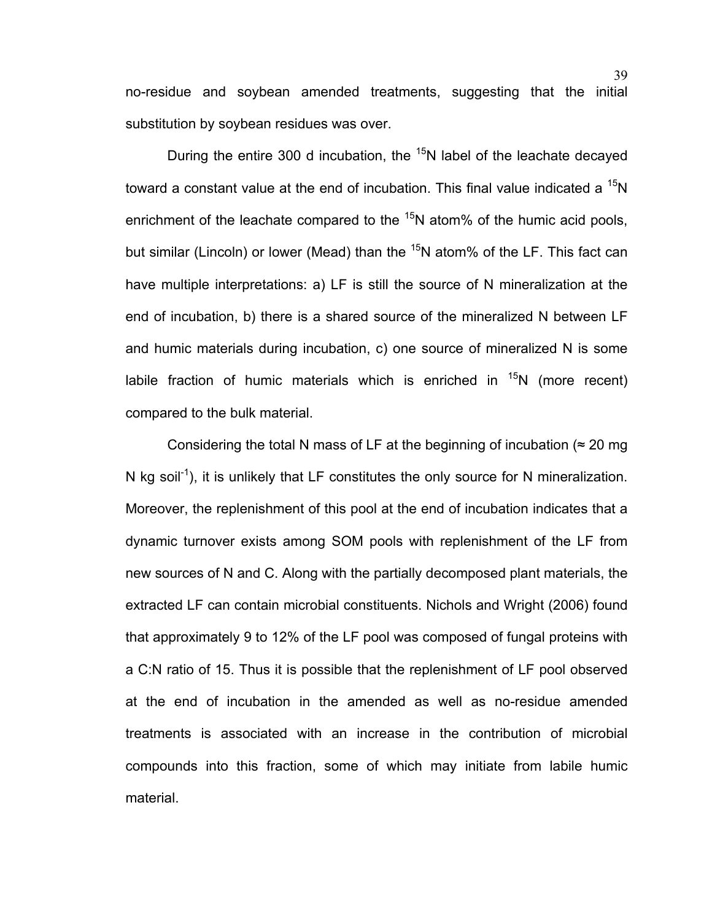no-residue and soybean amended treatments, suggesting that the initial substitution by soybean residues was over.

During the entire 300 d incubation, the  $15$ N label of the leachate decayed toward a constant value at the end of incubation. This final value indicated a  $^{15}N$ enrichment of the leachate compared to the  $15N$  atom% of the humic acid pools, but similar (Lincoln) or lower (Mead) than the  $15N$  atom% of the LF. This fact can have multiple interpretations: a) LF is still the source of N mineralization at the end of incubation, b) there is a shared source of the mineralized N between LF and humic materials during incubation, c) one source of mineralized N is some labile fraction of humic materials which is enriched in  $15N$  (more recent) compared to the bulk material.

Considering the total N mass of LF at the beginning of incubation ( $\approx$  20 mg) N kg soil<sup>-1</sup>), it is unlikely that LF constitutes the only source for N mineralization. Moreover, the replenishment of this pool at the end of incubation indicates that a dynamic turnover exists among SOM pools with replenishment of the LF from new sources of N and C. Along with the partially decomposed plant materials, the extracted LF can contain microbial constituents. Nichols and Wright (2006) found that approximately 9 to 12% of the LF pool was composed of fungal proteins with a C:N ratio of 15. Thus it is possible that the replenishment of LF pool observed at the end of incubation in the amended as well as no-residue amended treatments is associated with an increase in the contribution of microbial compounds into this fraction, some of which may initiate from labile humic material.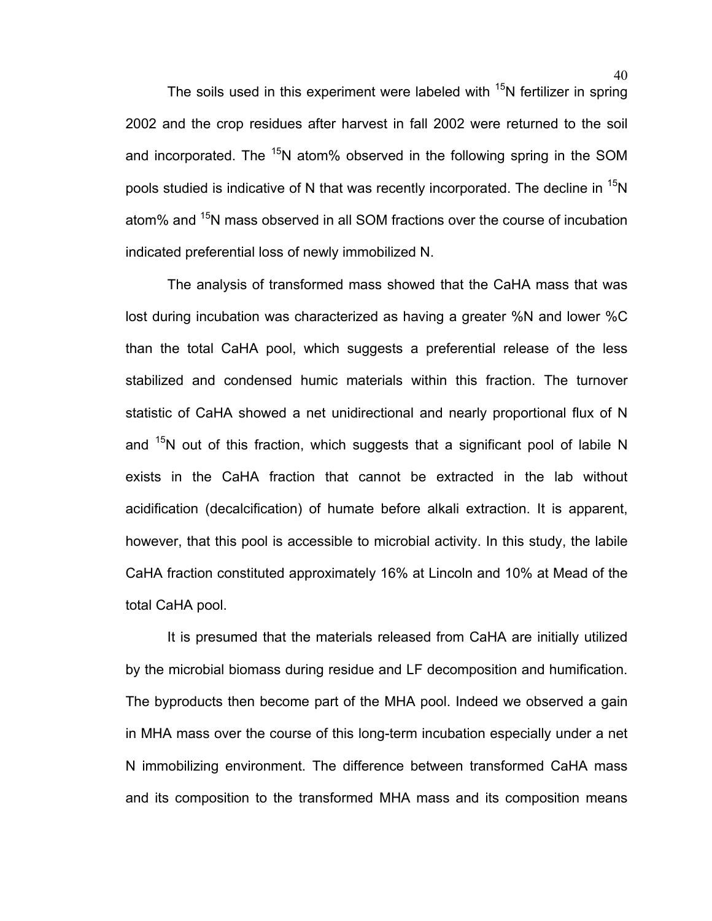The soils used in this experiment were labeled with  $15N$  fertilizer in spring 2002 and the crop residues after harvest in fall 2002 were returned to the soil and incorporated. The  $15N$  atom% observed in the following spring in the SOM pools studied is indicative of N that was recently incorporated. The decline in  $15N$ atom% and <sup>15</sup>N mass observed in all SOM fractions over the course of incubation indicated preferential loss of newly immobilized N.

The analysis of transformed mass showed that the CaHA mass that was lost during incubation was characterized as having a greater %N and lower %C than the total CaHA pool, which suggests a preferential release of the less stabilized and condensed humic materials within this fraction. The turnover statistic of CaHA showed a net unidirectional and nearly proportional flux of N and  $15N$  out of this fraction, which suggests that a significant pool of labile N exists in the CaHA fraction that cannot be extracted in the lab without acidification (decalcification) of humate before alkali extraction. It is apparent, however, that this pool is accessible to microbial activity. In this study, the labile CaHA fraction constituted approximately 16% at Lincoln and 10% at Mead of the total CaHA pool.

It is presumed that the materials released from CaHA are initially utilized by the microbial biomass during residue and LF decomposition and humification. The byproducts then become part of the MHA pool. Indeed we observed a gain in MHA mass over the course of this long-term incubation especially under a net N immobilizing environment. The difference between transformed CaHA mass and its composition to the transformed MHA mass and its composition means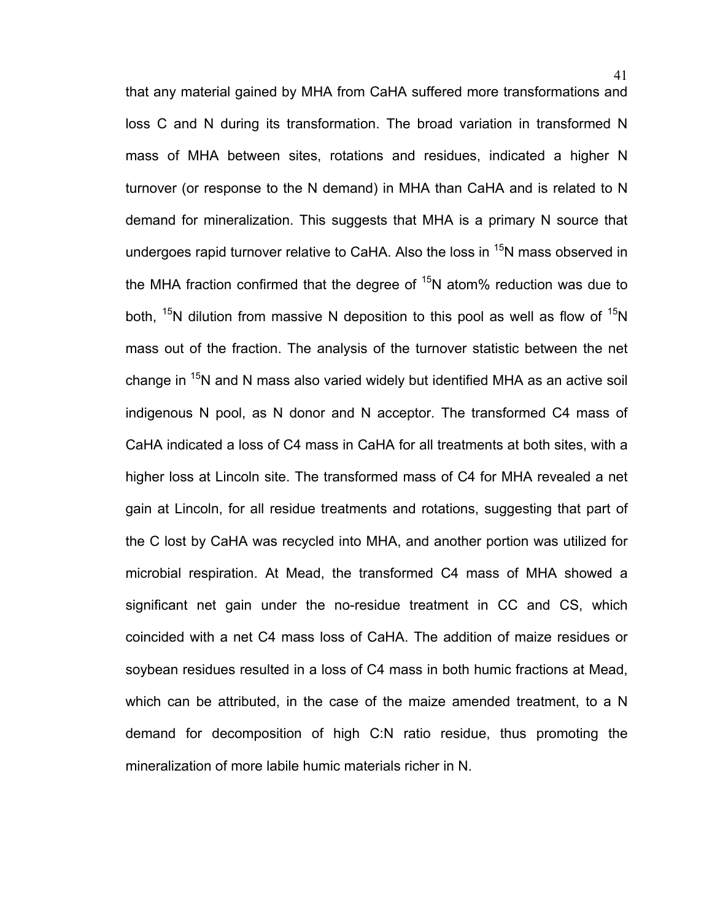that any material gained by MHA from CaHA suffered more transformations and loss C and N during its transformation. The broad variation in transformed N mass of MHA between sites, rotations and residues, indicated a higher N turnover (or response to the N demand) in MHA than CaHA and is related to N demand for mineralization. This suggests that MHA is a primary N source that undergoes rapid turnover relative to CaHA. Also the loss in <sup>15</sup>N mass observed in the MHA fraction confirmed that the degree of  $15N$  atom% reduction was due to both,  $15N$  dilution from massive N deposition to this pool as well as flow of  $15N$ mass out of the fraction. The analysis of the turnover statistic between the net change in  $15N$  and N mass also varied widely but identified MHA as an active soil indigenous N pool, as N donor and N acceptor. The transformed C4 mass of CaHA indicated a loss of C4 mass in CaHA for all treatments at both sites, with a higher loss at Lincoln site. The transformed mass of C4 for MHA revealed a net gain at Lincoln, for all residue treatments and rotations, suggesting that part of the C lost by CaHA was recycled into MHA, and another portion was utilized for microbial respiration. At Mead, the transformed C4 mass of MHA showed a significant net gain under the no-residue treatment in CC and CS, which coincided with a net C4 mass loss of CaHA. The addition of maize residues or soybean residues resulted in a loss of C4 mass in both humic fractions at Mead, which can be attributed, in the case of the maize amended treatment, to a N demand for decomposition of high C:N ratio residue, thus promoting the mineralization of more labile humic materials richer in N.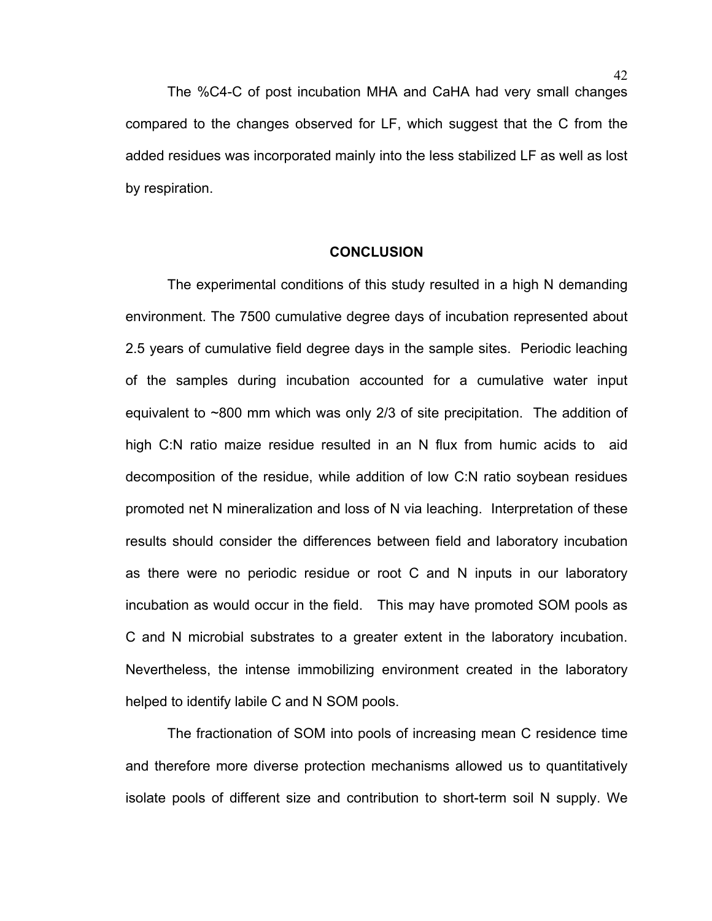The %C4-C of post incubation MHA and CaHA had very small changes compared to the changes observed for LF, which suggest that the C from the added residues was incorporated mainly into the less stabilized LF as well as lost by respiration.

### **CONCLUSION**

The experimental conditions of this study resulted in a high N demanding environment. The 7500 cumulative degree days of incubation represented about 2.5 years of cumulative field degree days in the sample sites. Periodic leaching of the samples during incubation accounted for a cumulative water input equivalent to ~800 mm which was only 2/3 of site precipitation. The addition of high C:N ratio maize residue resulted in an N flux from humic acids to aid decomposition of the residue, while addition of low C:N ratio soybean residues promoted net N mineralization and loss of N via leaching. Interpretation of these results should consider the differences between field and laboratory incubation as there were no periodic residue or root C and N inputs in our laboratory incubation as would occur in the field. This may have promoted SOM pools as C and N microbial substrates to a greater extent in the laboratory incubation. Nevertheless, the intense immobilizing environment created in the laboratory helped to identify labile C and N SOM pools.

The fractionation of SOM into pools of increasing mean C residence time and therefore more diverse protection mechanisms allowed us to quantitatively isolate pools of different size and contribution to short-term soil N supply. We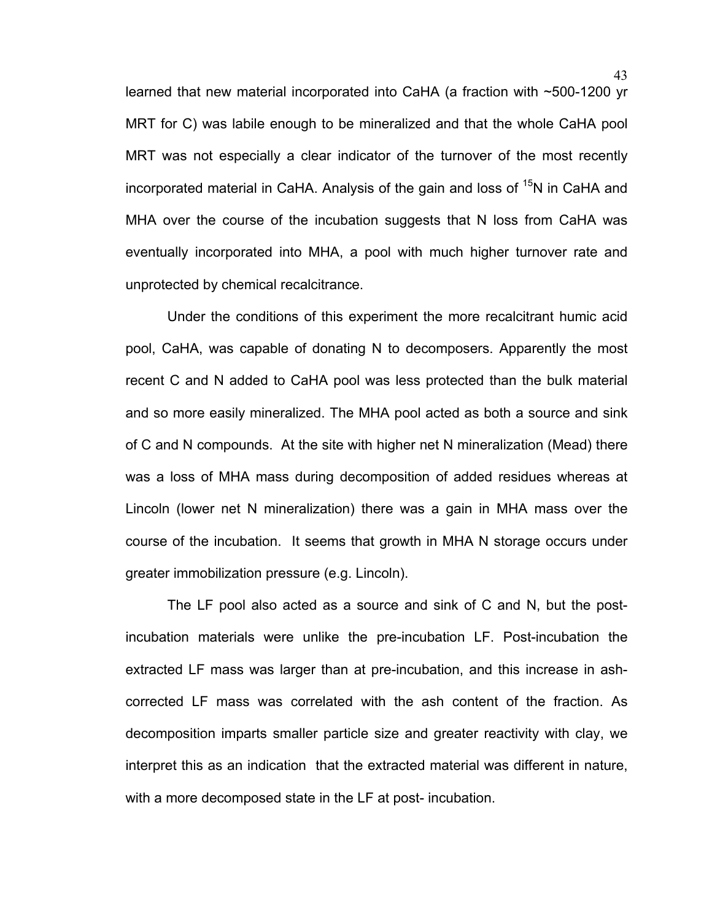learned that new material incorporated into CaHA (a fraction with ~500-1200 yr MRT for C) was labile enough to be mineralized and that the whole CaHA pool MRT was not especially a clear indicator of the turnover of the most recently incorporated material in CaHA. Analysis of the gain and loss of  $15N$  in CaHA and MHA over the course of the incubation suggests that N loss from CaHA was eventually incorporated into MHA, a pool with much higher turnover rate and unprotected by chemical recalcitrance.

Under the conditions of this experiment the more recalcitrant humic acid pool, CaHA, was capable of donating N to decomposers. Apparently the most recent C and N added to CaHA pool was less protected than the bulk material and so more easily mineralized. The MHA pool acted as both a source and sink of C and N compounds. At the site with higher net N mineralization (Mead) there was a loss of MHA mass during decomposition of added residues whereas at Lincoln (lower net N mineralization) there was a gain in MHA mass over the course of the incubation. It seems that growth in MHA N storage occurs under greater immobilization pressure (e.g. Lincoln).

The LF pool also acted as a source and sink of C and N, but the postincubation materials were unlike the pre-incubation LF. Post-incubation the extracted LF mass was larger than at pre-incubation, and this increase in ashcorrected LF mass was correlated with the ash content of the fraction. As decomposition imparts smaller particle size and greater reactivity with clay, we interpret this as an indication that the extracted material was different in nature, with a more decomposed state in the LF at post- incubation.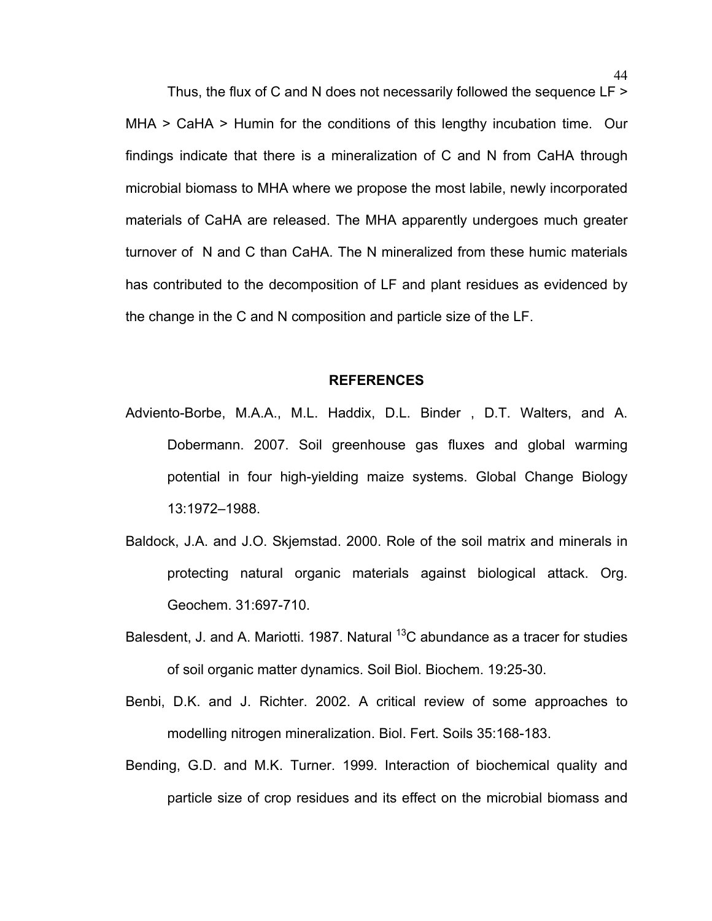Thus, the flux of C and N does not necessarily followed the sequence LF > MHA > CaHA > Humin for the conditions of this lengthy incubation time. Our findings indicate that there is a mineralization of C and N from CaHA through microbial biomass to MHA where we propose the most labile, newly incorporated materials of CaHA are released. The MHA apparently undergoes much greater turnover of N and C than CaHA. The N mineralized from these humic materials has contributed to the decomposition of LF and plant residues as evidenced by the change in the C and N composition and particle size of the LF.

### **REFERENCES**

- Adviento-Borbe, M.A.A., M.L. Haddix, D.L. Binder , D.T. Walters, and A. Dobermann. 2007. Soil greenhouse gas fluxes and global warming potential in four high-yielding maize systems. Global Change Biology 13:1972–1988.
- Baldock, J.A. and J.O. Skjemstad. 2000. Role of the soil matrix and minerals in protecting natural organic materials against biological attack. Org. Geochem. 31:697-710.
- Balesdent, J. and A. Mariotti. 1987. Natural  $^{13}$ C abundance as a tracer for studies of soil organic matter dynamics. Soil Biol. Biochem. 19:25-30.
- Benbi, D.K. and J. Richter. 2002. A critical review of some approaches to modelling nitrogen mineralization. Biol. Fert. Soils 35:168-183.
- Bending, G.D. and M.K. Turner. 1999. Interaction of biochemical quality and particle size of crop residues and its effect on the microbial biomass and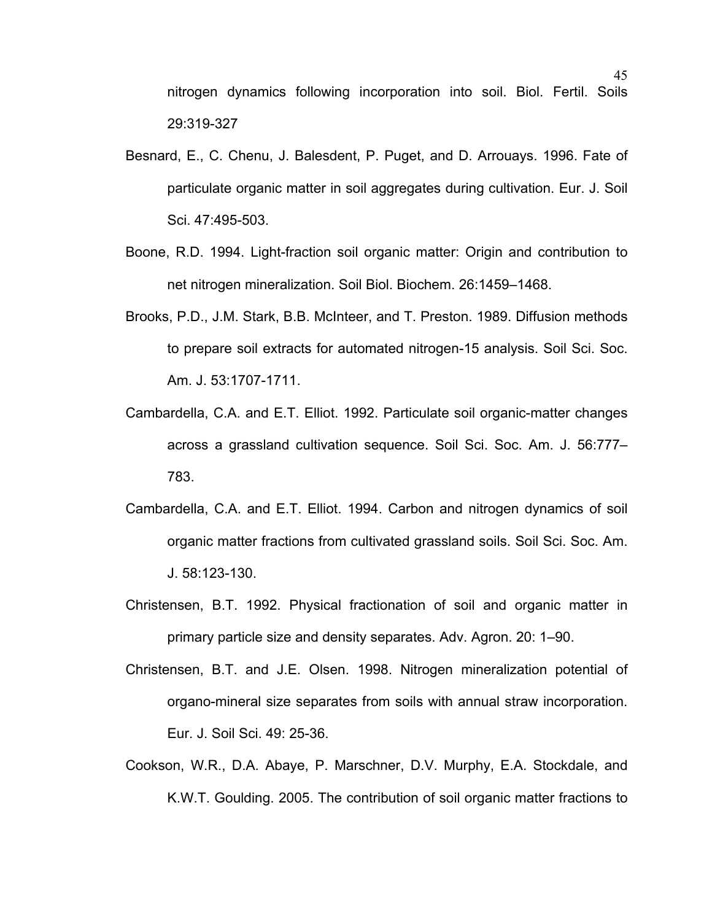nitrogen dynamics following incorporation into soil. Biol. Fertil. Soils 29:319-327

- Besnard, E., C. Chenu, J. Balesdent, P. Puget, and D. Arrouays. 1996. Fate of particulate organic matter in soil aggregates during cultivation. Eur. J. Soil Sci. 47:495-503.
- Boone, R.D. 1994. Light-fraction soil organic matter: Origin and contribution to net nitrogen mineralization. Soil Biol. Biochem. 26:1459–1468.
- Brooks, P.D., J.M. Stark, B.B. McInteer, and T. Preston. 1989. Diffusion methods to prepare soil extracts for automated nitrogen-15 analysis. Soil Sci. Soc. Am. J. 53:1707-1711.
- Cambardella, C.A. and E.T. Elliot. 1992. Particulate soil organic-matter changes across a grassland cultivation sequence. Soil Sci. Soc. Am. J. 56:777– 783.
- Cambardella, C.A. and E.T. Elliot. 1994. Carbon and nitrogen dynamics of soil organic matter fractions from cultivated grassland soils. Soil Sci. Soc. Am. J. 58:123-130.
- Christensen, B.T. 1992. Physical fractionation of soil and organic matter in primary particle size and density separates. Adv. Agron. 20: 1–90.
- Christensen, B.T. and J.E. Olsen. 1998. Nitrogen mineralization potential of organo-mineral size separates from soils with annual straw incorporation. Eur. J. Soil Sci. 49: 25-36.
- Cookson, W.R., D.A. Abaye, P. Marschner, D.V. Murphy, E.A. Stockdale, and K.W.T. Goulding. 2005. The contribution of soil organic matter fractions to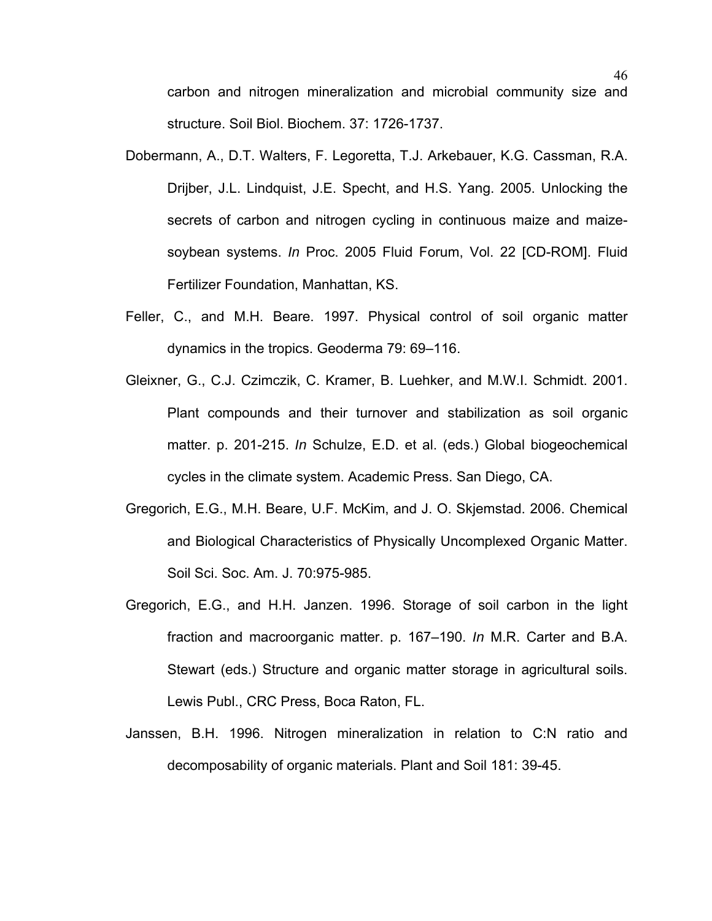carbon and nitrogen mineralization and microbial community size and structure. Soil Biol. Biochem. 37: 1726-1737.

- Dobermann, A., D.T. Walters, F. Legoretta, T.J. Arkebauer, K.G. Cassman, R.A. Drijber, J.L. Lindquist, J.E. Specht, and H.S. Yang. 2005. Unlocking the secrets of carbon and nitrogen cycling in continuous maize and maizesoybean systems. *In* Proc. 2005 Fluid Forum, Vol. 22 [CD-ROM]. Fluid Fertilizer Foundation, Manhattan, KS.
- Feller, C., and M.H. Beare. 1997. Physical control of soil organic matter dynamics in the tropics. Geoderma 79: 69–116.
- Gleixner, G., C.J. Czimczik, C. Kramer, B. Luehker, and M.W.I. Schmidt. 2001. Plant compounds and their turnover and stabilization as soil organic matter. p. 201-215. *In* Schulze, E.D. et al. (eds.) Global biogeochemical cycles in the climate system. Academic Press. San Diego, CA.
- Gregorich, E.G., M.H. Beare, U.F. McKim, and J. O. Skjemstad. 2006. Chemical and Biological Characteristics of Physically Uncomplexed Organic Matter. Soil Sci. Soc. Am. J. 70:975-985.
- Gregorich, E.G., and H.H. Janzen. 1996. Storage of soil carbon in the light fraction and macroorganic matter. p. 167–190. *In* M.R. Carter and B.A. Stewart (eds.) Structure and organic matter storage in agricultural soils. Lewis Publ., CRC Press, Boca Raton, FL.
- Janssen, B.H. 1996. Nitrogen mineralization in relation to C:N ratio and decomposability of organic materials. Plant and Soil 181: 39-45.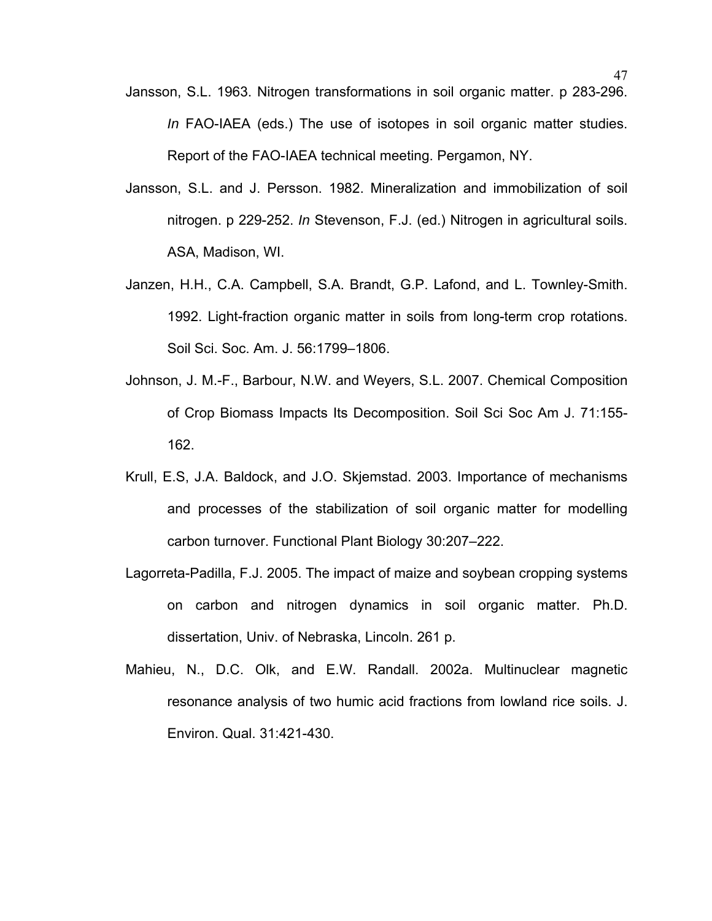- Jansson, S.L. 1963. Nitrogen transformations in soil organic matter. p 283-296. *In* FAO-IAEA (eds.) The use of isotopes in soil organic matter studies. Report of the FAO-IAEA technical meeting. Pergamon, NY.
- Jansson, S.L. and J. Persson. 1982. Mineralization and immobilization of soil nitrogen. p 229-252. *In* Stevenson, F.J. (ed.) Nitrogen in agricultural soils. ASA, Madison, WI.
- Janzen, H.H., C.A. Campbell, S.A. Brandt, G.P. Lafond, and L. Townley-Smith. 1992. Light-fraction organic matter in soils from long-term crop rotations. Soil Sci. Soc. Am. J. 56:1799–1806.
- Johnson, J. M.-F., Barbour, N.W. and Weyers, S.L. 2007. Chemical Composition of Crop Biomass Impacts Its Decomposition. Soil Sci Soc Am J. 71:155- 162.
- Krull, E.S, J.A. Baldock, and J.O. Skjemstad. 2003. Importance of mechanisms and processes of the stabilization of soil organic matter for modelling carbon turnover. Functional Plant Biology 30:207–222.
- Lagorreta-Padilla, F.J. 2005. The impact of maize and soybean cropping systems on carbon and nitrogen dynamics in soil organic matter. Ph.D. dissertation, Univ. of Nebraska, Lincoln. 261 p.
- Mahieu, N., D.C. Olk, and E.W. Randall. 2002a. Multinuclear magnetic resonance analysis of two humic acid fractions from lowland rice soils. J. Environ. Qual. 31:421-430.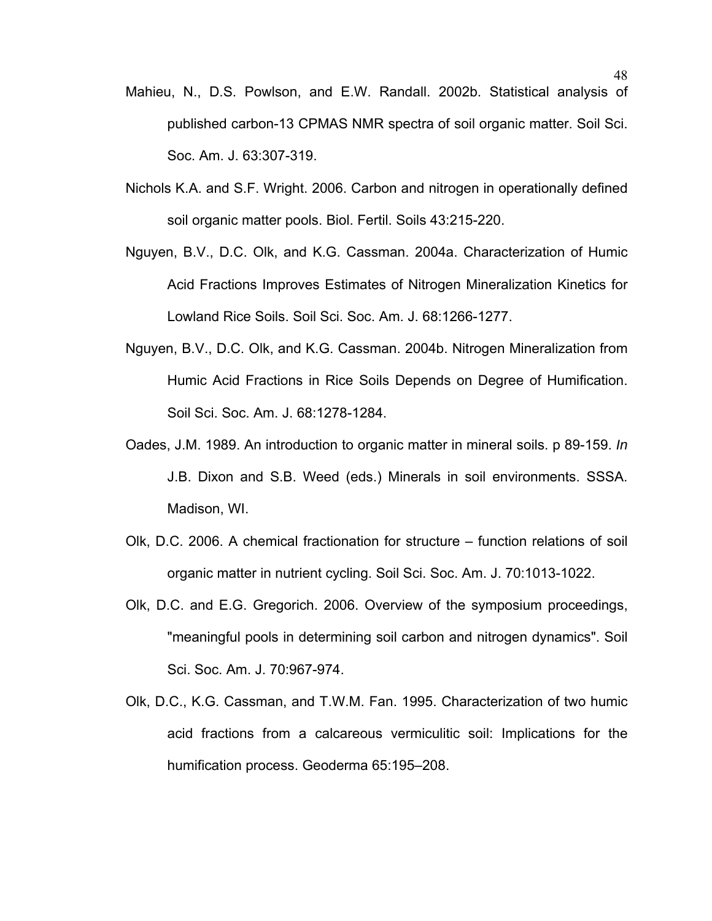- Mahieu, N., D.S. Powlson, and E.W. Randall. 2002b. Statistical analysis of published carbon-13 CPMAS NMR spectra of soil organic matter. Soil Sci. Soc. Am. J. 63:307-319.
- Nichols K.A. and S.F. Wright. 2006. Carbon and nitrogen in operationally defined soil organic matter pools. Biol. Fertil. Soils 43:215-220.
- Nguyen, B.V., D.C. Olk, and K.G. Cassman. 2004a. Characterization of Humic Acid Fractions Improves Estimates of Nitrogen Mineralization Kinetics for Lowland Rice Soils. Soil Sci. Soc. Am. J. 68:1266-1277.
- Nguyen, B.V., D.C. Olk, and K.G. Cassman. 2004b. Nitrogen Mineralization from Humic Acid Fractions in Rice Soils Depends on Degree of Humification. Soil Sci. Soc. Am. J. 68:1278-1284.
- Oades, J.M. 1989. An introduction to organic matter in mineral soils. p 89-159. *In* J.B. Dixon and S.B. Weed (eds.) Minerals in soil environments. SSSA. Madison, WI.
- Olk, D.C. 2006. A chemical fractionation for structure function relations of soil organic matter in nutrient cycling. Soil Sci. Soc. Am. J. 70:1013-1022.
- Olk, D.C. and E.G. Gregorich. 2006. Overview of the symposium proceedings, "meaningful pools in determining soil carbon and nitrogen dynamics". Soil Sci. Soc. Am. J. 70:967-974.
- Olk, D.C., K.G. Cassman, and T.W.M. Fan. 1995. Characterization of two humic acid fractions from a calcareous vermiculitic soil: Implications for the humification process. Geoderma 65:195–208.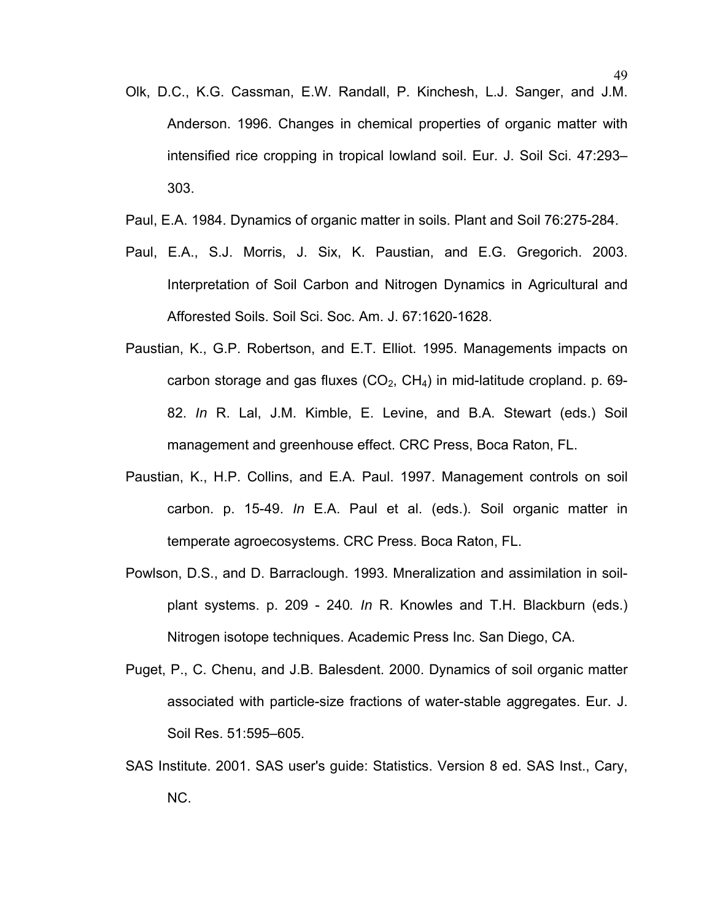- Olk, D.C., K.G. Cassman, E.W. Randall, P. Kinchesh, L.J. Sanger, and J.M. Anderson. 1996. Changes in chemical properties of organic matter with intensified rice cropping in tropical lowland soil. Eur. J. Soil Sci. 47:293– 303.
- Paul, E.A. 1984. Dynamics of organic matter in soils. Plant and Soil 76:275-284.
- Paul, E.A., S.J. Morris, J. Six, K. Paustian, and E.G. Gregorich. 2003. Interpretation of Soil Carbon and Nitrogen Dynamics in Agricultural and Afforested Soils. Soil Sci. Soc. Am. J. 67:1620-1628.
- Paustian, K., G.P. Robertson, and E.T. Elliot. 1995. Managements impacts on carbon storage and gas fluxes  $(CO_2, CH_4)$  in mid-latitude cropland. p. 69-82. *In* R. Lal, J.M. Kimble, E. Levine, and B.A. Stewart (eds.) Soil management and greenhouse effect. CRC Press, Boca Raton, FL.
- Paustian, K., H.P. Collins, and E.A. Paul. 1997. Management controls on soil carbon. p. 15-49. *In* E.A. Paul et al. (eds.). Soil organic matter in temperate agroecosystems. CRC Press. Boca Raton, FL.
- Powlson, D.S., and D. Barraclough. 1993. Mneralization and assimilation in soilplant systems. p. 209 - 240*. In* R. Knowles and T.H. Blackburn (eds.) Nitrogen isotope techniques. Academic Press Inc. San Diego, CA.
- Puget, P., C. Chenu, and J.B. Balesdent. 2000. Dynamics of soil organic matter associated with particle-size fractions of water-stable aggregates. Eur. J. Soil Res. 51:595–605.
- SAS Institute. 2001. SAS user's guide: Statistics. Version 8 ed. SAS Inst., Cary, NC.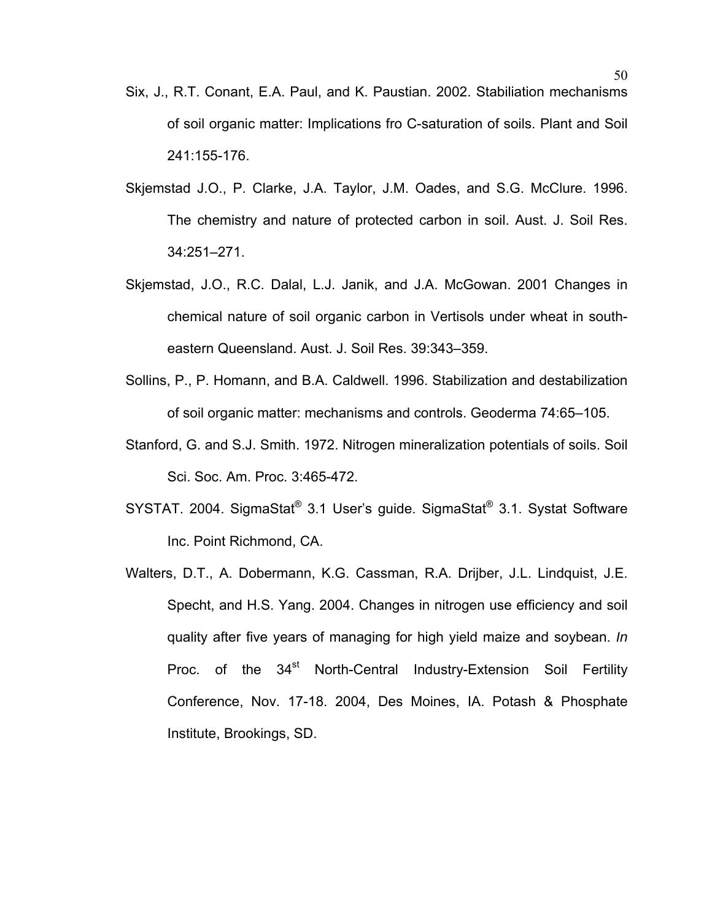- Six, J., R.T. Conant, E.A. Paul, and K. Paustian. 2002. Stabiliation mechanisms of soil organic matter: Implications fro C-saturation of soils. Plant and Soil 241:155-176.
- Skjemstad J.O., P. Clarke, J.A. Taylor, J.M. Oades, and S.G. McClure. 1996. The chemistry and nature of protected carbon in soil. Aust. J. Soil Res. 34:251–271.
- Skjemstad, J.O., R.C. Dalal, L.J. Janik, and J.A. McGowan. 2001 Changes in chemical nature of soil organic carbon in Vertisols under wheat in southeastern Queensland. [Aust. J. Soil Res.](http://0-ejournals.ebsco.com.library.unl.edu/Journal.asp?JournalID=101218) [39:](http://0-ejournals.ebsco.com.library.unl.edu/Issue.asp?IssueID=67524)343–359.
- Sollins, P., P. Homann, and B.A. Caldwell. 1996. Stabilization and destabilization of soil organic matter: mechanisms and controls. Geoderma 74:65–105.
- Stanford, G. and S.J. Smith. 1972. Nitrogen mineralization potentials of soils. Soil Sci. Soc. Am. Proc. 3:465-472.
- SYSTAT. 2004. SigmaStat® 3.1 User's guide. SigmaStat® 3.1. Systat Software Inc. Point Richmond, CA.
- Walters, D.T., A. Dobermann, K.G. Cassman, R.A. Drijber, J.L. Lindquist, J.E. Specht, and H.S. Yang. 2004. Changes in nitrogen use efficiency and soil quality after five years of managing for high yield maize and soybean. *In* Proc. of the 34<sup>st</sup> North-Central Industry-Extension Soil Fertility Conference, Nov. 17-18. 2004, Des Moines, IA. Potash & Phosphate Institute, Brookings, SD.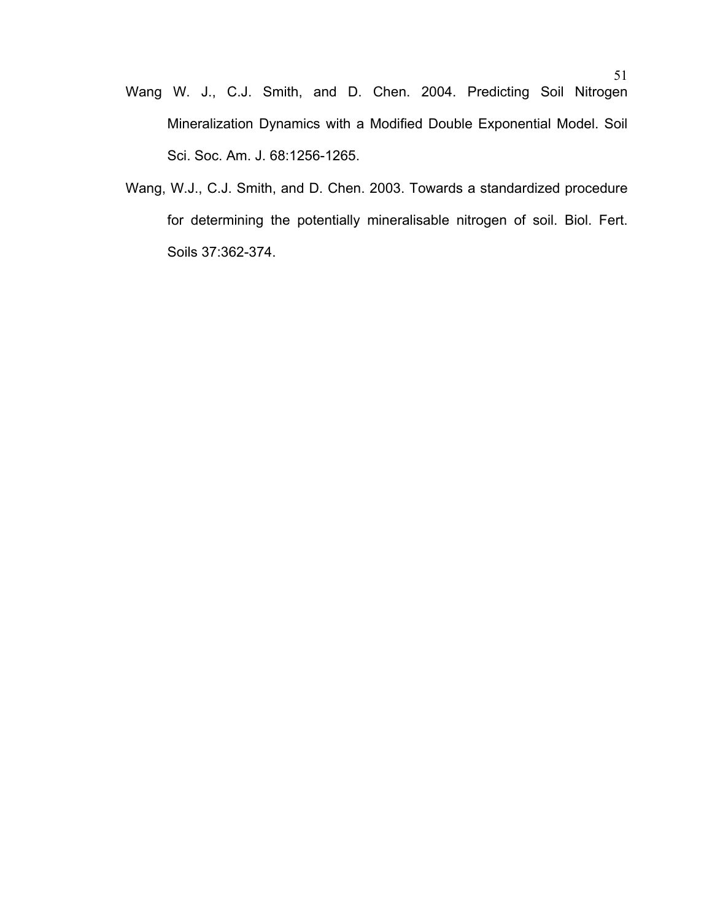- Wang W. J., C.J. Smith, and D. Chen. 2004. Predicting Soil Nitrogen Mineralization Dynamics with a Modified Double Exponential Model. Soil Sci. Soc. Am. J. 68:1256-1265.
- Wang, W.J., C.J. Smith, and D. Chen. 2003. Towards a standardized procedure for determining the potentially mineralisable nitrogen of soil. Biol. Fert. Soils 37:362-374.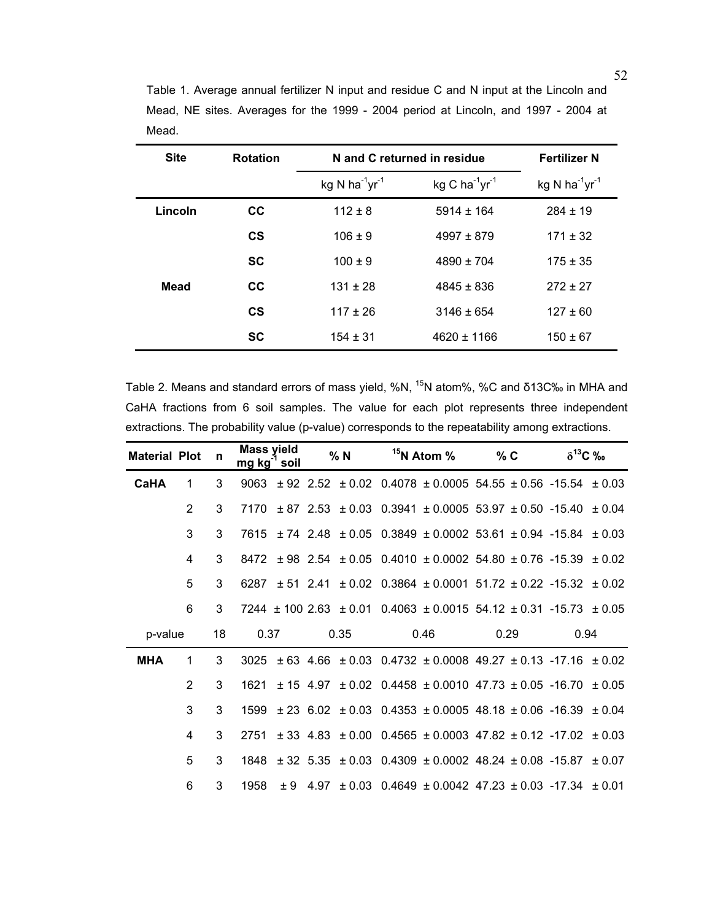| <b>Site</b> | <b>Rotation</b> |                                        | N and C returned in residue | <b>Fertilizer N</b>                    |
|-------------|-----------------|----------------------------------------|-----------------------------|----------------------------------------|
|             |                 | kg N ha <sup>-1</sup> yr <sup>-1</sup> | kg C ha $^{-1}$ yr $^{-1}$  | kg N ha <sup>-1</sup> yr <sup>-1</sup> |
| Lincoln     | <b>CC</b>       | $112 \pm 8$                            | $5914 \pm 164$              | $284 \pm 19$                           |
|             | $\mathsf{cs}$   | $106 \pm 9$                            | $4997 \pm 879$              | $171 \pm 32$                           |
|             | <b>SC</b>       | $100 \pm 9$                            | $4890 \pm 704$              | $175 \pm 35$                           |
| <b>Mead</b> | <b>CC</b>       | $131 \pm 28$                           | $4845 \pm 836$              | $272 \pm 27$                           |
|             | $\mathsf{cs}$   | $117 \pm 26$                           | $3146 \pm 654$              | $127 \pm 60$                           |
|             | <b>SC</b>       | $154 \pm 31$                           | $4620 \pm 1166$             | $150 \pm 67$                           |

Table 1. Average annual fertilizer N input and residue C and N input at the Lincoln and Mead, NE sites. Averages for the 1999 - 2004 period at Lincoln, and 1997 - 2004 at Mead.

Table 2. Means and standard errors of mass yield, %N, <sup>15</sup>N atom%, %C and δ13C‰ in MHA and CaHA fractions from 6 soil samples. The value for each plot represents three independent extractions. The probability value (p-value) corresponds to the repeatability among extractions.

| <b>Material Plot</b> |                | n  | <b>Mass yield</b><br>mg kg <sup>-1</sup> soil |  | % N  | $15N$ Atom %                                                                          | $\%$ C |      | $\delta^{13}C$ ‰ |  |
|----------------------|----------------|----|-----------------------------------------------|--|------|---------------------------------------------------------------------------------------|--------|------|------------------|--|
| <b>CaHA</b>          | 1              | 3  |                                               |  |      | 9063 ± 92 2.52 ± 0.02 0.4078 ± 0.0005 54.55 ± 0.56 -15.54 ± 0.03                      |        |      |                  |  |
|                      | $\overline{2}$ | 3  |                                               |  |      | $7170 \pm 87$ 2.53 $\pm 0.03$ 0.3941 $\pm 0.0005$ 53.97 $\pm 0.50$ -15.40 $\pm 0.04$  |        |      |                  |  |
|                      | 3              | 3  | 7615                                          |  |      | $\pm$ 74 2.48 $\pm$ 0.05 0.3849 $\pm$ 0.0002 53.61 $\pm$ 0.94 -15.84 $\pm$ 0.03       |        |      |                  |  |
|                      | 4              | 3  |                                               |  |      | $8472 \pm 98$ 2.54 $\pm 0.05$ 0.4010 $\pm 0.0002$ 54.80 $\pm 0.76$ -15.39 $\pm 0.02$  |        |      |                  |  |
|                      | 5              | 3  |                                               |  |      | 6287 ± 51 2.41 ± 0.02 0.3864 ± 0.0001 51.72 ± 0.22 -15.32 ± 0.02                      |        |      |                  |  |
|                      | 6              | 3  |                                               |  |      | $7244 \pm 100$ 2.63 $\pm$ 0.01 0.4063 $\pm$ 0.0015 54.12 $\pm$ 0.31 -15.73 $\pm$ 0.05 |        |      |                  |  |
| p-value              |                | 18 | 0.37                                          |  | 0.35 | 0.46                                                                                  |        | 0.29 | 0.94             |  |
| <b>MHA</b>           | 1              | 3  | 3025                                          |  |      | $\pm$ 63 4.66 $\pm$ 0.03 0.4732 $\pm$ 0.0008 49.27 $\pm$ 0.13 -17.16 $\pm$ 0.02       |        |      |                  |  |
|                      | $\mathcal{P}$  | 3  | 1621                                          |  |      | $\pm$ 15 4.97 $\pm$ 0.02 0.4458 $\pm$ 0.0010 47.73 $\pm$ 0.05 -16.70 $\pm$ 0.05       |        |      |                  |  |
|                      | 3              | 3  | 1599                                          |  |      | $\pm$ 23 6.02 $\pm$ 0.03 0.4353 $\pm$ 0.0005 48.18 $\pm$ 0.06 -16.39 $\pm$ 0.04       |        |      |                  |  |
|                      | 4              | 3  | 2751                                          |  |      | $\pm$ 33 4.83 $\pm$ 0.00 0.4565 $\pm$ 0.0003 47.82 $\pm$ 0.12 -17.02 $\pm$ 0.03       |        |      |                  |  |
|                      |                |    |                                               |  |      |                                                                                       |        |      |                  |  |
|                      | 5              | 3  |                                               |  |      | $1848 \pm 32$ 5.35 $\pm 0.03$ 0.4309 $\pm 0.0002$ 48.24 $\pm 0.08$ -15.87 $\pm 0.07$  |        |      |                  |  |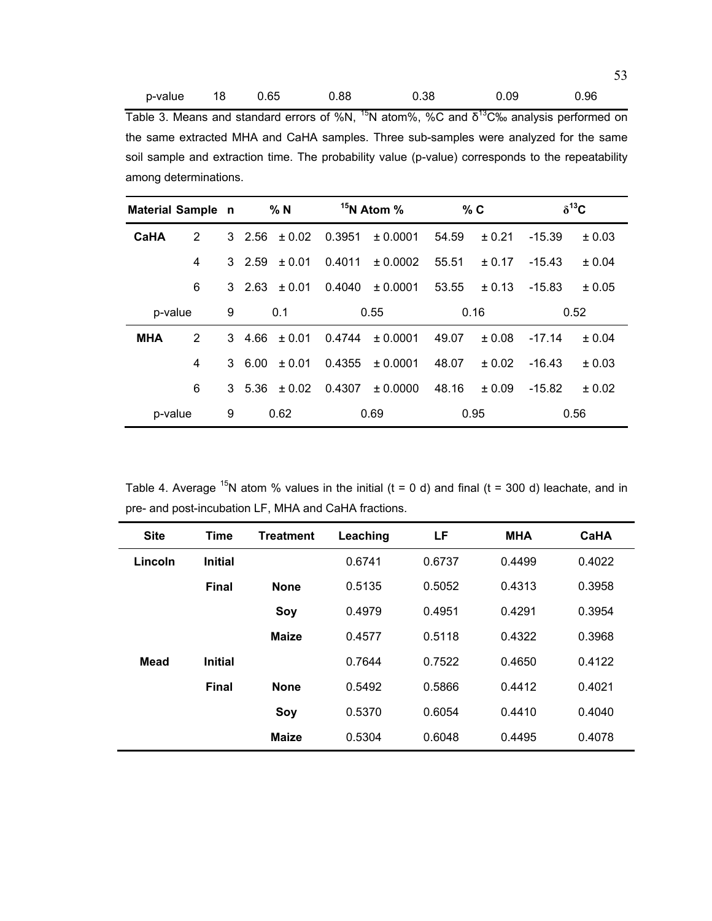| p-value 18 0.65 |  |  | 0.88 | 0.38 | 0.09 | 0.96 |
|-----------------|--|--|------|------|------|------|
|-----------------|--|--|------|------|------|------|

Table 3. Means and standard errors of %N,  $^{15}N$  atom%, %C and  $\delta^{13}C$ % analysis performed on the same extracted MHA and CaHA samples. Three sub-samples were analyzed for the same soil sample and extraction time. The probability value (p-value) corresponds to the repeatability among determinations.

| Material Sample n |                              |   |               | % N                          | <sup>15</sup> N Atom % |           | % C   |            | $\delta^{13}C$ |        |
|-------------------|------------------------------|---|---------------|------------------------------|------------------------|-----------|-------|------------|----------------|--------|
| CaHA              | 2                            |   | 3 2.56        | ± 0.02                       | 0.3951                 | ± 0.0001  | 54.59 | ± 0.21     | $-15.39$       | ± 0.03 |
|                   | 4                            |   | $3\quad 2.59$ | ± 0.01                       | 0.4011                 | ± 0.0002  | 55.51 | ± 0.17     | $-15.43$       | ± 0.04 |
|                   | 6                            |   |               | $3\quad 2.63 \quad \pm 0.01$ | 0.4040                 | ± 0.0001  | 53.55 | $\pm 0.13$ | $-15.83$       | ± 0.05 |
| p-value           |                              | 9 | 0.1           |                              | 0.55                   |           | 0.16  |            | 0.52           |        |
| <b>MHA</b>        | 2                            |   | $3\quad 4.66$ | $+0.01$                      | 0.4744                 | $+0.0001$ | 49.07 | $+0.08$    | $-17.14$       | ± 0.04 |
|                   | 4                            |   | 36.00         | ± 0.01                       | 0.4355                 | $+0.0001$ | 48.07 | $+0.02$    | $-16.43$       | ± 0.03 |
|                   | 6                            |   | 3, 5.36       | $\pm 0.02$                   | 0.4307                 | ± 0.0000  | 48.16 | $+0.09$    | $-15.82$       | ± 0.02 |
|                   | 9<br>0.62<br>0.69<br>p-value |   |               | 0.95                         |                        | 0.56      |       |            |                |        |

Table 4. Average  $^{15}N$  atom % values in the initial (t = 0 d) and final (t = 300 d) leachate, and in pre- and post-incubation LF, MHA and CaHA fractions.

| <b>Site</b> | <b>Time</b>    | <b>Treatment</b> | Leaching | LF     | <b>MHA</b> | <b>CaHA</b> |
|-------------|----------------|------------------|----------|--------|------------|-------------|
| Lincoln     | <b>Initial</b> |                  | 0.6741   | 0.6737 | 0.4499     | 0.4022      |
|             | <b>Final</b>   | <b>None</b>      | 0.5135   | 0.5052 | 0.4313     | 0.3958      |
|             |                | Soy              | 0.4979   | 0.4951 | 0.4291     | 0.3954      |
|             |                | <b>Maize</b>     | 0.4577   | 0.5118 | 0.4322     | 0.3968      |
| Mead        | <b>Initial</b> |                  | 0.7644   | 0.7522 | 0.4650     | 0.4122      |
|             | <b>Final</b>   | <b>None</b>      | 0.5492   | 0.5866 | 0.4412     | 0.4021      |
|             |                | Soy              | 0.5370   | 0.6054 | 0.4410     | 0.4040      |
|             |                | <b>Maize</b>     | 0.5304   | 0.6048 | 0.4495     | 0.4078      |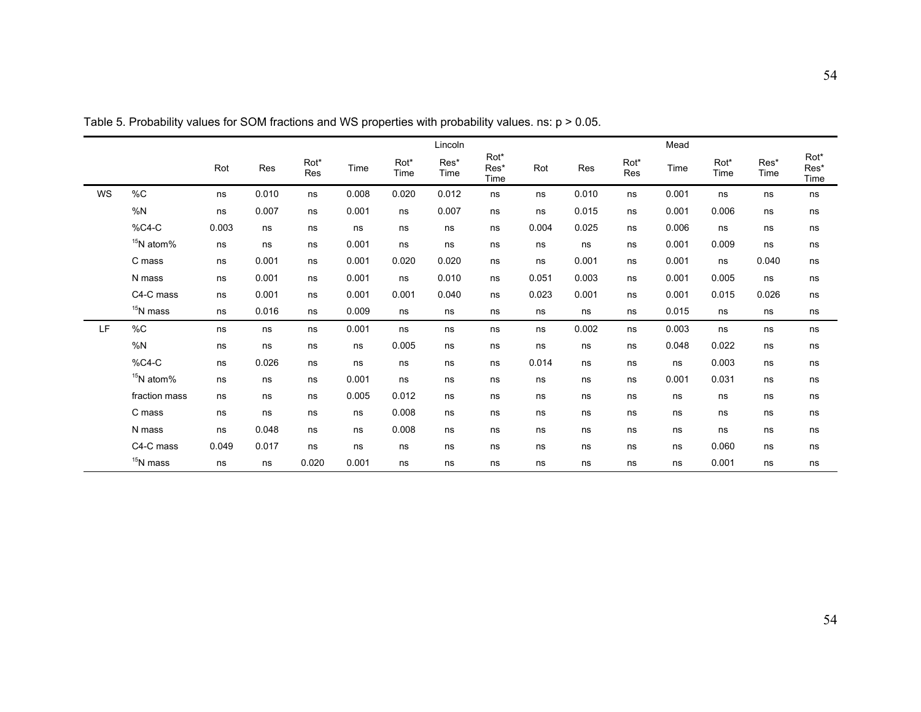|    |                       |       |       |             |       |              | Lincoln      |                      |       |       |             | Mead  |              |              |                      |
|----|-----------------------|-------|-------|-------------|-------|--------------|--------------|----------------------|-------|-------|-------------|-------|--------------|--------------|----------------------|
|    |                       | Rot   | Res   | Rot*<br>Res | Time  | Rot*<br>Time | Res*<br>Time | Rot*<br>Res*<br>Time | Rot   | Res   | Rot*<br>Res | Time  | Rot*<br>Time | Res*<br>Time | Rot*<br>Res*<br>Time |
| WS | $\%C$                 | ns    | 0.010 | ns          | 0.008 | 0.020        | 0.012        | ns                   | ns    | 0.010 | ns          | 0.001 | ns           | ns           | ns                   |
|    | %N                    | ns    | 0.007 | ns          | 0.001 | ns           | 0.007        | ns                   | ns    | 0.015 | ns          | 0.001 | 0.006        | ns           | ns                   |
|    | %C4-C                 | 0.003 | ns    | ns          | ns    | ns           | ns           | ns                   | 0.004 | 0.025 | ns          | 0.006 | ns           | ns           | ns                   |
|    | $15N$ atom%           | ns    | ns    | ns          | 0.001 | ns           | ns           | ns                   | ns    | ns    | ns          | 0.001 | 0.009        | ns           | ns                   |
|    | C mass                | ns    | 0.001 | ns          | 0.001 | 0.020        | 0.020        | ns                   | ns    | 0.001 | ns          | 0.001 | ns           | 0.040        | ns                   |
|    | N mass                | ns    | 0.001 | ns          | 0.001 | ns           | 0.010        | ns                   | 0.051 | 0.003 | ns          | 0.001 | 0.005        | ns           | ns                   |
|    | C4-C mass             | ns    | 0.001 | ns          | 0.001 | 0.001        | 0.040        | ns                   | 0.023 | 0.001 | ns          | 0.001 | 0.015        | 0.026        | ns                   |
|    | $15$ N mass           | ns    | 0.016 | ns          | 0.009 | ns           | ns           | ns                   | ns    | ns    | ns          | 0.015 | ns           | ns           | ns                   |
| LF | %C                    | ns    | ns    | ns          | 0.001 | ns           | ns           | ns                   | ns    | 0.002 | ns          | 0.003 | ns           | ns           | ns                   |
|    | %N                    | ns    | ns    | ns          | ns    | 0.005        | ns           | ns                   | ns    | ns    | ns          | 0.048 | 0.022        | ns           | ns                   |
|    | $%C4-C$               | ns    | 0.026 | ns          | ns    | ns           | ns           | ns                   | 0.014 | ns    | ns          | ns    | 0.003        | ns           | ns                   |
|    | <sup>15</sup> N atom% | ns    | ns    | ns          | 0.001 | ns           | ns           | ns                   | ns    | ns    | ns          | 0.001 | 0.031        | ns           | ns                   |
|    | fraction mass         | ns    | ns    | ns          | 0.005 | 0.012        | ns           | ns                   | ns    | ns    | ns          | ns    | ns           | ns           | ns                   |
|    | C mass                | ns    | ns    | ns          | ns    | 0.008        | ns           | ns                   | ns    | ns    | ns          | ns    | ns           | ns           | ns                   |
|    | N mass                | ns    | 0.048 | ns          | ns    | 0.008        | ns           | ns                   | ns    | ns    | ns          | ns    | ns           | ns           | ns                   |
|    | C4-C mass             | 0.049 | 0.017 | ns          | ns    | ns           | ns           | ns                   | ns    | ns    | ns          | ns    | 0.060        | ns           | ns                   |
|    | $15$ N mass           | ns    | ns    | 0.020       | 0.001 | ns           | ns           | ns                   | ns    | ns    | ns          | ns    | 0.001        | ns           | ns                   |

Table 5. Probability values for SOM fractions and WS properties with probability values. ns: p > 0.05.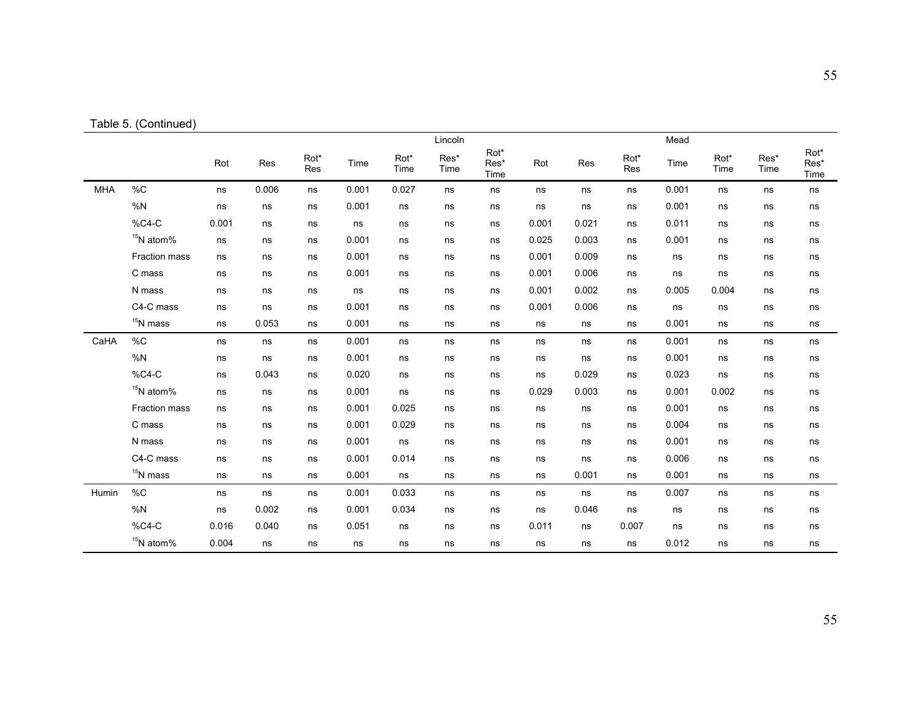| Table 5. (Continued) |
|----------------------|
|                      |

|            |               |       |       |             |       |              | Lincoln      |                      |       |       |             | Mead  |              |              |                      |
|------------|---------------|-------|-------|-------------|-------|--------------|--------------|----------------------|-------|-------|-------------|-------|--------------|--------------|----------------------|
|            |               | Rot   | Res   | Rot*<br>Res | Time  | Rot*<br>Time | Res*<br>Time | Rot*<br>Res*<br>Time | Rot   | Res   | Rot*<br>Res | Time  | Rot*<br>Time | Res*<br>Time | Rot*<br>Res*<br>Time |
| <b>MHA</b> | $\%C$         | ns    | 0.006 | ns          | 0.001 | 0.027        | ns           | ns                   | ns    | ns    | ns          | 0.001 | ns           | ns           | ns                   |
|            | %N            | ns    | ns    | ns          | 0.001 | ns           | ns           | ns                   | ns    | ns    | ns          | 0.001 | ns           | ns           | ns                   |
|            | %C4-C         | 0.001 | ns    | ns          | ns    | ns           | ns           | ns                   | 0.001 | 0.021 | ns          | 0.011 | ns           | ns           | ns                   |
|            | $15$ N atom%  | ns    | ns    | ns          | 0.001 | ns           | ns           | ns                   | 0.025 | 0.003 | ns          | 0.001 | ns           | ns           | ns                   |
|            | Fraction mass | ns    | ns    | ns          | 0.001 | ns           | ns           | ns                   | 0.001 | 0.009 | ns          | ns    | ns           | ns           | ns                   |
|            | C mass        | ns    | ns    | ns          | 0.001 | ns           | ns           | ns                   | 0.001 | 0.006 | ns          | ns    | ns           | ns           | ns                   |
|            | N mass        | ns    | ns    | ns          | ns    | ns           | ns           | ns                   | 0.001 | 0.002 | ns          | 0.005 | 0.004        | ns           | ns                   |
|            | C4-C mass     | ns    | ns    | ns          | 0.001 | ns           | ns           | ns                   | 0.001 | 0.006 | ns          | ns    | ns           | ns           | ns                   |
|            | $15$ N mass   | ns    | 0.053 | ns          | 0.001 | ns           | ns           | ns                   | ns    | ns    | ns          | 0.001 | ns           | ns           | ns                   |
| CaHA       | $\%C$         | ns    | ns    | ns          | 0.001 | ns           | ns           | ns                   | ns    | ns    | ns          | 0.001 | ns           | ns           | ns                   |
|            | %N            | ns    | ns    | ns          | 0.001 | ns           | ns           | ns                   | ns    | ns    | ns          | 0.001 | ns           | ns           | ns                   |
|            | %C4-C         | ns    | 0.043 | ns          | 0.020 | ns           | ns           | ns                   | ns    | 0.029 | ns          | 0.023 | ns           | ns           | ns                   |
|            | $15$ N atom%  | ns    | ns    | ns          | 0.001 | ns           | ns           | ns                   | 0.029 | 0.003 | ns          | 0.001 | 0.002        | ns           | ns                   |
|            | Fraction mass | ns    | ns    | ns          | 0.001 | 0.025        | ns           | ns                   | ns    | ns    | ns          | 0.001 | ns           | ns           | ns                   |
|            | C mass        | ns    | ns    | ns          | 0.001 | 0.029        | ns           | ns                   | ns    | ns    | ns          | 0.004 | ns           | ns           | ns                   |
|            | N mass        | ns    | ns    | ns          | 0.001 | ns           | ns           | ns                   | ns    | ns    | ns          | 0.001 | ns           | ns           | ns                   |
|            | C4-C mass     | ns    | ns    | ns          | 0.001 | 0.014        | ns           | ns                   | ns    | ns    | ns          | 0.006 | ns           | ns           | ns                   |
|            | $15$ N mass   | ns    | ns    | ns          | 0.001 | ns           | ns           | ns                   | ns    | 0.001 | ns          | 0.001 | ns           | ns           | ns                   |
| Humin      | $\%C$         | ns    | ns    | ns          | 0.001 | 0.033        | ns           | ns                   | ns    | ns    | ns          | 0.007 | ns           | ns           | ns                   |
|            | %N            | ns    | 0.002 | ns          | 0.001 | 0.034        | ns           | ns                   | ns    | 0.046 | ns          | ns    | ns           | ns           | ns                   |
|            | %C4-C         | 0.016 | 0.040 | ns          | 0.051 | ns           | ns           | ns                   | 0.011 | ns    | 0.007       | ns    | ns           | ns           | ns                   |
|            | $15N$ atom%   | 0.004 | ns    | ns          | ns    | ns           | ns           | ns                   | ns    | ns    | ns          | 0.012 | ns           | ns           | ns                   |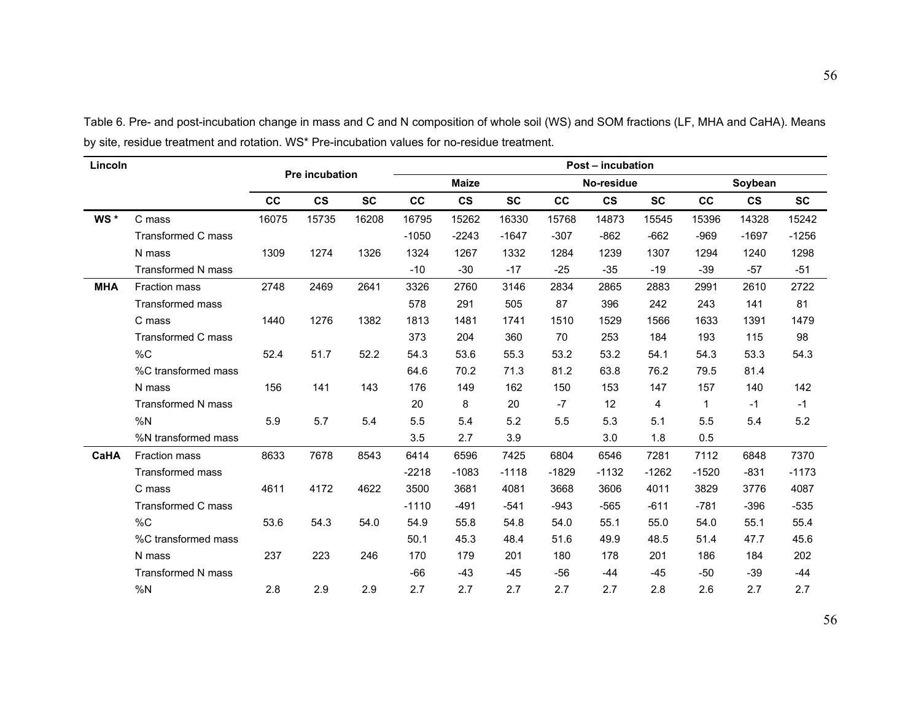| Lincoln    |                           |       |                |           |         |               |           |         | Post - incubation |           |              |               |           |
|------------|---------------------------|-------|----------------|-----------|---------|---------------|-----------|---------|-------------------|-----------|--------------|---------------|-----------|
|            |                           |       | Pre incubation |           |         | <b>Maize</b>  |           |         | No-residue        |           |              | Soybean       |           |
|            |                           | cc    | $\mathsf{cs}$  | <b>SC</b> | cc      | $\mathsf{cs}$ | <b>SC</b> | cc      | $\mathsf{cs}$     | <b>SC</b> | cc           | $\mathsf{cs}$ | <b>SC</b> |
| WS*        | C mass                    | 16075 | 15735          | 16208     | 16795   | 15262         | 16330     | 15768   | 14873             | 15545     | 15396        | 14328         | 15242     |
|            | <b>Transformed C mass</b> |       |                |           | $-1050$ | $-2243$       | $-1647$   | $-307$  | $-862$            | $-662$    | $-969$       | $-1697$       | $-1256$   |
|            | N mass                    | 1309  | 1274           | 1326      | 1324    | 1267          | 1332      | 1284    | 1239              | 1307      | 1294         | 1240          | 1298      |
|            | <b>Transformed N mass</b> |       |                |           | $-10$   | $-30$         | $-17$     | $-25$   | $-35$             | $-19$     | $-39$        | $-57$         | $-51$     |
| <b>MHA</b> | <b>Fraction mass</b>      | 2748  | 2469           | 2641      | 3326    | 2760          | 3146      | 2834    | 2865              | 2883      | 2991         | 2610          | 2722      |
|            | <b>Transformed mass</b>   |       |                |           | 578     | 291           | 505       | 87      | 396               | 242       | 243          | 141           | 81        |
|            | C mass                    | 1440  | 1276           | 1382      | 1813    | 1481          | 1741      | 1510    | 1529              | 1566      | 1633         | 1391          | 1479      |
|            | <b>Transformed C mass</b> |       |                |           | 373     | 204           | 360       | 70      | 253               | 184       | 193          | 115           | 98        |
|            | $\%C$                     | 52.4  | 51.7           | 52.2      | 54.3    | 53.6          | 55.3      | 53.2    | 53.2              | 54.1      | 54.3         | 53.3          | 54.3      |
|            | %C transformed mass       |       |                |           | 64.6    | 70.2          | 71.3      | 81.2    | 63.8              | 76.2      | 79.5         | 81.4          |           |
|            | N mass                    | 156   | 141            | 143       | 176     | 149           | 162       | 150     | 153               | 147       | 157          | 140           | 142       |
|            | <b>Transformed N mass</b> |       |                |           | 20      | 8             | 20        | $-7$    | 12                | 4         | $\mathbf{1}$ | $-1$          | $-1$      |
|            | %N                        | 5.9   | 5.7            | 5.4       | 5.5     | 5.4           | 5.2       | 5.5     | 5.3               | 5.1       | 5.5          | 5.4           | 5.2       |
|            | %N transformed mass       |       |                |           | 3.5     | 2.7           | 3.9       |         | 3.0               | 1.8       | 0.5          |               |           |
| CaHA       | <b>Fraction mass</b>      | 8633  | 7678           | 8543      | 6414    | 6596          | 7425      | 6804    | 6546              | 7281      | 7112         | 6848          | 7370      |
|            | <b>Transformed mass</b>   |       |                |           | $-2218$ | $-1083$       | $-1118$   | $-1829$ | $-1132$           | $-1262$   | $-1520$      | $-831$        | $-1173$   |
|            | C mass                    | 4611  | 4172           | 4622      | 3500    | 3681          | 4081      | 3668    | 3606              | 4011      | 3829         | 3776          | 4087      |
|            | Transformed C mass        |       |                |           | $-1110$ | $-491$        | $-541$    | $-943$  | $-565$            | $-611$    | $-781$       | $-396$        | $-535$    |
|            | %C                        | 53.6  | 54.3           | 54.0      | 54.9    | 55.8          | 54.8      | 54.0    | 55.1              | 55.0      | 54.0         | 55.1          | 55.4      |
|            | %C transformed mass       |       |                |           | 50.1    | 45.3          | 48.4      | 51.6    | 49.9              | 48.5      | 51.4         | 47.7          | 45.6      |
|            | N mass                    | 237   | 223            | 246       | 170     | 179           | 201       | 180     | 178               | 201       | 186          | 184           | 202       |
|            | <b>Transformed N mass</b> |       |                |           | $-66$   | $-43$         | $-45$     | $-56$   | $-44$             | $-45$     | $-50$        | -39           | $-44$     |
|            | %N                        | 2.8   | 2.9            | 2.9       | 2.7     | 2.7           | 2.7       | 2.7     | 2.7               | 2.8       | 2.6          | 2.7           | 2.7       |

Table 6. Pre- and post-incubation change in mass and C and N composition of whole soil (WS) and SOM fractions (LF, MHA and CaHA). Means by site, residue treatment and rotation. WS\* Pre-incubation values for no-residue treatment.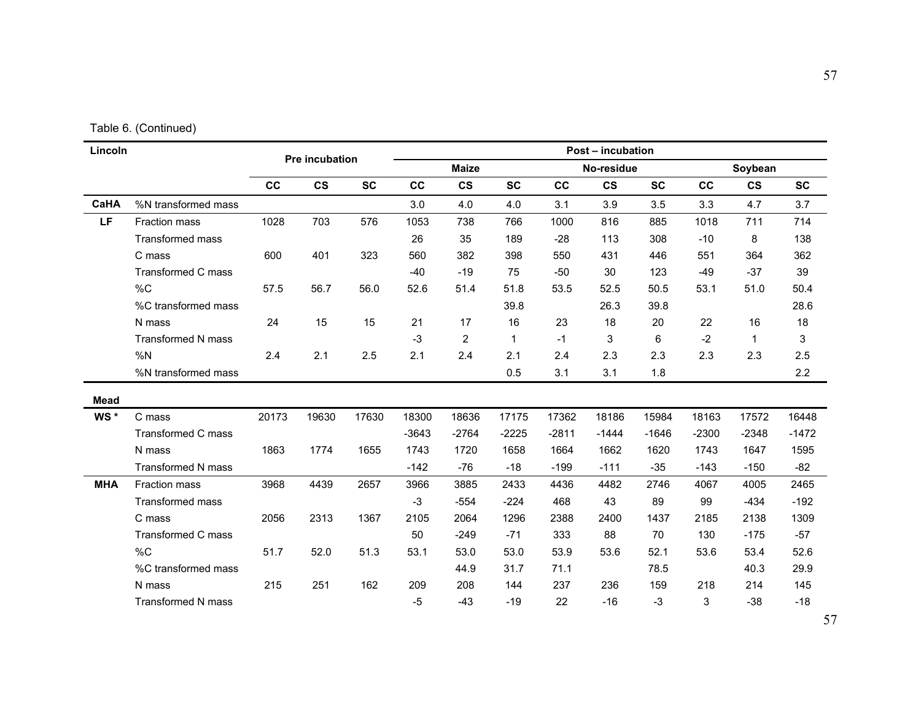| Lincoln     |                           |       | Pre incubation |           |         |               |              |         | <b>Post - incubation</b> |           |         |               |           |
|-------------|---------------------------|-------|----------------|-----------|---------|---------------|--------------|---------|--------------------------|-----------|---------|---------------|-----------|
|             |                           |       |                |           |         | <b>Maize</b>  |              |         | No-residue               |           |         | Soybean       |           |
|             |                           | cc    | $\mathsf{cs}$  | <b>SC</b> | cc      | $\mathsf{cs}$ | <b>SC</b>    | cc      | $\mathbf{c}\mathbf{s}$   | <b>SC</b> | cc      | $\mathsf{cs}$ | <b>SC</b> |
| CaHA        | %N transformed mass       |       |                |           | 3.0     | 4.0           | 4.0          | 3.1     | 3.9                      | 3.5       | 3.3     | 4.7           | 3.7       |
| LF          | <b>Fraction mass</b>      | 1028  | 703            | 576       | 1053    | 738           | 766          | 1000    | 816                      | 885       | 1018    | 711           | 714       |
|             | <b>Transformed mass</b>   |       |                |           | 26      | 35            | 189          | $-28$   | 113                      | 308       | $-10$   | 8             | 138       |
|             | C mass                    | 600   | 401            | 323       | 560     | 382           | 398          | 550     | 431                      | 446       | 551     | 364           | 362       |
|             | <b>Transformed C mass</b> |       |                |           | $-40$   | $-19$         | 75           | $-50$   | 30                       | 123       | $-49$   | $-37$         | 39        |
|             | %C                        | 57.5  | 56.7           | 56.0      | 52.6    | 51.4          | 51.8         | 53.5    | 52.5                     | 50.5      | 53.1    | 51.0          | 50.4      |
|             | %C transformed mass       |       |                |           |         |               | 39.8         |         | 26.3                     | 39.8      |         |               | 28.6      |
|             | N mass                    | 24    | 15             | 15        | 21      | 17            | 16           | 23      | 18                       | 20        | 22      | 16            | 18        |
|             | <b>Transformed N mass</b> |       |                |           | $-3$    | 2             | $\mathbf{1}$ | $-1$    | 3                        | 6         | $-2$    | $\mathbf{1}$  | 3         |
|             | %N                        | 2.4   | 2.1            | 2.5       | 2.1     | 2.4           | 2.1          | 2.4     | 2.3                      | 2.3       | 2.3     | 2.3           | 2.5       |
|             | %N transformed mass       |       |                |           |         |               | 0.5          | 3.1     | 3.1                      | 1.8       |         |               | 2.2       |
| <b>Mead</b> |                           |       |                |           |         |               |              |         |                          |           |         |               |           |
| WS*         | C mass                    | 20173 | 19630          | 17630     | 18300   | 18636         | 17175        | 17362   | 18186                    | 15984     | 18163   | 17572         | 16448     |
|             | <b>Transformed C mass</b> |       |                |           | $-3643$ | $-2764$       | $-2225$      | $-2811$ | $-1444$                  | $-1646$   | $-2300$ | $-2348$       | $-1472$   |
|             | N mass                    | 1863  | 1774           | 1655      | 1743    | 1720          | 1658         | 1664    | 1662                     | 1620      | 1743    | 1647          | 1595      |
|             | <b>Transformed N mass</b> |       |                |           | $-142$  | $-76$         | $-18$        | $-199$  | $-111$                   | $-35$     | $-143$  | $-150$        | $-82$     |
| <b>MHA</b>  | Fraction mass             | 3968  | 4439           | 2657      | 3966    | 3885          | 2433         | 4436    | 4482                     | 2746      | 4067    | 4005          | 2465      |
|             | <b>Transformed mass</b>   |       |                |           | $-3$    | $-554$        | $-224$       | 468     | 43                       | 89        | 99      | $-434$        | $-192$    |
|             | C mass                    | 2056  | 2313           | 1367      | 2105    | 2064          | 1296         | 2388    | 2400                     | 1437      | 2185    | 2138          | 1309      |
|             | <b>Transformed C mass</b> |       |                |           | 50      | $-249$        | $-71$        | 333     | 88                       | 70        | 130     | $-175$        | $-57$     |
|             | %C                        | 51.7  | 52.0           | 51.3      | 53.1    | 53.0          | 53.0         | 53.9    | 53.6                     | 52.1      | 53.6    | 53.4          | 52.6      |
|             | %C transformed mass       |       |                |           |         | 44.9          | 31.7         | 71.1    |                          | 78.5      |         | 40.3          | 29.9      |
|             | N mass                    | 215   | 251            | 162       | 209     | 208           | 144          | 237     | 236                      | 159       | 218     | 214           | 145       |
|             | <b>Transformed N mass</b> |       |                |           | $-5$    | $-43$         | $-19$        | 22      | $-16$                    | $-3$      | 3       | $-38$         | $-18$     |

57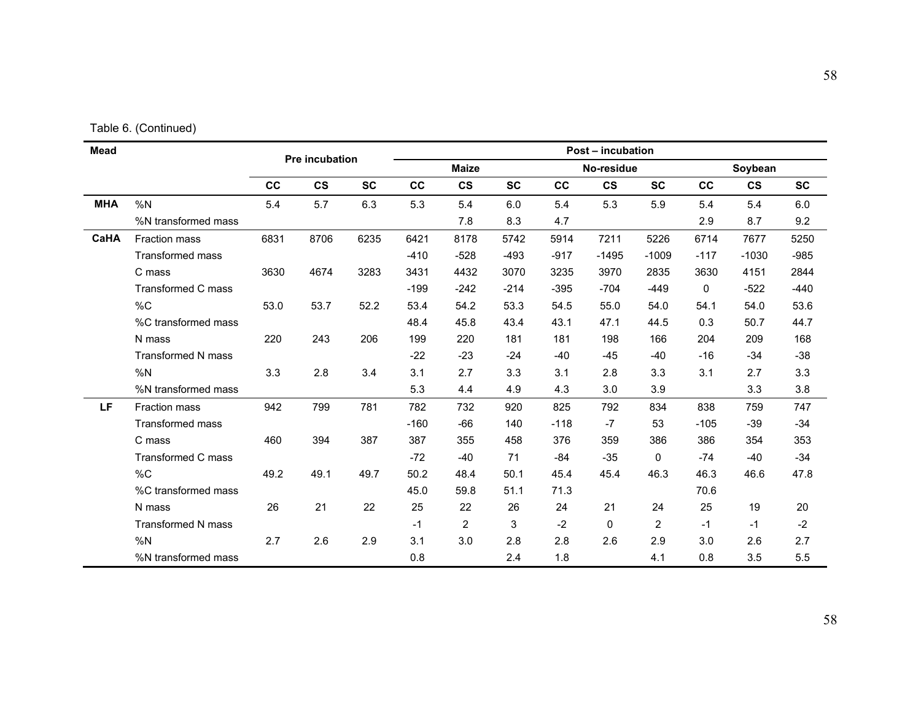|  | Table 6. (Continued) |
|--|----------------------|
|--|----------------------|

| Mead       |                           | Pre incubation |               |           | Post - incubation |                |           |            |                        |           |         |               |           |  |
|------------|---------------------------|----------------|---------------|-----------|-------------------|----------------|-----------|------------|------------------------|-----------|---------|---------------|-----------|--|
|            |                           |                |               |           | <b>Maize</b>      |                |           | No-residue |                        |           | Soybean |               |           |  |
|            |                           | cc             | $\mathsf{cs}$ | <b>SC</b> | cc                | $\mathsf{cs}$  | <b>SC</b> | cc         | $\mathbf{c}\mathbf{s}$ | <b>SC</b> | cc      | $\mathsf{cs}$ | <b>SC</b> |  |
| <b>MHA</b> | %N                        | 5.4            | 5.7           | 6.3       | 5.3               | 5.4            | 6.0       | 5.4        | 5.3                    | 5.9       | 5.4     | 5.4           | 6.0       |  |
|            | %N transformed mass       |                |               |           |                   | 7.8            | 8.3       | 4.7        |                        |           | 2.9     | 8.7           | 9.2       |  |
| CaHA       | Fraction mass             | 6831           | 8706          | 6235      | 6421              | 8178           | 5742      | 5914       | 7211                   | 5226      | 6714    | 7677          | 5250      |  |
|            | <b>Transformed mass</b>   |                |               |           | $-410$            | $-528$         | $-493$    | $-917$     | $-1495$                | $-1009$   | $-117$  | $-1030$       | $-985$    |  |
|            | C mass                    | 3630           | 4674          | 3283      | 3431              | 4432           | 3070      | 3235       | 3970                   | 2835      | 3630    | 4151          | 2844      |  |
|            | <b>Transformed C mass</b> |                |               |           | $-199$            | $-242$         | $-214$    | $-395$     | $-704$                 | $-449$    | 0       | $-522$        | $-440$    |  |
|            | %C                        | 53.0           | 53.7          | 52.2      | 53.4              | 54.2           | 53.3      | 54.5       | 55.0                   | 54.0      | 54.1    | 54.0          | 53.6      |  |
|            | %C transformed mass       |                |               |           | 48.4              | 45.8           | 43.4      | 43.1       | 47.1                   | 44.5      | 0.3     | 50.7          | 44.7      |  |
|            | N mass                    | 220            | 243           | 206       | 199               | 220            | 181       | 181        | 198                    | 166       | 204     | 209           | 168       |  |
|            | <b>Transformed N mass</b> |                |               |           | $-22$             | $-23$          | $-24$     | $-40$      | $-45$                  | $-40$     | $-16$   | $-34$         | $-38$     |  |
|            | %N                        | 3.3            | 2.8           | 3.4       | 3.1               | 2.7            | 3.3       | 3.1        | 2.8                    | 3.3       | 3.1     | 2.7           | 3.3       |  |
|            | %N transformed mass       |                |               |           | 5.3               | 4.4            | 4.9       | 4.3        | 3.0                    | 3.9       |         | 3.3           | 3.8       |  |
| LF         | <b>Fraction mass</b>      | 942            | 799           | 781       | 782               | 732            | 920       | 825        | 792                    | 834       | 838     | 759           | 747       |  |
|            | <b>Transformed mass</b>   |                |               |           | $-160$            | -66            | 140       | $-118$     | $-7$                   | 53        | $-105$  | $-39$         | $-34$     |  |
|            | C mass                    | 460            | 394           | 387       | 387               | 355            | 458       | 376        | 359                    | 386       | 386     | 354           | 353       |  |
|            | <b>Transformed C mass</b> |                |               |           | $-72$             | $-40$          | 71        | $-84$      | $-35$                  | 0         | $-74$   | $-40$         | $-34$     |  |
|            | %C                        | 49.2           | 49.1          | 49.7      | 50.2              | 48.4           | 50.1      | 45.4       | 45.4                   | 46.3      | 46.3    | 46.6          | 47.8      |  |
|            | %C transformed mass       |                |               |           | 45.0              | 59.8           | 51.1      | 71.3       |                        |           | 70.6    |               |           |  |
|            | N mass                    | 26             | 21            | 22        | 25                | 22             | 26        | 24         | 21                     | 24        | 25      | 19            | 20        |  |
|            | <b>Transformed N mass</b> |                |               |           | $-1$              | $\overline{2}$ | 3         | $-2$       | $\mathbf{0}$           | 2         | $-1$    | $-1$          | $-2$      |  |
|            | %N                        | 2.7            | 2.6           | 2.9       | 3.1               | 3.0            | 2.8       | 2.8        | 2.6                    | 2.9       | 3.0     | 2.6           | 2.7       |  |
|            | %N transformed mass       |                |               |           | 0.8               |                | 2.4       | 1.8        |                        | 4.1       | 0.8     | 3.5           | 5.5       |  |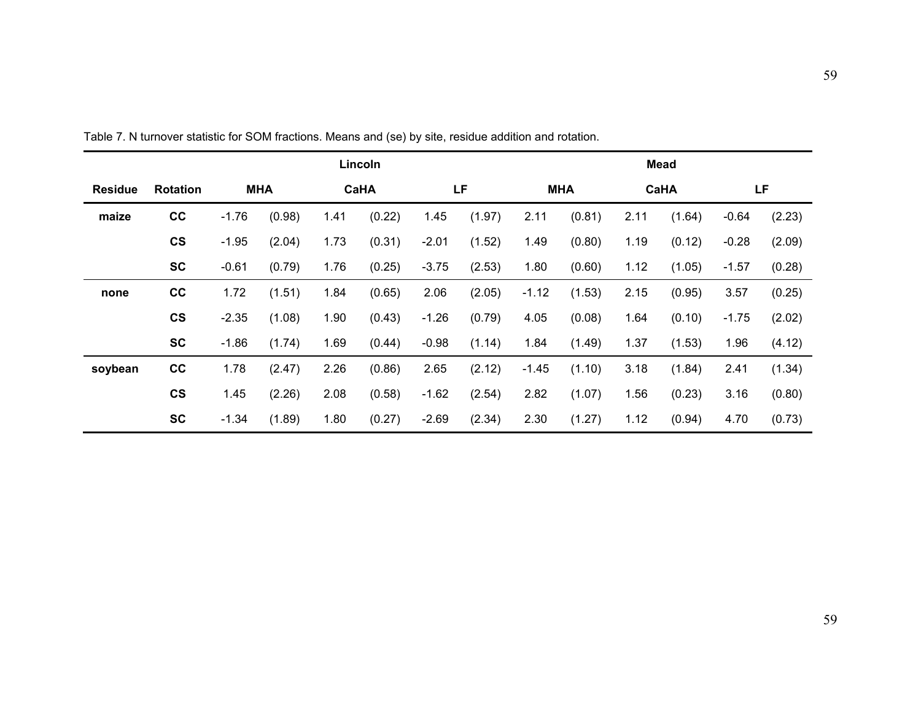|                |                          | Lincoln    |        |      |        |         |        |            | <b>Mead</b> |             |        |         |        |  |  |
|----------------|--------------------------|------------|--------|------|--------|---------|--------|------------|-------------|-------------|--------|---------|--------|--|--|
| <b>Residue</b> | <b>Rotation</b>          | <b>MHA</b> |        | CaHA |        | LF      |        | <b>MHA</b> |             | <b>CaHA</b> |        | LF      |        |  |  |
| maize          | cc                       | $-1.76$    | (0.98) | 1.41 | (0.22) | 1.45    | (1.97) | 2.11       | (0.81)      | 2.11        | (1.64) | $-0.64$ | (2.23) |  |  |
|                | $\mathsf{cs}$            | $-1.95$    | (2.04) | 1.73 | (0.31) | $-2.01$ | (1.52) | 1.49       | (0.80)      | 1.19        | (0.12) | $-0.28$ | (2.09) |  |  |
|                | <b>SC</b>                | $-0.61$    | (0.79) | 1.76 | (0.25) | $-3.75$ | (2.53) | 1.80       | (0.60)      | 1.12        | (1.05) | $-1.57$ | (0.28) |  |  |
| none           | cc                       | 1.72       | (1.51) | 1.84 | (0.65) | 2.06    | (2.05) | $-1.12$    | (1.53)      | 2.15        | (0.95) | 3.57    | (0.25) |  |  |
|                | $\mathsf{cs}$            | $-2.35$    | (1.08) | 1.90 | (0.43) | $-1.26$ | (0.79) | 4.05       | (0.08)      | 1.64        | (0.10) | $-1.75$ | (2.02) |  |  |
|                | <b>SC</b>                | $-1.86$    | (1.74) | 1.69 | (0.44) | $-0.98$ | (1.14) | 1.84       | (1.49)      | 1.37        | (1.53) | 1.96    | (4.12) |  |  |
| soybean        | cc                       | 1.78       | (2.47) | 2.26 | (0.86) | 2.65    | (2.12) | $-1.45$    | (1.10)      | 3.18        | (1.84) | 2.41    | (1.34) |  |  |
|                | $\mathsf{CS}\phantom{0}$ | 1.45       | (2.26) | 2.08 | (0.58) | $-1.62$ | (2.54) | 2.82       | (1.07)      | 1.56        | (0.23) | 3.16    | (0.80) |  |  |
|                | <b>SC</b>                | $-1.34$    | (1.89) | 1.80 | (0.27) | $-2.69$ | (2.34) | 2.30       | (1.27)      | 1.12        | (0.94) | 4.70    | (0.73) |  |  |

Table 7. N turnover statistic for SOM fractions. Means and (se) by site, residue addition and rotation.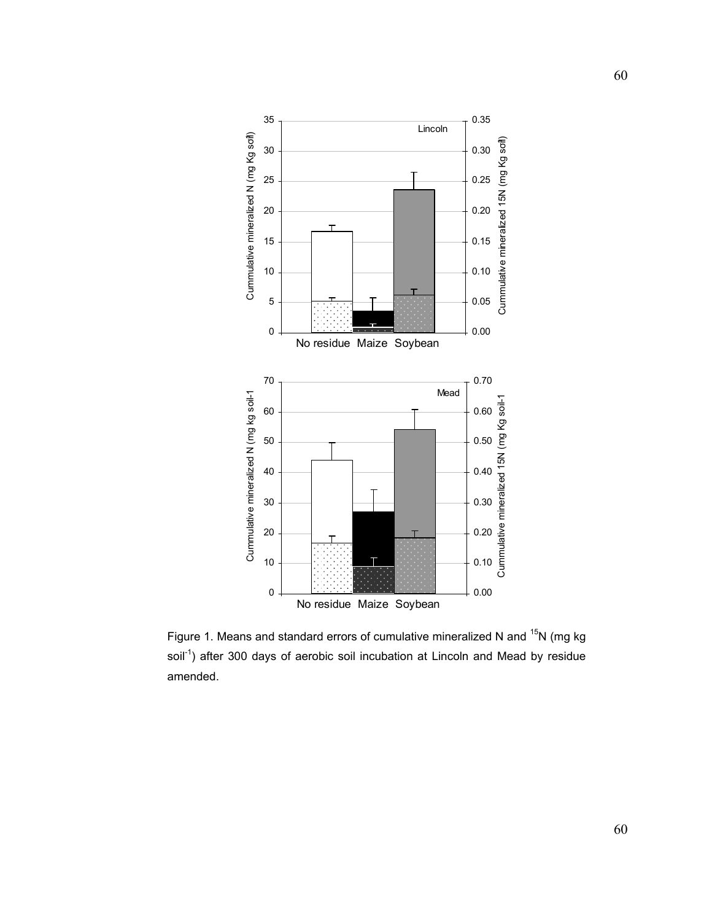

Figure 1. Means and standard errors of cumulative mineralized N and <sup>15</sup>N (mg kg soil<sup>-1</sup>) after 300 days of aerobic soil incubation at Lincoln and Mead by residue amended.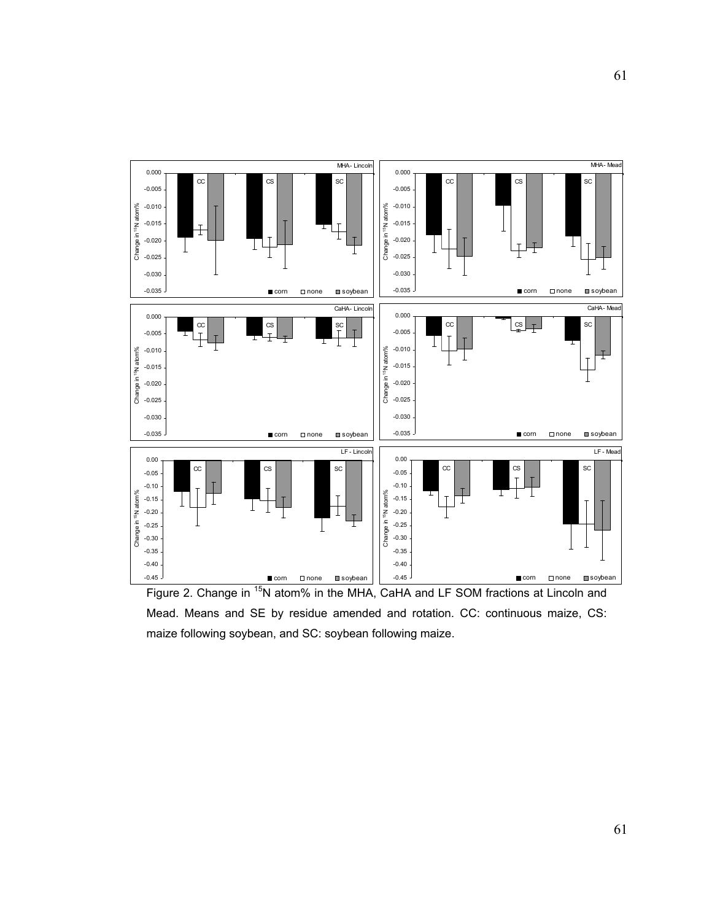

Figure 2. Change in <sup>15</sup>N atom% in the MHA, CaHA and LF SOM fractions at Lincoln and Mead. Means and SE by residue amended and rotation. CC: continuous maize, CS: maize following soybean, and SC: soybean following maize.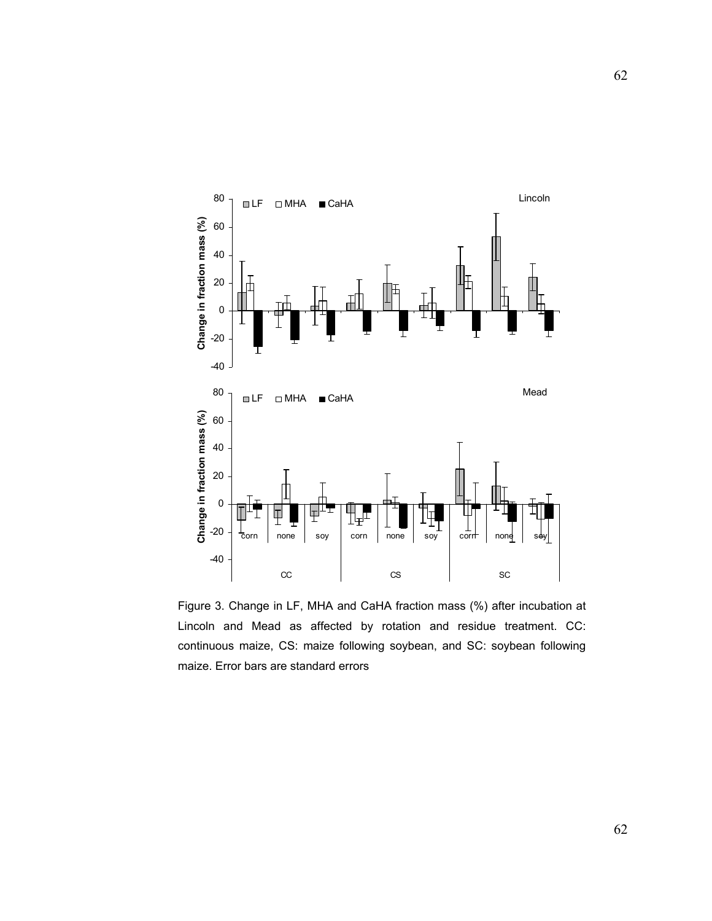

Figure 3. Change in LF, MHA and CaHA fraction mass (%) after incubation at Lincoln and Mead as affected by rotation and residue treatment. CC: continuous maize, CS: maize following soybean, and SC: soybean following maize. Error bars are standard errors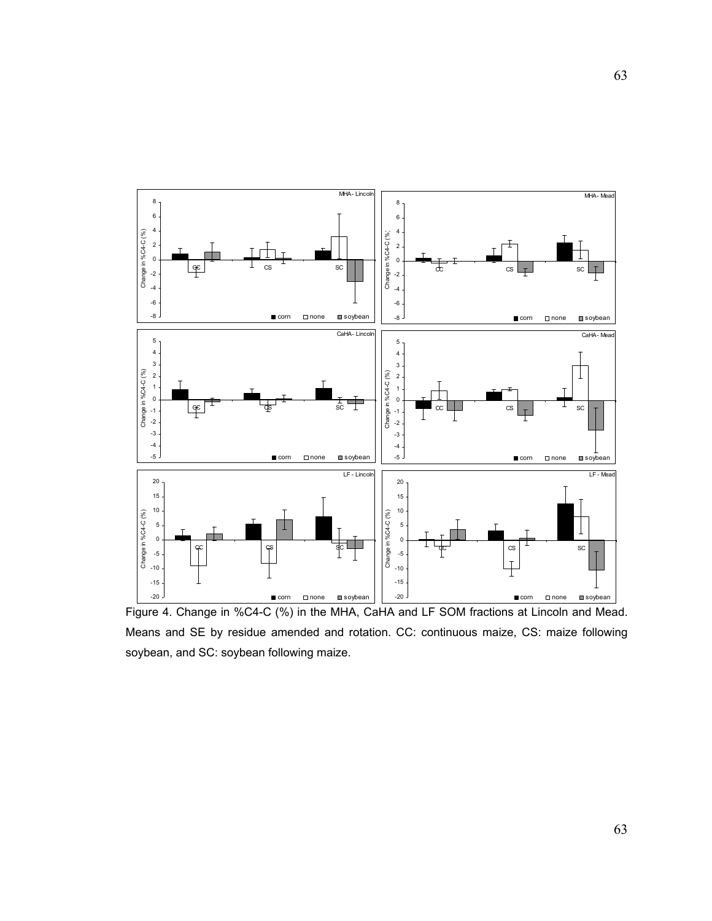

Figure 4. Change in %C4-C (%) in the MHA, CaHA and LF SOM fractions at Lincoln and Mead. Means and SE by residue amended and rotation. CC: continuous maize, CS: maize following soybean, and SC: soybean following maize.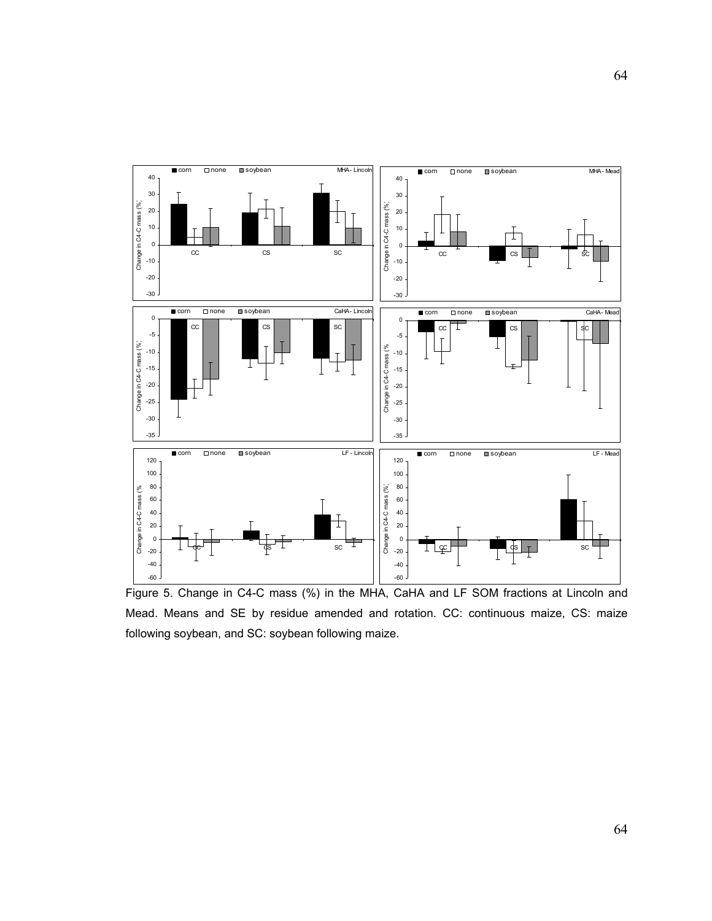

Figure 5. Change in C4-C mass (%) in the MHA, CaHA and LF SOM fractions at Lincoln and Mead. Means and SE by residue amended and rotation. CC: continuous maize, CS: maize following soybean, and SC: soybean following maize.